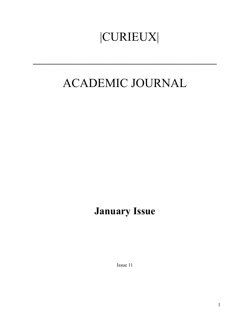# |CURIEUX|

## ACADEMIC JOURNAL

 $\mathcal{L}_\text{max}$  and  $\mathcal{L}_\text{max}$  and  $\mathcal{L}_\text{max}$  and  $\mathcal{L}_\text{max}$  and  $\mathcal{L}_\text{max}$ 

## **January Issue**

Issue 11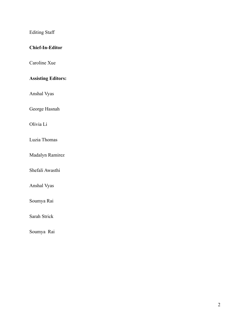Editing Staff

### **Chief-In-Editor**

Caroline Xue

### **Assisting Editors:**

Anshal Vyas

George Hasnah

Olivia Li

Luzia Thomas

Madalyn Ramirez

Shefali Awasthi

Anshal Vyas

Soumya Rai

Sarah Strick

Soumya Rai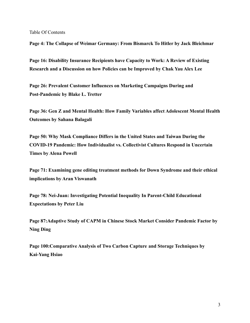Table Of Contents

**Page 4: The Collapse of Weimar Germany: From Bismarck To Hitler by Jack Bleichmar**

**Page 16: Disability Insurance Recipients have Capacity to Work: A Review of Existing Research and a Discussion on how Policies can be Improved by Chak Yau Alex Lee**

**Page 26: Prevalent Customer Influences on Marketing Campaigns During and Post-Pandemic by Blake L. Tretter**

**Page 36: Gen Z and Mental Health: How Family Variables affect Adolescent Mental Health Outcomes by Sahana Balagali**

**Page 50: Why Mask Compliance Differs in the United States and Taiwan During the COVID-19 Pandemic: How Individualist vs. Collectivist Cultures Respond in Uncertain Times by Alena Powell**

**Page 71: Examining gene editing treatment methods for Down Syndrome and their ethical implications by Aran Viswanath**

**Page 78: Nei-Juan: Investigating Potential Inequality In Parent-Child Educational Expectations by Peter Liu**

**Page 87:Adaptive Study of CAPM in Chinese Stock Market Consider Pandemic Factor by Ning Ding**

**Page 100:Comparative Analysis of Two Carbon Capture and Storage Techniques by Kai-Yang Hsiao**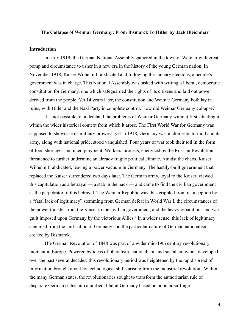#### **The Collapse of Weimar Germany: From Bismarck To Hitler by Jack Bleichmar**

#### **Introduction**

In early 1919, the German National Assembly gathered in the town of Weimar with great pomp and circumstance to usher in a new era in the history of the young German nation. In November 1918, Kaiser Wilhelm II abdicated and following the January elections, a people's government was in charge. This National Assembly was tasked with writing a liberal, democratic constitution for Germany, one which safeguarded the rights of its citizens and laid out power derived from the people. Yet 14 years later, the constitution and Weimar Germany both lay in ruins, with Hitler and the Nazi Party in complete control. How did Weimar Germany collapse?

It is not possible to understand the problems of Weimar Germany without first situating it within the wider historical context from which it arose. The First World War for Germany was supposed to showcase its military prowess, yet in 1918, Germany was in domestic turmoil and its army, along with national pride, stood vanquished. Four years of war took their toll in the form of food shortages and unemployment. Workers' protests, energized by the Russian Revolution, threatened to further undermine an already fragile political climate. Amidst the chaos, Kaiser Wilhelm II abdicated, leaving a power vacuum in Germany. The hastily-built government that replaced the Kaiser surrendered two days later. The German army, loyal to the Kaiser, viewed this capitulation as a betrayal — a stab in the back — and came to find the civilian government as the perpetrator of this betrayal. The Weimar Republic was thus crippled from its inception by a "fatal lack of legitimacy" stemming from German defeat in World War I, the circumstances of the power transfer from the Kaiser to the civilian government, and the heavy reparations and war guilt imposed upon Germany by the victorious Allies. $<sup>1</sup>$  $<sup>1</sup>$  $<sup>1</sup>$  In a wider sense, this lack of legitimacy</sup> stemmed from the unification of Germany and the particular nature of German nationalism created by Bismarck.

The German Revolution of 1848 was part of a wider mid-19th century revolutionary moment in Europe. Powered by ideas of liberalism, nationalism, and socialism which developed over the past several decades, this revolutionary period was heightened by the rapid spread of information brought about by technological shifts arising from the industrial revolution. Within the many German states, the revolutionaries sought to transform the authoritarian rule of disparate German states into a unified, liberal Germany based on popular suffrage.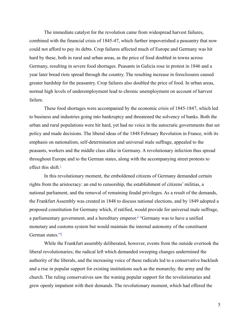The immediate catalyst for the revolution came from widespread harvest failures, combined with the financial crisis of 1845-47, which further impoverished a peasantry that now could not afford to pay its debts. Crop failures affected much of Europe and Germany was hit hard by these, both in rural and urban areas, as the price of food doubled in towns across Germany, resulting in severe food shortages. Peasants in Galicia rose in protest in 1846 and a year later bread riots spread through the country. The resulting increase in foreclosures caused greater hardship for the peasantry. Crop failures also doubled the price of food. In urban areas, normal high levels of underemployment lead to chronic unemployment on account of harvest failure.

These food shortages were accompanied by the economic crisis of 1845-1847, which led to business and industries going into bankruptcy and threatened the solvency of banks. Both the urban and rural populations were hit hard, yet had no voice in the autocratic governments that set policy and made decisions. The liberal ideas of the 1848 February Revolution in France, with its emphasis on nationalism, self-determination and universal male suffrage, appealed to the peasants, workers and the middle class alike in Germany. A revolutionary infection thus spread throughout Europe and to the German states, along with the accompanying street protests to effect this shift. $\frac{1}{1}$  $\frac{1}{1}$  $\frac{1}{1}$ 

In this revolutionary moment, the emboldened citizens of Germany demanded certain rights from the aristocracy: an end to censorship, the establishment of citizens' militias, a national parliament, and the removal of remaining feudal privileges. As a result of the demands, the Frankfurt Assembly was created in 1848 to discuss national elections, and by 1849 adopted a proposed constitution for Germany which, if ratified, would provide for universal male suffrage, a parliamentary government, and a hereditary emperor. [2](https://docs.google.com/document/d/1YElf0IqEciXVSi3fd2jG2CJfVxBYgJVKTFCbrk6h_kw/edit#bookmark=id.eog6n3rz54j3) "Germany was to have a unified monetary and customs system but would maintain the internal autonomy of the constituent German states." $\frac{3}{2}$  $\frac{3}{2}$  $\frac{3}{2}$ 

While the Frankfurt assembly deliberated, however, events from the outside overtook the liberal revolutionaries; the radical left which demanded sweeping changes undermined the authority of the liberals, and the increasing voice of these radicals led to a conservative backlash and a rise in popular support for existing institutions such as the monarchy, the army and the church. The ruling conservatives saw the waning popular support for the revolutionaries and grew openly impatient with their demands. The revolutionary moment, which had offered the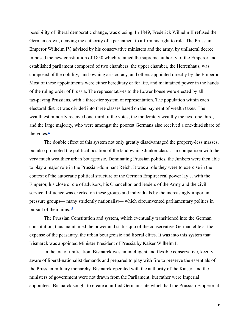possibility of liberal democratic change, was closing. In 1849, Frederick Wilhelm II refused the German crown, denying the authority of a parliament to affirm his right to rule. The Prussian Emperor Wilhelm IV, advised by his conservative ministers and the army, by unilateral decree imposed the new constitution of 1850 which retained the supreme authority of the Emperor and established parliament composed of two chambers: the upper chamber, the Herrenhaus, was composed of the nobility, land-owning aristocracy, and others appointed directly by the Emperor. Most of these appointments were either hereditary or for life, and maintained power in the hands of the ruling order of Prussia. The representatives to the Lower house were elected by all tax-paying Prussians, with a three-tier system of representation. The population within each electoral district was divided into three classes based on the payment of wealth taxes. The wealthiest minority received one-third of the votes; the moderately wealthy the next one third, and the large majority, who were amongst the poorest Germans also received a one-third share of the votes. $4$ 

The double effect of this system not only greatly disadvantaged the property-less masses, but also promoted the political position of the landowning Junker class… in comparison with the very much wealthier urban bourgeoisie. Dominating Prussian politics, the Junkers were then able to play a major role in the Prussian-dominant Reich. It was a role they were to exercise in the context of the autocratic political structure of the German Empire: real power lay… with the Emperor, his close circle of advisors, his Chancellor, and leaders of the Army and the civil service. Influence was exerted on these groups and individuals by the increasingly important pressure groups— many stridently nationalist— which circumvented parliamentary politics in pursuit of their aims.  $\frac{5}{2}$  $\frac{5}{2}$  $\frac{5}{2}$ 

The Prussian Constitution and system, which eventually transitioned into the German constitution, thus maintained the power and status quo of the conservative German elite at the expense of the peasantry, the urban bourgeoisie and liberal elites. It was into this system that Bismarck was appointed Minister President of Prussia by Kaiser Wilhelm I.

In the era of unification, Bismarck was an intelligent and flexible conservative, keenly aware of liberal-nationalist demands and prepared to play with fire to preserve the essentials of the Prussian military monarchy. Bismarck operated with the authority of the Kaiser, and the ministers of government were not drawn from the Parliament, but rather were Imperial appointees. Bismarck sought to create a unified German state which had the Prussian Emperor at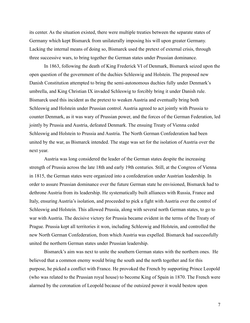its center. As the situation existed, there were multiple treaties between the separate states of Germany which kept Bismarck from unilaterally imposing his will upon greater Germany. Lacking the internal means of doing so, Bismarck used the pretext of external crisis, through three successive wars, to bring together the German states under Prussian dominance.

In 1863, following the death of King Frederick VI of Denmark, Bismarck seized upon the open question of the government of the duchies Schleswig and Holstein. The proposed new Danish Constitution attempted to bring the semi-autonomous duchies fully under Denmark's umbrella, and King Christian IX invaded Schleswig to forcibly bring it under Danish rule. Bismarck used this incident as the pretext to weaken Austria and eventually bring both Schleswig and Holstein under Prussian control. Austria agreed to act jointly with Prussia to counter Denmark, as it was wary of Prussian power, and the forces of the German Federation, led jointly by Prussia and Austria, defeated Denmark. The ensuing Treaty of Vienna ceded Schleswig and Holstein to Prussia and Austria. The North German Confederation had been united by the war, as Bismarck intended. The stage was set for the isolation of Austria over the next year.

Austria was long considered the leader of the German states despite the increasing strength of Prussia across the late 18th and early 19th centuries. Still, at the Congress of Vienna in 1815, the German states were organized into a confederation under Austrian leadership. In order to assure Prussian dominance over the future German state he envisioned, Bismarck had to dethrone Austria from its leadership. He systematically built alliances with Russia, France and Italy, ensuring Austria's isolation, and proceeded to pick a fight with Austria over the control of Schleswig and Holstein. This allowed Prussia, along with several north German states, to go to war with Austria. The decisive victory for Prussia became evident in the terms of the Treaty of Prague. Prussia kept all territories it won, including Schleswig and Holstein, and controlled the new North German Confederation, from which Austria was expelled. Bismarck had successfully united the northern German states under Prussian leadership.

Bismarck's aim was next to unite the southern German states with the northern ones. He believed that a common enemy would bring the south and the north together and for this purpose, he picked a conflict with France. He provoked the French by supporting Prince Leopold (who was related to the Prussian royal house) to become King of Spain in 1870. The French were alarmed by the coronation of Leopold because of the outsized power it would bestow upon

7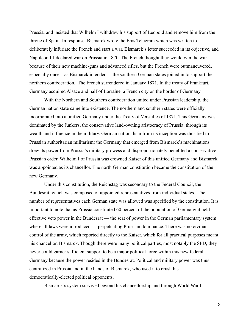Prussia, and insisted that Wilhelm I withdraw his support of Leopold and remove him from the throne of Spain. In response, Bismarck wrote the Ems Telegram which was written to deliberately infuriate the French and start a war. Bismarck's letter succeeded in its objective, and Napoleon III declared war on Prussia in 1870. The French thought they would win the war because of their new machine-guns and advanced rifles, but the French were outmaneuvered, especially once—as Bismarck intended— the southern German states joined in to support the northern confederation. The French surrendered in January 1871. In the treaty of Frankfurt, Germany acquired Alsace and half of Lorraine, a French city on the border of Germany.

With the Northern and Southern confederation united under Prussian leadership, the German nation state came into existence. The northern and southern states were officially incorporated into a unified Germany under the Treaty of Versailles of 1871. This Germany was dominated by the Junkers, the conservative land-owning aristocracy of Prussia, through its wealth and influence in the military. German nationalism from its inception was thus tied to Prussian authoritarian militarism: the Germany that emerged from Bismarck's machinations drew its power from Prussia's military prowess and disproportionately benefited a conservative Prussian order. Wilhelm I of Prussia was crowned Kaiser of this unified Germany and Bismarck was appointed as its chancellor. The north German constitution became the constitution of the new Germany.

Under this constitution, the Reichstag was secondary to the Federal Council, the Bundesrat, which was composed of appointed representatives from individual states. The number of representatives each German state was allowed was specified by the constitution. It is important to note that as Prussia constituted 60 percent of the population of Germany it held effective veto power in the Bundesrat — the seat of power in the German parliamentary system where all laws were introduced — perpetuating Prussian dominance. There was no civilian control of the army, which reported directly to the Kaiser, which for all practical purposes meant his chancellor, Bismarck. Though there were many political parties, most notably the SPD, they never could garner sufficient support to be a major political force within this new federal Germany because the power resided in the Bundesrat. Political and military power was thus centralized in Prussia and in the hands of Bismarck, who used it to crush his democratically-elected political opponents.

Bismarck's system survived beyond his chancellorship and through World War I.

8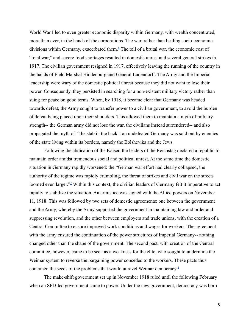World War I led to even greater economic disparity within Germany, with wealth concentrated, more than ever, in the hands of the corporations. The war, rather than healing socio-economic divisions within Germany, exacerbated them. $6$  The toll of a brutal war, the economic cost of "total war," and severe food shortages resulted in domestic unrest and several general strikes in 1917. The civilian government resigned in 1917, effectively leaving the running of the country in the hands of Field Marshal Hindenburg and General Ludendorff. The Army and the Imperial leadership were wary of the domestic political unrest because they did not want to lose their power. Consequently, they persisted in searching for a non-existent military victory rather than suing for peace on good terms. When, by 1918, it became clear that Germany was headed towards defeat, the Army sought to transfer power to a civilian government, to avoid the burden of defeat being placed upon their shoulders. This allowed them to maintain a myth of military strength-- the German army did not lose the war, the civilians instead surrendered-- and also propagated the myth of "the stab in the back": an undefeated Germany was sold out by enemies of the state living within its borders, namely the Bolsheviks and the Jews.

Following the abdication of the Kaiser, the leaders of the Reichstag declared a republic to maintain order amidst tremendous social and political unrest. At the same time the domestic situation in Germany rapidly worsened: the "German war effort had clearly collapsed, the authority of the regime was rapidly crumbling, the threat of strikes and civil war on the streets loomed even larger."<sup>[7](https://docs.google.com/document/d/1YElf0IqEciXVSi3fd2jG2CJfVxBYgJVKTFCbrk6h_kw/edit#bookmark=id.7bfhh6dc2z1m)</sup> Within this context, the civilian leaders of Germany felt it imperative to act rapidly to stabilize the situation. An armistice was signed with the Allied powers on November 11, 1918. This was followed by two sets of domestic agreements: one between the government and the Army, whereby the Army supported the government in maintaining law and order and suppressing revolution, and the other between employers and trade unions, with the creation of a Central Committee to ensure improved work conditions and wages for workers. The agreement with the army ensured the continuation of the power structures of Imperial Germany-- nothing changed other than the shape of the government. The second pact, with creation of the Central committee, however, came to be seen as a weakness for the elite, who sought to undermine the Weimar system to reverse the bargaining power conceded to the workers. These pacts thus contained the seeds of the problems that would unravel Weimar democracy. $^8$  $^8$ 

The make-shift government set up in November 1918 ruled until the following February when an SPD-led government came to power. Under the new government, democracy was born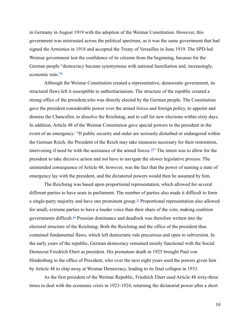in Germany in August 1919 with the adoption of the Weimar Constitution. However, this government was mistrusted across the political spectrum, as it was the same government that had signed the Armistice in 1918 and accepted the Treaty of Versailles in June 1919. The SPD-led Weimar government lost the confidence of its citizens from the beginning, because for the German people "democracy became synonymous with national humiliation and, increasingly, economic ruin."[9](https://docs.google.com/document/d/1YElf0IqEciXVSi3fd2jG2CJfVxBYgJVKTFCbrk6h_kw/edit#bookmark=id.tsfxmishfj9p)

Although the Weimar Constitution created a representative, democratic government, its structural flaws left it susceptible to authoritarianism. The structure of the republic created a strong office of the president,who was directly elected by the German people. The Constitution gave the president considerable power over the armed forces and foreign policy, to appoint and dismiss the Chancellor, to dissolve the Reichstag, and to call for new elections within sixty days. In addition, Article 48 of the Weimar Constitution gave special powers to the president in the event of an emergency: "If public security and order are seriously disturbed or endangered within the German Reich, the President of the Reich may take measures necessary for their restoration, intervening if need be with the assistance of the armed forces.<sup>[10](https://docs.google.com/document/d/1YElf0IqEciXVSi3fd2jG2CJfVxBYgJVKTFCbrk6h_kw/edit#bookmark=id.ohckcslfh9io)"</sup> The intent was to allow for the president to take decisive action and not have to navigate the slower legislative process. The unintended consequence of Article 48, however, was the fact that the power of naming a state of emergency lay with the president, and the dictatorial powers would then be assumed by him.

The Reichstag was based upon proportional representation, which allowed for several different parties to have seats in parliament. The number of parties also made it difficult to form a single-party majority and have one prominent group.<sup>[11](https://docs.google.com/document/d/1YElf0IqEciXVSi3fd2jG2CJfVxBYgJVKTFCbrk6h_kw/edit#bookmark=id.izu4g0hvo6oy)</sup> Proportional representation also allowed for small, extreme parties to have a louder voice than their share of the vote, making coalition governments difficult.[12](https://docs.google.com/document/d/1YElf0IqEciXVSi3fd2jG2CJfVxBYgJVKTFCbrk6h_kw/edit#bookmark=id.8jcxfgrenttg) Prussian dominance and deadlock was therefore written into the electoral structure of the Reichstag. Both the Reichstag and the office of the president thus contained fundamental flaws, which left democratic rule precarious and open to subversion. In the early years of the republic, German democracy remained mostly functional with the Social Democrat Friedrich Ebert as president. His premature death in 1925 brought Paul von Hindenburg to the office of President, who over the next eight years used the powers given him by Article 48 to chip away at Weimar Democracy, leading to its final collapse in 1933.

As the first president of the Weimar Republic, Friedrich Ebert used Article 48 sixty-three times to deal with the economic crisis in 1923-1924, returning the dictatorial power after a short

10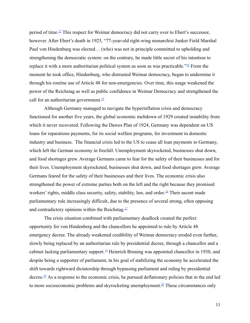period of time.<sup>[13](https://docs.google.com/document/d/1YElf0IqEciXVSi3fd2jG2CJfVxBYgJVKTFCbrk6h_kw/edit#bookmark=id.33p19r1jnnv9)</sup> This respect for Weimar democracy did not carry over to Ebert's successor, however. After Ebert's death in 1925, "77-year-old right-wing monarchist Junker Field Marshal Paul von Hindenburg was elected… (who) was not in principle committed to upholding and strengthening the democratic system: on the contrary, he made little secret of his intention to replace it with a more authoritarian political system as soon as was practicable." $\frac{14}{15}$  $\frac{14}{15}$  $\frac{14}{15}$  From the moment he took office, Hindenburg, who distrusted Weimar democracy, began to undermine it through his routine use of Article 48 for non-emergencies. Over time, this usage weakened the power of the Reichstag as well as public confidence in Weimar Democracy and strengthened the call for an authoritarian government. $\frac{15}{15}$  $\frac{15}{15}$  $\frac{15}{15}$ 

Although Germany managed to navigate the hyperinflation crisis and democracy functioned for another five years, the global economic meltdown of 1929 created instability from which it never recovered. Following the Dawes Plan of 1924, Germany was dependent on US loans for reparations payments, for its social welfare programs, for investment in domestic industry and business. The financial crisis led to the US to cease all loan payments to Germany, which left the German economy in freefall. Unemployment skyrocketed, businesses shut down, and food shortages grew. Average Germans came to fear for the safety of their businesses and for their lives. Unemployment skyrocketed, businesses shut down, and food shortages grew. Average Germans feared for the safety of their businesses and their lives. The economic crisis also strengthened the power of extreme parties both on the left and the right because they promised workers' rights, middle class security, safety, stability, law, and order. [16](https://docs.google.com/document/d/1YElf0IqEciXVSi3fd2jG2CJfVxBYgJVKTFCbrk6h_kw/edit#bookmark=id.qkpmyg7e1nkl) Their ascent made parliamentary rule increasingly difficult, due to the presence of several strong, often opposing and contradictory opinions within the Reichstag. $\frac{17}{12}$  $\frac{17}{12}$  $\frac{17}{12}$ 

The crisis situation combined with parliamentary deadlock created the perfect opportunity for von Hindenberg and the chancellors he appointed to rule by Article 48 emergency decree. The already weakened credibility of Weimar democracy eroded even further, slowly being replaced by an authoritarian rule by presidential decree, through a chancellor and a cabinet lacking parliamentary support.<sup>[18](https://docs.google.com/document/d/1YElf0IqEciXVSi3fd2jG2CJfVxBYgJVKTFCbrk6h_kw/edit#bookmark=id.syo1ruqvyfpq)</sup> Heinrich Bruning was appointed chancellor in 1930, and despite being a supporter of parliament, in his goal of stabilizing the economy he accelerated the shift towards rightward dictatorship through bypassing parliament and ruling by presidential decree.<sup>[19](https://docs.google.com/document/d/1YElf0IqEciXVSi3fd2jG2CJfVxBYgJVKTFCbrk6h_kw/edit#bookmark=id.shs9513gj1pb)</sup> As a response to the economic crisis, he pursued deflationary policies that in the end led to more socioeconomic problems and skyrocketing unemployment.<sup>[20](https://docs.google.com/document/d/1YElf0IqEciXVSi3fd2jG2CJfVxBYgJVKTFCbrk6h_kw/edit#bookmark=id.qbfxd9h5u40i)</sup> These circumstances only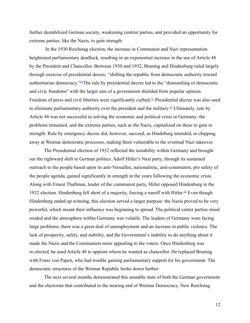further destabilized German society, weakening centrist parties, and provided an opportunity for extreme parties, like the Nazis, to gain strength.

In the 1930 Reichstag election, the increase in Communist and Nazi representation heightened parliamentary deadlock, resulting in an exponential increase in the use of Article 48 by the President and Chancellor. Between 1930 and 1932, Bruning and Hindenburg ruled largely through exercise of presidential decree, "shifting the republic from democratic authority toward authoritarian democracy."[21](https://docs.google.com/document/d/1YElf0IqEciXVSi3fd2jG2CJfVxBYgJVKTFCbrk6h_kw/edit#bookmark=id.yqn19x4arxno)The rule by presidential decree led to the "dismantling of democratic and civic freedoms'' with the larger aim of a government shielded from popular opinion. Freedom of press and civil liberties were significantly curbed.<sup>[22](https://docs.google.com/document/d/1YElf0IqEciXVSi3fd2jG2CJfVxBYgJVKTFCbrk6h_kw/edit#bookmark=id.ncqd6fen0v2d)</sup> Presidential decree was also used to eliminate parliamentary authority over the president and the military.<sup>[23](https://docs.google.com/document/d/1YElf0IqEciXVSi3fd2jG2CJfVxBYgJVKTFCbrk6h_kw/edit#bookmark=id.87pdg5bmobmc)</sup> Ultimately, rule by Article 48 was not successful in solving the economic and political crisis in Germany; the problems remained, and the extreme parties, such as the Nazis, capitalized on these to gain in strength. Rule by emergency decree did, however, succeed, as Hindeburg intended, in chipping away at Weimar democratic processes, making them vulnerable to the eventual Nazi takeover.

The Presidential election of 1932 reflected the instability within Germany and brought out the rightward shift in German politics. Adolf Hitler's Nazi party, through its sustained outreach to the people based upon its anti-Versailles, nationalistic, anti-communist, pro safety of the people agenda, gained significantly in strength in the years following the economic crisis. Along with Ernest Thallman, leader of the communist party, Hitler opposed Hindenburg in the 1932 election. Hindenburg fell short of a majority, forcing a runoff with Hitler.<sup>[24](https://docs.google.com/document/d/1YElf0IqEciXVSi3fd2jG2CJfVxBYgJVKTFCbrk6h_kw/edit#bookmark=id.4a1tl8md8nft)</sup> Even though Hindenburg ended up winning, this election served a larger purpose: the Nazis proved to be very powerful, which meant their influence was beginning to spread. The political center parties stood eroded and the atmosphere within Germany was volatile. The leaders of Germany were facing large problems; there was a great deal of unemployment and an increase in public violence. The lack of prosperity, safety, and stability, and the Government's inability to do anything about it made the Nazis and the Communists more appealing to the voters. Once Hindenburg was re-elected, he used Article 48 to appoint whom he wanted as chancellor. He replaced Bruning with Franz von Papen, who had trouble gaining parliamentary support for his government. The democratic structures of the Weimar Republic broke down further.

The next several months demonstrated this unstable state of both the German government and the electorate that contributed to the nearing end of Weimar Democracy. New Reichstag

12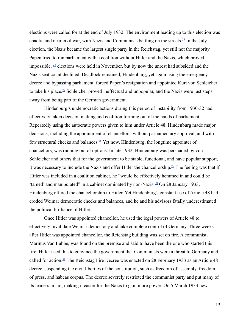elections were called for at the end of July 1932. The environment leading up to this election was chaotic and near civil war, with Nazis and Communists battling on the streets.<sup>[25](https://docs.google.com/document/d/1YElf0IqEciXVSi3fd2jG2CJfVxBYgJVKTFCbrk6h_kw/edit#bookmark=id.hcjcmcuafbez)</sup> In the July election, the Nazis became the largest single party in the Reichstag, yet still not the majority. Papen tried to run parliament with a coalition without Hitler and the Nazis, which proved impossible.  $\frac{26}{10}$  $\frac{26}{10}$  $\frac{26}{10}$  elections were held in November, but by now the unrest had subsided and the Nazis seat count declined. Deadlock remained; Hindenburg, yet again using the emergency decree and bypassing parliament, forced Papen's resignation and appointed Kurt von Schleicher to take his place.<sup>[27](https://docs.google.com/document/d/1YElf0IqEciXVSi3fd2jG2CJfVxBYgJVKTFCbrk6h_kw/edit#bookmark=id.ilfk8juhcwax)</sup> Schleicher proved ineffectual and unpopular, and the Nazis were just steps away from being part of the German government.

Hindenburg's undemocratic actions during this period of instability from 1930-32 had effectively taken decision making and coalition forming out of the hands of parliament. Repeatedly using the autocratic powers given to him under Article 48, Hindenburg made major decisions, including the appointment of chancellors, without parliamentary approval, and with few structural checks and balances.<sup>[28](https://docs.google.com/document/d/1YElf0IqEciXVSi3fd2jG2CJfVxBYgJVKTFCbrk6h_kw/edit#bookmark=id.esivaas7e8jw)</sup> Yet now, Hindenburg, the longtime appointer of chancellors, was running out of options. In late 1932, Hindenburg was persuaded by von Schleicher and others that for the government to be stable, functional, and have popular support, it was necessary to include the Nazis and offer Hitler the chancellorship.[29](https://docs.google.com/document/d/1YElf0IqEciXVSi3fd2jG2CJfVxBYgJVKTFCbrk6h_kw/edit#bookmark=id.hs51yc4dm8wq) The feeling was that if Hitler was included in a coalition cabinet, he "would be effectively hemmed in and could be 'tamed' and manipulated" in a cabinet dominated by non-Nazis.  $\frac{30}{2}$  $\frac{30}{2}$  $\frac{30}{2}$  On 28 January 1933, Hindenburg offered the chancellorship to Hitler. Yet Hindenburg's constant use of Article 48 had eroded Weimar democratic checks and balances, and he and his advisors fatally underestimated the political brilliance of Hitler.

Once Hitler was appointed chancellor, he used the legal powers of Article 48 to effectively invalidate Weimar democracy and take complete control of Germany. Three weeks after Hitler was appointed chancellor, the Reichstag building was set on fire. A communist, Marinus Van Lubbe, was found on the premise and said to have been the one who started this fire. Hitler used this to convince the government that Communists were a threat to Germany and called for action.<sup>[31](https://docs.google.com/document/d/1YElf0IqEciXVSi3fd2jG2CJfVxBYgJVKTFCbrk6h_kw/edit#bookmark=id.mu34q4v84p8b)</sup> The Reichstag Fire Decree was enacted on 28 February 1933 as an Article 48 decree, suspending the civil liberties of the constitution, such as freedom of assembly, freedom of press, and habeas corpus. The decree severely restricted the communist party and put many of its leaders in jail, making it easier for the Nazis to gain more power. On 5 March 1933 new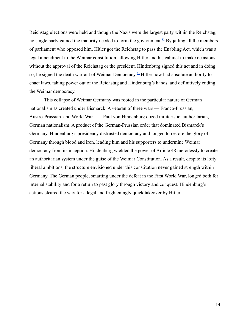Reichstag elections were held and though the Nazis were the largest party within the Reichstag, no single party gained the majority needed to form the government.<sup>[32](https://docs.google.com/document/d/1YElf0IqEciXVSi3fd2jG2CJfVxBYgJVKTFCbrk6h_kw/edit#bookmark=id.wadpdfy3yxsr)</sup> By jailing all the members of parliament who opposed him, Hitler got the Reichstag to pass the Enabling Act, which was a legal amendment to the Weimar constitution, allowing Hitler and his cabinet to make decisions without the approval of the Reichstag or the president. Hindenburg signed this act and in doing so, he signed the death warrant of Weimar Democracy.<sup>[33](https://docs.google.com/document/d/1YElf0IqEciXVSi3fd2jG2CJfVxBYgJVKTFCbrk6h_kw/edit#bookmark=id.h7rfbauwvnz3)</sup> Hitler now had absolute authority to enact laws, taking power out of the Reichstag and Hindenburg's hands, and definitively ending the Weimar democracy.

This collapse of Weimar Germany was rooted in the particular nature of German nationalism as created under Bismarck. A veteran of three wars — Franco-Prussian, Austro-Prussian, and World War I — Paul von Hindenburg oozed militaristic, authoritarian, German nationalism. A product of the German-Prussian order that dominated Bismarck's Germany, Hindenburg's presidency distrusted democracy and longed to restore the glory of Germany through blood and iron, leading him and his supporters to undermine Weimar democracy from its inception. Hindenburg wielded the power of Article 48 mercilessly to create an authoritarian system under the guise of the Weimar Constitution. As a result, despite its lofty liberal ambitions, the structure envisioned under this constitution never gained strength within Germany. The German people, smarting under the defeat in the First World War, longed both for internal stability and for a return to past glory through victory and conquest. Hindenburg's actions cleared the way for a legal and frighteningly quick takeover by Hitler.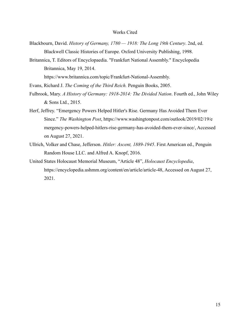#### Works Cited

- Blackbourn, David. *History of Germany, 1780 1918: The Long 19th Century*. 2nd, ed. Blackwell Classic Histories of Europe. Oxford University Publishing, 1998.
- Britannica, T. Editors of Encyclopaedia. "Frankfurt National Assembly." Encyclopedia Britannica, May 19, 2014.

https://www.britannica.com/topic/Frankfurt-National-Assembly.

Evans, Richard J. *The Coming of the Third Reich.* Penguin Books, 2005.

- Fulbrook, Mary. *A History of Germany: 1918-2014: The Divided Nation*. Fourth ed., John Wiley & Sons Ltd., 2015.
- Herf, Jeffrey. "Emergency Powers Helped Hitler's Rise. Germany Has Avoided Them Ever Since." *The Washington Post*, https://www.washingtonpost.com/outlook/2019/02/19/e mergency-powers-helped-hitlers-rise-germany-has-avoided-them-ever-since/, Accessed on August 27, 2021.
- Ullrich, Volker and Chase, Jefferson. *Hitler: Ascent, 1889-1945*. First American ed., Penguin Random House LLC. and Alfred A. Knopf, 2016.
- United States Holocaust Memorial Museum, "Article 48", *Holocaust Encyclopedia*, https://encyclopedia.ushmm.org/content/en/article/article-48, Accessed on August 27, 2021.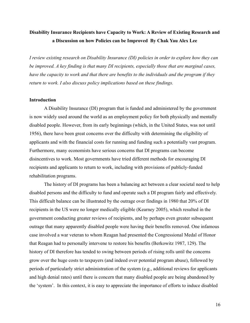## **Disability Insurance Recipients have Capacity to Work: A Review of Existing Research and a Discussion on how Policies can be Improved By Chak Yau Alex Lee**

*I review existing research on Disability Insurance (DI) policies in order to explore how they can be improved. A key finding is that many DI recipients, especially those that are marginal cases, have the capacity to work and that there are benefits to the individuals and the program if they return to work. I also discuss policy implications based on these findings.*

#### **Introduction**

A Disability Insurance (DI) program that is funded and administered by the government is now widely used around the world as an employment policy for both physically and mentally disabled people. However, from its early beginnings (which, in the United States, was not until 1956), there have been great concerns over the difficulty with determining the eligibility of applicants and with the financial costs for running and funding such a potentially vast program. Furthermore, many economists have serious concerns that DI programs can become disincentives to work. Most governments have tried different methods for encouraging DI recipients and applicants to return to work, including with provisions of publicly-funded rehabilitation programs.

The history of DI programs has been a balancing act between a clear societal need to help disabled persons and the difficulty to fund and operate such a DI program fairly and effectively. This difficult balance can be illustrated by the outrage over findings in 1980 that 20% of DI recipients in the US were no longer medically eligible (Kearney 2005), which resulted in the government conducting greater reviews of recipients, and by perhaps even greater subsequent outrage that many apparently disabled people were having their benefits removed. One infamous case involved a war veteran to whom Reagan had presented the Congressional Medal of Honor that Reagan had to personally intervene to restore his benefits (Berkowitz 1987, 129). The history of DI therefore has tended to swing between periods of rising rolls until the concerns grow over the huge costs to taxpayers (and indeed over potential program abuse), followed by periods of particularly strict administration of the system (e.g., additional reviews for applicants and high denial rates) until there is concern that many disabled people are being abandoned by the 'system'. In this context, it is easy to appreciate the importance of efforts to induce disabled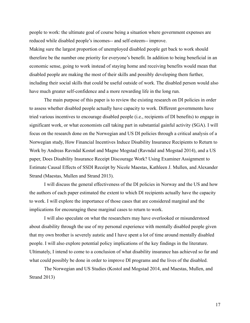people to work: the ultimate goal of course being a situation where government expenses are reduced while disabled people's incomes-- and self-esteem-- improve.

Making sure the largest proportion of unemployed disabled people get back to work should therefore be the number one priority for everyone's benefit. In addition to being beneficial in an economic sense, going to work instead of staying home and receiving benefits would mean that disabled people are making the most of their skills and possibly developing them further, including their social skills that could be useful outside of work. The disabled person would also have much greater self-confidence and a more rewarding life in the long run.

The main purpose of this paper is to review the existing research on DI policies in order to assess whether disabled people actually have capacity to work. Different governments have tried various incentives to encourage disabled people (i.e., recipients of DI benefits) to engage in significant work, or what economists call taking part in substantial gainful activity (SGA). I will focus on the research done on the Norwegian and US DI policies through a critical analysis of a Norwegian study, How Financial Incentives Induce Disability Insurance Recipients to Return to Work by Andreas Ravndal Kostøl and Magne Mogstad (Ravndal and Mogstad 2014), and a US paper, Does Disability Insurance Receipt Discourage Work? Using Examiner Assignment to Estimate Causal Effects of SSDI Receipt by Nicole Maestas, Kathleen J. Mullen, and Alexander Strand (Maestas, Mullen and Strand 2013).

I will discuss the general effectiveness of the DI policies in Norway and the US and how the authors of each paper estimated the extent to which DI recipients actually have the capacity to work. I will explore the importance of those cases that are considered marginal and the implications for encouraging these marginal cases to return to work.

I will also speculate on what the researchers may have overlooked or misunderstood about disability through the use of my personal experience with mentally disabled people given that my own brother is severely autstic and I have spent a lot of time around mentally disabled people. I will also explore potential policy implications of the key findings in the literature. Ultimately, I intend to come to a conclusion of what disability insurance has achieved so far and what could possibly be done in order to improve DI programs and the lives of the disabled.

The Norwegian and US Studies (Kostol and Mogstad 2014, and Maestas, Mullen, and Strand 2013)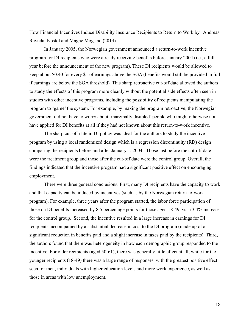How Financial Incentives Induce Disability Insurance Recipients to Return to Work by Andreas Ravndal Kostøl and Magne Mogstad (2014).

In January 2005, the Norwegian government announced a return-to-work incentive program for DI recipients who were already receiving benefits before January 2004 (i.e., a full year before the announcement of the new program). These DI recipients would be allowed to keep about \$0.40 for every \$1 of earnings above the SGA (benefits would still be provided in full if earnings are below the SGA threshold). This sharp retroactive cut-off date allowed the authors to study the effects of this program more cleanly without the potential side effects often seen in studies with other incentive programs, including the possibility of recipients manipulating the program to 'game' the system. For example, by making the program retroactive, the Norwegian government did not have to worry about 'marginally disabled' people who might otherwise not have applied for DI benefits at all if they had not known about this return-to-work incentive.

The sharp cut-off date in DI policy was ideal for the authors to study the incentive program by using a local randomized design which is a regression discontinuity (RD) design comparing the recipients before and after January 1, 2004. Those just before the cut-off date were the treatment group and those after the cut-off date were the control group. Overall, the findings indicated that the incentive program had a significant positive effect on encouraging employment.

There were three general conclusions. First, many DI recipients have the capacity to work and that capacity can be induced by incentives (such as by the Norwegian return-to-work program). For example, three years after the program started, the labor force participation of those on DI benefits increased by 8.5 percentage points for those aged 18-49, vs. a 3.4% increase for the control group. Second, the incentive resulted in a large increase in earnings for DI recipients, accompanied by a substantial decrease in cost to the DI program (made up of a significant reduction in benefits paid and a slight increase in taxes paid by the recipients). Third, the authors found that there was heterogeneity in how each demographic group responded to the incentive. For older recipients (aged 50-61), there was generally little effect at all, while for the younger recipients (18-49) there was a large range of responses, with the greatest positive effect seen for men, individuals with higher education levels and more work experience, as well as those in areas with low unemployment.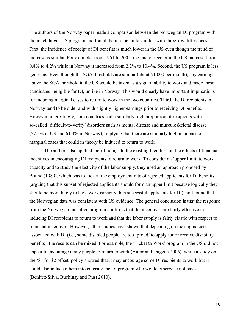The authors of the Norway paper made a comparison between the Norwegian DI program with the much larger US program and found them to be quite similar, with three key differences. First, the incidence of receipt of DI benefits is much lower in the US even though the trend of increase is similar. For example, from 1961 to 2005, the rate of receipt in the US increased from 0.8% to 4.2% while in Norway it increased from 2.2% to 10.4%. Second, the US program is less generous. Even though the SGA thresholds are similar (about \$1,000 per month), any earnings above the SGA threshold in the US would be taken as a sign of ability to work and made these candidates ineligible for DI, unlike in Norway. This would clearly have important implications for inducing marginal cases to return to work in the two countries. Third, the DI recipients in Norway tend to be older and with slightly higher earnings prior to receiving DI benefits. However, interestingly, both countries had a similarly high proportion of recipients with so-called 'difficult-to-verify' disorders such as mental disease and musculoskeletal disease (57.4% in US and 61.4% in Norway), implying that there are similarly high incidence of marginal cases that could in theory be induced to return to work.

The authors also applied their findings to the existing literature on the effects of financial incentives in encouraging DI recipients to return to work. To consider an 'upper limit' to work capacity and to study the elasticity of the labor supply, they used an approach proposed by Bound (1989), which was to look at the employment rate of rejected applicants for DI benefits (arguing that this subset of rejected applicants should form an upper limit because logically they should be more likely to have work capacity than successful applicants for DI), and found that the Norwegian data was consistent with US evidence. The general conclusion is that the response from the Norwegian incentive program confirms that the incentives are fairly effective in inducing DI recipients to return to work and that the labor supply is fairly elastic with respect to financial incentives. However, other studies have shown that depending on the stigma costs associated with DI (i.e., some disabled people are too 'proud' to apply for or receive disability benefits), the results can be mixed. For example, the 'Ticket to Work' program in the US did not appear to encourage many people to return to work (Autor and Duggan 2006), while a study on the '\$1 for \$2 offset' policy showed that it may encourage some DI recipients to work but it could also induce others into entering the DI program who would otherwise not have (Benitez-Silva, Buchinsy and Rust 2010).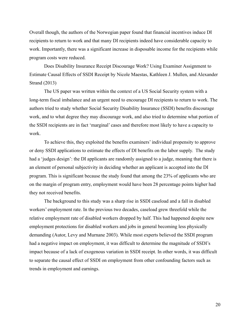Overall though, the authors of the Norwegian paper found that financial incentives induce DI recipients to return to work and that many DI recipients indeed have considerable capacity to work. Importantly, there was a significant increase in disposable income for the recipients while program costs were reduced.

Does Disability Insurance Receipt Discourage Work? Using Examiner Assignment to Estimate Causal Effects of SSDI Receipt by Nicole Maestas, Kathleen J. Mullen, and Alexander Strand (2013)

The US paper was written within the context of a US Social Security system with a long-term fiscal imbalance and an urgent need to encourage DI recipients to return to work. The authors tried to study whether Social Security Disability Insurance (SSDI) benefits discourage work, and to what degree they may discourage work, and also tried to determine what portion of the SSDI recipients are in fact 'marginal' cases and therefore most likely to have a capacity to work.

To achieve this, they exploited the benefits examiners' individual propensity to approve or deny SSDI applications to estimate the effects of DI benefits on the labor supply. The study had a 'judges design': the DI applicants are randomly assigned to a judge, meaning that there is an element of personal subjectivity in deciding whether an applicant is accepted into the DI program. This is significant because the study found that among the 23% of applicants who are on the margin of program entry, employment would have been 28 percentage points higher had they not received benefits.

The background to this study was a sharp rise in SSDI caseload and a fall in disabled workers' employment rate. In the previous two decades, caseload grew threefold while the relative employment rate of disabled workers dropped by half. This had happened despite new employment protections for disabled workers and jobs in general becoming less physically demanding (Autor, Levy and Murnane 2003). While most experts believed the SSDI program had a negative impact on employment, it was difficult to determine the magnitude of SSDI's impact because of a lack of exogenous variation in SSDI receipt. In other words, it was difficult to separate the causal effect of SSDI on employment from other confounding factors such as trends in employment and earnings.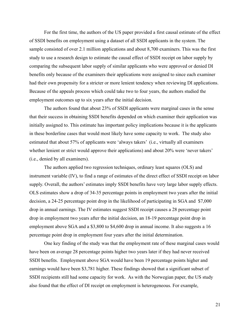For the first time, the authors of the US paper provided a first causal estimate of the effect of SSDI benefits on employment using a dataset of all SSDI applicants in the system. The sample consisted of over 2.1 million applications and about 8,700 examiners. This was the first study to use a research design to estimate the causal effect of SSDI receipt on labor supply by comparing the subsequent labor supply of similar applicants who were approved or denied DI benefits only because of the examiners their applications were assigned to since each examiner had their own propensity for a stricter or more lenient tendency when reviewing DI applications. Because of the appeals process which could take two to four years, the authors studied the employment outcomes up to six years after the initial decision.

The authors found that about 23% of SSDI applicants were marginal cases in the sense that their success in obtaining SSDI benefits depended on which examiner their application was initially assigned to. This estimate has important policy implications because it is the applicants in these borderline cases that would most likely have some capacity to work. The study also estimated that about 57% of applicants were 'always takers' (i.e., virtually all examiners whether lenient or strict would approve their applications) and about 20% were 'never takers' (i.e., denied by all examiners).

The authors applied two regression techniques, ordinary least squares (OLS) and instrument variable (IV), to find a range of estimates of the direct effect of SSDI receipt on labor supply. Overall, the authors' estimates imply SSDI benefits have very large labor supply effects. OLS estimates show a drop of 34-35 percentage points in employment two years after the initial decision, a 24-25 percentage point drop in the likelihood of participating in SGA and \$7,000 drop in annual earnings. The IV estimates suggest SSDI receipt causes a 28 percentage point drop in employment two years after the initial decision, an 18-19 percentage point drop in employment above SGA and a \$3,800 to \$4,600 drop in annual income. It also suggests a 16 percentage point drop in employment four years after the initial determination.

One key finding of the study was that the employment rate of these marginal cases would have been on average 28 percentage points higher two years later if they had never received SSDI benefits. Employment above SGA would have been 19 percentage points higher and earnings would have been \$3,781 higher. These findings showed that a significant subset of SSDI recipients still had some capacity for work. As with the Norwegian paper, the US study also found that the effect of DI receipt on employment is heterogeneous. For example,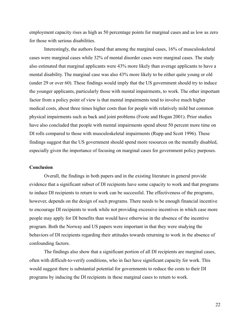employment capacity rises as high as 50 percentage points for marginal cases and as low as zero for those with serious disabilities.

Interestingly, the authors found that among the marginal cases, 16% of musculoskeletal cases were marginal cases while 32% of mental disorder cases were marginal cases. The study also estimated that marginal applicants were 43% more likely than average applicants to have a mental disability. The marginal case was also 43% more likely to be either quite young or old (under 29 or over 60). These findings would imply that the US government should try to induce the younger applicants, particularly those with mental impairments, to work. The other important factor from a policy point of view is that mental impairments tend to involve much higher medical costs, about three times higher costs than for people with relatively mild but common physical impairments such as back and joint problems (Foote and Hogan 2001). Prior studies have also concluded that people with mental impairments spend about 50 percent more time on DI rolls compared to those with musculoskeletal impairments (Rupp and Scott 1996). These findings suggest that the US government should spend more resources on the mentally disabled, especially given the importance of focusing on marginal cases for government policy purposes.

#### **Conclusion**

Overall, the findings in both papers and in the existing literature in general provide evidence that a significant subset of DI recipients have some capacity to work and that programs to induce DI recipients to return to work can be successful. The effectiveness of the programs, however, depends on the design of such programs. There needs to be enough financial incentive to encourage DI recipients to work while not providing excessive incentives in which case more people may apply for DI benefits than would have otherwise in the absence of the incentive program. Both the Norway and US papers were important in that they were studying the behaviors of DI recipients regarding their attitudes towards returning to work in the absence of confounding factors.

The findings also show that a significant portion of all DI recipients are marginal cases, often with difficult-to-verify conditions, who in fact have significant capacity for work. This would suggest there is substantial potential for governments to reduce the costs to their DI programs by inducing the DI recipients in these marginal cases to return to work.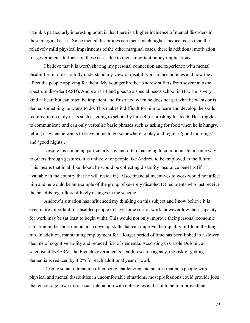I think a particularly interesting point is that there is a higher incidence of mental disorders in these marginal cases. Since mental disabilities can incur much higher medical costs than the relatively mild physical impairments of the other marginal cases, there is additional motivation for governments to focus on these cases due to their important policy implications.

I believe that it is worth sharing my personal connection and experience with mental disabilities in order to fully understand my view of disability insurance policies and how they affect the people applying for them. My younger brother Andrew suffers from severe autistic spectrum disorder (ASD). Andrew is 14 and goes to a special needs school in HK. He is very kind at heart but can often be impatient and frustrated when he does not get what he wants or is denied something he wants to do. This makes it difficult for him to learn and develop the skills required to do daily tasks such as going to school by himself or brushing his teeth. He struggles to communicate and can only verbalise basic phrases such as asking for food when he is hungry, telling us when he wants to leave home to go somewhere to play and regular 'good mornings' and 'good nights'.

Despite his not being particularly shy and often managing to communicate in some way to others through gestures, it is unlikely for people like Andrew to be employed in the future. This means that in all likelihood, he would be collecting disability insurance benefits (if available in the country that he will reside in). Also, financial incentives to work would not affect him and he would be an example of the group of severely disabled DI recipients who just receive the benefits regardless of likely changes in the scheme.

Andrew's situation has influenced my thinking on this subject and I now believe it is even more important for disabled people to have some sort of work, however low their capacity for work may be (at least to begin with). This would not only improve their personal economic situation in the short run but also develop skills that can improve their quality of life in the long run. In addition, maintaining employment for a longer period of time has been linked to a slower decline of cognitive ability and reduced risk of dementia. According to Carole Dufouil, a scientist at INSERM, the French government's health research agency, the risk of getting dementia is reduced by 3.2% for each additional year of work.

Despite social interaction often being challenging and an area that puts people with physical and mental disabilities in uncomfortable situations, most professions could provide jobs that encourage low-stress social interaction with colleagues and should help improve their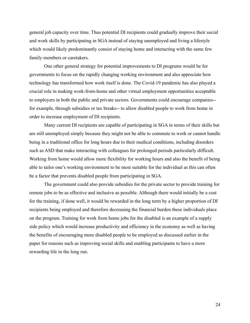general job capacity over time. Thus potential DI recipients could gradually improve their social and work skills by participating in SGA instead of staying unemployed and living a lifestyle which would likely predominantly consist of staying home and interacting with the same few family members or caretakers.

One other general strategy for potential improvements to DI programs would be for governments to focus on the rapidly changing working environment and also appreciate how technology has transformed how work itself is done. The Covid-19 pandemic has also played a crucial role in making work-from-home and other virtual employment opportunities acceptable to employers in both the public and private sectors. Governments could encourage companies- for example, through subsidies or tax breaks-- to allow disabled people to work from home in order to increase employment of DI recipients.

Many current DI recipients are capable of participating in SGA in terms of their skills but are still unemployed simply because they might not be able to commute to work or cannot handle being in a traditional office for long hours due to their medical conditions, including disorders such as ASD that make interacting with colleagues for prolonged periods particularly difficult. Working from home would allow more flexibility for working hours and also the benefit of being able to tailor one's working environment to be most suitable for the individual as this can often be a factor that prevents disabled people from participating in SGA.

The government could also provide subsidies for the private sector to provide training for remote jobs to be as effective and inclusive as possible. Although there would initially be a cost for the training, if done well, it would be rewarded in the long term by a higher proportion of DI recipients being employed and therefore decreasing the financial burden these individuals place on the program. Training for work from home jobs for the disabled is an example of a supply side policy which would increase productivity and efficiency in the economy as well as having the benefits of encouraging more disabled people to be employed as discussed earlier in the paper for reasons such as improving social skills and enabling participants to have a more rewarding life in the long run.

24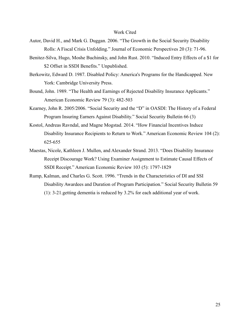#### Work Cited

- Autor, David H., and Mark G. Duggan. 2006. "The Growth in the Social Security Disability Rolls: A Fiscal Crisis Unfolding." Journal of Economic Perspectives 20 (3): 71-96.
- Benitez-Silva, Hugo, Moshe Buchinsky, and John Rust. 2010. "Induced Entry Effects of a \$1 for \$2 Offset in SSDI Benefits." Unpublished.
- Berkowitz, Edward D. 1987. Disabled Policy: America's Programs for the Handicapped. New York: Cambridge University Press.
- Bound, John. 1989. "The Health and Earnings of Rejected Disability Insurance Applicants." American Economic Review 79 (3): 482-503
- Kearney, John R. 2005/2006. "Social Security and the "D" in OASDI: The History of a Federal Program Insuring Earners Against Disability." Social Security Bulletin 66 (3)
- Kostol, Andreas Ravndal, and Magne Mogstad. 2014. "How Financial Incentives Induce Disability Insurance Recipients to Return to Work." American Economic Review 104 (2): 625-655
- Maestas, Nicole, Kathleen J. Mullen, and Alexander Strand. 2013. "Does Disability Insurance Receipt Discourage Work? Using Examiner Assignment to Estimate Causal Effects of SSDI Receipt." American Economic Review 103 (5): 1797-1829
- Rump, Kalman, and Charles G. Scott. 1996. "Trends in the Characteristics of DI and SSI Disability Awardees and Duration of Program Participation." Social Security Bulletin 59 (1): 3-21.getting dementia is reduced by 3.2% for each additional year of work.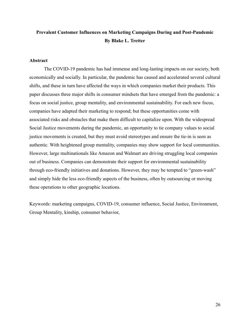## **Prevalent Customer Influences on Marketing Campaigns During and Post-Pandemic By Blake L. Tretter**

#### **Abstract**

The COVID-19 pandemic has had immense and long-lasting impacts on our society, both economically and socially. In particular, the pandemic has caused and accelerated several cultural shifts, and these in turn have affected the ways in which companies market their products. This paper discusses three major shifts in consumer mindsets that have emerged from the pandemic: a focus on social justice, group mentality, and environmental sustainability. For each new focus, companies have adapted their marketing to respond; but these opportunities come with associated risks and obstacles that make them difficult to capitalize upon. With the widespread Social Justice movements during the pandemic, an opportunity to tie company values to social justice movements is created, but they must avoid stereotypes and ensure the tie-in is seen as authentic. With heightened group mentality, companies may show support for local communities. However, large multinationals like Amazon and Walmart are driving struggling local companies out of business. Companies can demonstrate their support for environmental sustainability through eco-friendly initiatives and donations. However, they may be tempted to "green-wash" and simply hide the less eco-friendly aspects of the business, often by outsourcing or moving these operations to other geographic locations.

Keywords: marketing campaigns, COVID-19, consumer influence, Social Justice, Environment, Group Mentality, kinship, consumer behavior,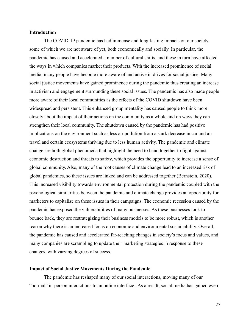#### **Introduction**

The COVID-19 pandemic has had immense and long-lasting impacts on our society, some of which we are not aware of yet, both economically and socially. In particular, the pandemic has caused and accelerated a number of cultural shifts, and these in turn have affected the ways in which companies market their products. With the increased prominence of social media, many people have become more aware of and active in drives for social justice. Many social justice movements have gained prominence during the pandemic thus creating an increase in activism and engagement surrounding these social issues. The pandemic has also made people more aware of their local communities as the effects of the COVID shutdown have been widespread and persistent. This enhanced group mentality has caused people to think more closely about the impact of their actions on the community as a whole and on ways they can strengthen their local community. The shutdown caused by the pandemic has had positive implications on the environment such as less air pollution from a stark decrease in car and air travel and certain ecosystems thriving due to less human activity. The pandemic and climate change are both global phenomena that highlight the need to band together to fight against economic destruction and threats to safety, which provides the opportunity to increase a sense of global community. Also, many of the root causes of climate change lead to an increased risk of global pandemics, so these issues are linked and can be addressed together (Bernstein, 2020). This increased visibility towards environmental protection during the pandemic coupled with the psychological similarities between the pandemic and climate change provides an opportunity for marketers to capitalize on these issues in their campaigns. The economic recession caused by the pandemic has exposed the vulnerabilities of many businesses. As these businesses look to bounce back, they are restrategizing their business models to be more robust, which is another reason why there is an increased focus on economic and environmental sustainability. Overall, the pandemic has caused and accelerated far-reaching changes in society's focus and values, and many companies are scrambling to update their marketing strategies in response to these changes, with varying degrees of success.

#### **Impact of Social Justice Movements During the Pandemic**

The pandemic has reshaped many of our social interactions, moving many of our "normal" in-person interactions to an online interface. As a result, social media has gained even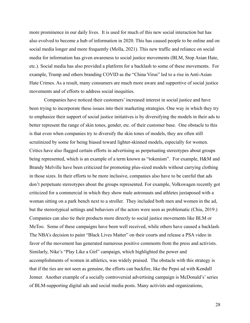more prominence in our daily lives. It is used for much of this new social interaction but has also evolved to become a hub of information in 2020. This has caused people to be online and on social media longer and more frequently (Molla, 2021). This new traffic and reliance on social media for information has given awareness to social justice movements (BLM, Stop Asian Hate, etc.). Social media has also provided a platform for a backlash to some of these movements. For example, Trump and others branding COVID as the "China Virus" led to a rise in Anti-Asian Hate Crimes. As a result, many consumers are much more aware and supportive of social justice movements and of efforts to address social inequities.

Companies have noticed their customers' increased interest in social justice and have been trying to incorporate these issues into their marketing strategies. One way in which they try to emphasize their support of social justice initiatives is by diversifying the models in their ads to better represent the range of skin tones, gender, etc. of their customer base. One obstacle to this is that even when companies try to diversify the skin tones of models, they are often still scrutinized by some for being biased toward lighter-skinned models, especially for women. Critics have also flagged certain efforts in advertising as perpetuating stereotypes about groups being represented, which is an example of a term known as "tokenism". For example, H&M and Brandy Melville have been criticized for promoting plus-sized models without carrying clothing in those sizes. In their efforts to be more inclusive, companies also have to be careful that ads don't perpetuate stereotypes about the groups represented. For example, Volkswagen recently got criticized for a commercial in which they show male astronauts and athletes juxtaposed with a woman sitting on a park bench next to a stroller. They included both men and women in the ad, but the stereotypical settings and behaviors of the actors were seen as problematic (Chiu, 2019.) Companies can also tie their products more directly to social justice movements like BLM or MeToo. Some of these campaigns have been well received, while others have caused a backlash. The NBA's decision to paint "Black Lives Matter" on their courts and release a PSA video in favor of the movement has generated numerous positive comments from the press and activists. Similarly, Nike's "Play Like a Girl" campaign, which highlighted the power and accomplishments of women in athletics, was widely praised. The obstacle with this strategy is that if the ties are not seen as genuine, the efforts can backfire, like the Pepsi ad with Kendall Jenner. Another example of a socially controversial advertising campaign is McDonald's' series of BLM-supporting digital ads and social media posts. Many activists and organizations,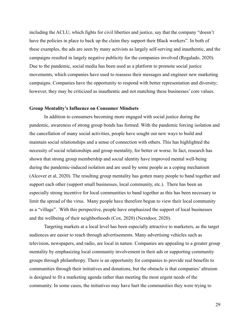including the ACLU, which fights for civil liberties and justice, say that the company "doesn't have the policies in place to back up the claim they support their Black workers". In both of these examples, the ads are seen by many activists as largely self-serving and inauthentic, and the campaigns resulted in largely negative publicity for the companies involved (Regalado, 2020). Due to the pandemic, social media has been used as a platform to promote social justice movements, which companies have used to reassess their messages and engineer new marketing campaigns. Companies have the opportunity to respond with better representation and diversity; however, they may be criticized as inauthentic and not matching these businesses' core values.

#### **Group Mentality's Influence on Consumer Mindsets**

In addition to consumers becoming more engaged with social justice during the pandemic, awareness of strong group bonds has formed. With the pandemic forcing isolation and the cancellation of many social activities, people have sought out new ways to build and maintain social relationships and a sense of connection with others. This has highlighted the necessity of social relationships and group mentality, for better or worse. In fact, research has shown that strong group membership and social identity have improved mental well-being during the pandemic-induced isolation and are used by some people as a coping mechanism (Alcover et al, 2020). The resulting group mentality has gotten many people to band together and support each other (support small businesses, local community, etc.). There has been an especially strong incentive for local communities to band together as this has been necessary to limit the spread of the virus. Many people have therefore begun to view their local community as a "village". With this perspective, people have emphasized the support of local businesses and the wellbeing of their neighborhoods (Cox, 2020) (Nextdoor, 2020).

Targeting markets at a local level has been especially attractive to marketers, as the target audiences are easier to reach through advertisements. Many advertising vehicles such as television, newspapers, and radio, are local in nature. Companies are appealing to a greater group mentality by emphasizing local community involvement in their ads or supporting community groups through philanthropy. There is an opportunity for companies to provide real benefits to communities through their initiatives and donations, but the obstacle is that companies' altruism is designed to fit a marketing agenda rather than meeting the most urgent needs of the community. In some cases, the initiatives may have hurt the communities they were trying to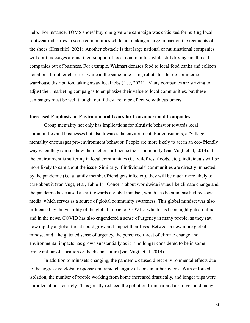help. For instance, TOMS shoes' buy-one-give-one campaign was criticized for hurting local footwear industries in some communities while not making a large impact on the recipients of the shoes (Hessekiel, 2021). Another obstacle is that large national or multinational companies will craft messages around their support of local communities while still driving small local companies out of business. For example, Walmart donates food to local food banks and collects donations for other charities, while at the same time using robots for their e-commerce warehouse distribution, taking away local jobs (Lee, 2021). Many companies are striving to adjust their marketing campaigns to emphasize their value to local communities, but these campaigns must be well thought out if they are to be effective with customers.

#### **Increased Emphasis on Environmental Issues for Consumers and Companies**

Group mentality not only has implications for altruistic behavior towards local communities and businesses but also towards the environment. For consumers, a "village" mentality encourages pro-environment behavior. People are more likely to act in an eco-friendly way when they can see how their actions influence their community (van Vugt, et al, 2014). If the environment is suffering in local communities (i.e. wildfires, floods, etc.), individuals will be more likely to care about the issue. Similarly, if individuals' communities are directly impacted by the pandemic (i.e. a family member/friend gets infected), they will be much more likely to care about it (van Vugt, et al, Table 1). Concern about worldwide issues like climate change and the pandemic has caused a shift towards a global mindset, which has been intensified by social media, which serves as a source of global community awareness. This global mindset was also influenced by the visibility of the global impact of COVID, which has been highlighted online and in the news. COVID has also engendered a sense of urgency in many people, as they saw how rapidly a global threat could grow and impact their lives. Between a new more global mindset and a heightened sense of urgency, the perceived threat of climate change and environmental impacts has grown substantially as it is no longer considered to be in some irrelevant far-off location or the distant future (van Vugt, et al, 2014).

In addition to mindsets changing, the pandemic caused direct environmental effects due to the aggressive global response and rapid changing of consumer behaviors. With enforced isolation, the number of people working from home increased drastically, and longer trips were curtailed almost entirely. This greatly reduced the pollution from car and air travel, and many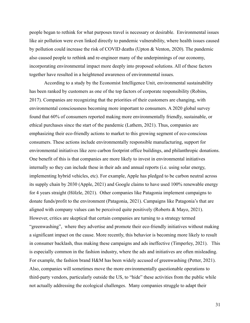people began to rethink for what purposes travel is necessary or desirable. Environmental issues like air pollution were even linked directly to pandemic vulnerability, where health issues caused by pollution could increase the risk of COVID deaths (Upton & Venton, 2020). The pandemic also caused people to rethink and re-engineer many of the underpinnings of our economy, incorporating environmental impact more deeply into proposed solutions. All of these factors together have resulted in a heightened awareness of environmental issues.

According to a study by the Economist Intelligence Unit, environmental sustainability has been ranked by customers as one of the top factors of corporate responsibility (Robins, 2017). Companies are recognizing that the priorities of their customers are changing, with environmental consciousness becoming more important to consumers. A 2020 global survey found that 60% of consumers reported making more environmentally friendly, sustainable, or ethical purchases since the start of the pandemic (Lathem, 2021). Thus, companies are emphasizing their eco-friendly actions to market to this growing segment of eco-conscious consumers. These actions include environmentally responsible manufacturing, support for environmental initiatives like zero carbon footprint office buildings, and philanthropic donations. One benefit of this is that companies are more likely to invest in environmental initiatives internally so they can include these in their ads and annual reports (i.e. using solar energy, implementing hybrid vehicles, etc). For example, Apple has pledged to be carbon neutral across its supply chain by 2030 (Apple, 2021) and Google claims to have used 100% renewable energy for 4 years straight (Hölzle, 2021). Other companies like Patagonia implement campaigns to donate funds/profit to the environment (Patagonia, 2021). Campaigns like Patagonia's that are aligned with company values can be perceived quite positively (Roberts & Mayo, 2021). However, critics are skeptical that certain companies are turning to a strategy termed "greenwashing", where they advertise and promote their eco-friendly initiatives without making a significant impact on the cause. More recently, this behavior is becoming more likely to result in consumer backlash, thus making these campaigns and ads ineffective (Timperley, 2021). This is especially common in the fashion industry, where the ads and initiatives are often misleading. For example, the fashion brand H&M has been widely accused of greenwashing (Petter, 2021). Also, companies will sometimes move the more environmentally questionable operations to third-party vendors, particularly outside the US, to "hide" these activities from the public while not actually addressing the ecological challenges. Many companies struggle to adapt their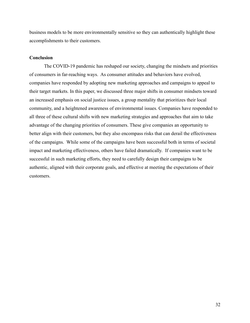business models to be more environmentally sensitive so they can authentically highlight these accomplishments to their customers.

#### **Conclusion**

The COVID-19 pandemic has reshaped our society, changing the mindsets and priorities of consumers in far-reaching ways. As consumer attitudes and behaviors have evolved, companies have responded by adopting new marketing approaches and campaigns to appeal to their target markets. In this paper, we discussed three major shifts in consumer mindsets toward an increased emphasis on social justice issues, a group mentality that prioritizes their local community, and a heightened awareness of environmental issues. Companies have responded to all three of these cultural shifts with new marketing strategies and approaches that aim to take advantage of the changing priorities of consumers. These give companies an opportunity to better align with their customers, but they also encompass risks that can derail the effectiveness of the campaigns. While some of the campaigns have been successful both in terms of societal impact and marketing effectiveness, others have failed dramatically. If companies want to be successful in such marketing efforts, they need to carefully design their campaigns to be authentic, aligned with their corporate goals, and effective at meeting the expectations of their customers.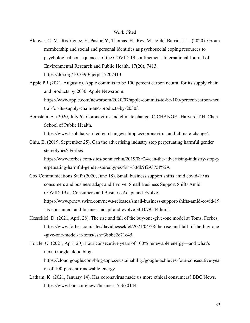- Alcover, C.-M., Rodríguez, F., Pastor, Y., Thomas, H., Rey, M., & del Barrio, J. L. (2020). Group membership and social and personal identities as psychosocial coping resources to psychological consequences of the COVID-19 confinement. International Journal of Environmental Research and Public Health, 17(20), 7413. https://doi.org/10.3390/ijerph17207413
- Apple PR (2021, August 6). Apple commits to be 100 percent carbon neutral for its supply chain and products by 2030. Apple Newsroom. https://www.apple.com/newsroom/2020/07/apple-commits-to-be-100-percent-carbon-neu tral-for-its-supply-chain-and-products-by-2030/.
- Bernstein, A. (2020, July 6). Coronavirus and climate change. C-CHANGE | Harvard T.H. Chan School of Public Health. https://www.hsph.harvard.edu/c-change/subtopics/coronavirus-and-climate-change/.
- Chiu, B. (2019, September 25). Can the advertising industry stop perpetuating harmful gender stereotypes? Forbes.

https://www.forbes.com/sites/bonniechiu/2019/09/24/can-the-advertising-industry-stop-p erpetuating-harmful-gender-stereotypes/?sh=33db9f29375f%29.

Cox Communications Staff (2020, June 18). Small business support shifts amid covid-19 as consumers and business adapt and Evolve. Small Business Support Shifts Amid COVID-19 as Consumers and Business Adapt and Evolve. https://www.prnewswire.com/news-releases/small-business-support-shifts-amid-covid-19

-as-consumers-and-business-adapt-and-evolve-301079544.html.

- Hessekiel, D. (2021, April 28). The rise and fall of the buy-one-give-one model at Toms. Forbes. https://www.forbes.com/sites/davidhessekiel/2021/04/28/the-rise-and-fall-of-the-buy-one -give-one-model-at-toms/?sh=3bbbc2c71c45.
- Hölzle, U. (2021, April 20). Four consecutive years of 100% renewable energy—and what's next. Google cloud blog. https://cloud.google.com/blog/topics/sustainability/google-achieves-four-consecutive-yea rs-of-100-percent-renewable-energy.
- Latham, K. (2021, January 14). Has coronavirus made us more ethical consumers? BBC News. https://www.bbc.com/news/business-55630144.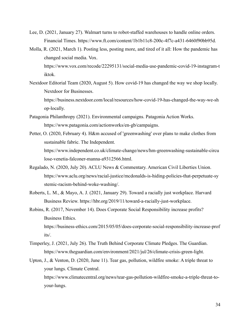- Lee, D. (2021, January 27). Walmart turns to robot-staffed warehouses to handle online orders. Financial Times. https://www.ft.com/content/1b1b11c8-200c-4f7c-a431-6460f90bb95d.
- Molla, R. (2021, March 1). Posting less, posting more, and tired of it all: How the pandemic has changed social media. Vox. https://www.vox.com/recode/22295131/social-media-use-pandemic-covid-19-instagram-t iktok.
- Nextdoor Editorial Team (2020, August 5). How covid-19 has changed the way we shop locally. Nextdoor for Businesses. https://business.nextdoor.com/local/resources/how-covid-19-has-changed-the-way-we-sh op-locally.
- Patagonia Philanthropy (2021). Environmental campaigns. Patagonia Action Works. https://www.patagonia.com/actionworks/en-gb/campaigns.
- Petter, O. (2020, February 4). H&m accused of 'greenwashing' over plans to make clothes from sustainable fabric. The Independent. https://www.independent.co.uk/climate-change/news/hm-greenwashing-sustainable-circu lose-venetia-falconer-manna-a9312566.html.
- Regalado, N. (2020, July 20). ACLU News & Commentary. American Civil Liberties Union. https://www.aclu.org/news/racial-justice/mcdonalds-is-hiding-policies-that-perpetuate-sy stemic-racism-behind-woke-washing/.
- Roberts, L. M., & Mayo, A. J. (2021, January 29). Toward a racially just workplace. Harvard Business Review. https://hbr.org/2019/11/toward-a-racially-just-workplace.
- Robins, R. (2017, November 14). Does Corporate Social Responsibility increase profits? Business Ethics. https://business-ethics.com/2015/05/05/does-corporate-social-responsibility-increase-prof its/.
- Timperley, J. (2021, July 26). The Truth Behind Corporate Climate Pledges. The Guardian. https://www.theguardian.com/environment/2021/jul/26/climate-crisis-green-light.
- Upton, J., & Venton, D. (2020, June 11). Tear gas, pollution, wildfire smoke: A triple threat to your lungs. Climate Central. https://www.climatecentral.org/news/tear-gas-pollution-wildfire-smoke-a-triple-threat-toyour-lungs.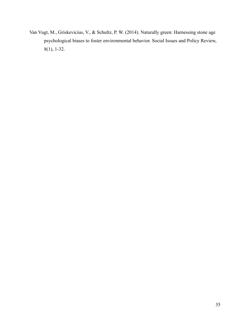Van Vugt, M., Griskevicius, V., & Schultz, P. W. (2014). Naturally green: Harnessing stone age psychological biases to foster environmental behavior. Social Issues and Policy Review, 8(1), 1-32.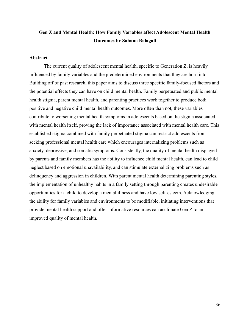## **Gen Z and Mental Health: How Family Variables affect Adolescent Mental Health Outcomes by Sahana Balagali**

#### **Abstract**

The current quality of adolescent mental health, specific to Generation Z, is heavily influenced by family variables and the predetermined environments that they are born into. Building off of past research, this paper aims to discuss three specific family-focused factors and the potential effects they can have on child mental health. Family perpetuated and public mental health stigma, parent mental health, and parenting practices work together to produce both positive and negative child mental health outcomes. More often than not, these variables contribute to worsening mental health symptoms in adolescents based on the stigma associated with mental health itself, proving the lack of importance associated with mental health care. This established stigma combined with family perpetuated stigma can restrict adolescents from seeking professional mental health care which encourages internalizing problems such as anxiety, depressive, and somatic symptoms. Consistently, the quality of mental health displayed by parents and family members has the ability to influence child mental health, can lead to child neglect based on emotional unavailability, and can stimulate externalizing problems such as delinquency and aggression in children. With parent mental health determining parenting styles, the implementation of unhealthy habits in a family setting through parenting creates undesirable opportunities for a child to develop a mental illness and have low self-esteem. Acknowledging the ability for family variables and environments to be modifiable, initiating interventions that provide mental health support and offer informative resources can acclimate Gen Z to an improved quality of mental health.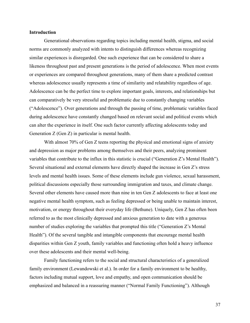### **Introduction**

Generational observations regarding topics including mental health, stigma, and social norms are commonly analyzed with intents to distinguish differences whereas recognizing similar experiences is disregarded. One such experience that can be considered to share a likeness throughout past and present generations is the period of adolescence. When most events or experiences are compared throughout generations, many of them share a predicted contrast whereas adolescence usually represents a time of similarity and relatability regardless of age. Adolescence can be the perfect time to explore important goals, interests, and relationships but can comparatively be very stressful and problematic due to constantly changing variables ("Adolescence"). Over generations and through the passing of time, problematic variables faced during adolescence have constantly changed based on relevant social and political events which can alter the experience in itself. One such factor currently affecting adolescents today and Generation Z (Gen Z) in particular is mental health.

With almost 70% of Gen Z teens reporting the physical and emotional signs of anxiety and depression as major problems among themselves and their peers, analyzing prominent variables that contribute to the influx in this statistic is crucial ("Generation Z's Mental Health"). Several situational and external elements have directly shaped the increase in Gen Z's stress levels and mental health issues. Some of these elements include gun violence, sexual harassment, political discussions especially those surrounding immigration and taxes, and climate change. Several other elements have caused more than nine in ten Gen Z adolescents to face at least one negative mental health symptom, such as feeling depressed or being unable to maintain interest, motivation, or energy throughout their everyday life (Bethune). Uniquely, Gen Z has often been referred to as the most clinically depressed and anxious generation to date with a generous number of studies exploring the variables that prompted this title ("Generation Z's Mental Health"). Of the several tangible and intangible components that encourage mental health disparities within Gen Z youth, family variables and functioning often hold a heavy influence over these adolescents and their mental well-being.

Family functioning refers to the social and structural characteristics of a generalized family environment (Lewandowski et al.). In order for a family environment to be healthy, factors including mutual support, love and empathy, and open communication should be emphasized and balanced in a reassuring manner ("Normal Family Functioning"). Although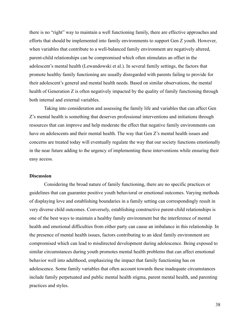there is no "right" way to maintain a well functioning family, there are effective approaches and efforts that should be implemented into family environments to support Gen Z youth. However, when variables that contribute to a well-balanced family environment are negatively altered, parent-child relationships can be compromised which often stimulates an offset in the adolescent's mental health (Lewandowski et al.). In several family settings, the factors that promote healthy family functioning are usually disregarded with parents failing to provide for their adolescent's general and mental health needs. Based on similar observations, the mental health of Generation Z is often negatively impacted by the quality of family functioning through both internal and external variables.

Taking into consideration and assessing the family life and variables that can affect Gen Z's mental health is something that deserves professional interventions and initiations through resources that can improve and help moderate the effect that negative family environments can have on adolescents and their mental health. The way that Gen Z's mental health issues and concerns are treated today will eventually regulate the way that our society functions emotionally in the near future adding to the urgency of implementing these interventions while ensuring their easy access.

### **Discussion**

Considering the broad nature of family functioning, there are no specific practices or guidelines that can guarantee positive youth behavioral or emotional outcomes. Varying methods of displaying love and establishing boundaries in a family setting can correspondingly result in very diverse child outcomes. Conversely, establishing constructive parent-child relationships is one of the best ways to maintain a healthy family environment but the interference of mental health and emotional difficulties from either party can cause an imbalance in this relationship. In the presence of mental health issues, factors contributing to an ideal family environment are compromised which can lead to misdirected development during adolescence. Being exposed to similar circumstances during youth promotes mental health problems that can affect emotional behavior well into adulthood, emphasizing the impact that family functioning has on adolescence. Some family variables that often account towards these inadequate circumstances include family perpetuated and public mental health stigma, parent mental health, and parenting practices and styles.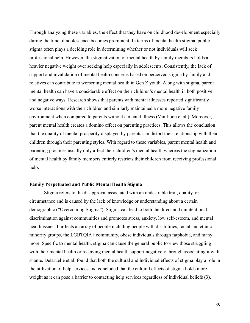Through analyzing these variables, the effect that they have on childhood development especially during the time of adolescence becomes prominent. In terms of mental health stigma, public stigma often plays a deciding role in determining whether or not individuals will seek professional help. However, the stigmatization of mental health by family members holds a heavier negative weight over seeking help especially in adolescents. Consistently, the lack of support and invalidation of mental health concerns based on perceived stigma by family and relatives can contribute to worsening mental health in Gen Z youth. Along with stigma, parent mental health can have a considerable effect on their children's mental health in both positive and negative ways. Research shows that parents with mental illnesses reported significantly worse interactions with their children and similarly maintained a more negative family environment when compared to parents without a mental illness (Van Loon et al.). Moreover, parent mental health creates a domino effect on parenting practices. This allows the conclusion that the quality of mental prosperity displayed by parents can distort their relationship with their children through their parenting styles. With regard to these variables, parent mental health and parenting practices usually only affect their children's mental health whereas the stigmatization of mental health by family members entirely restricts their children from receiving professional help.

### **Family Perpetuated and Public Mental Health Stigma**

Stigma refers to the disapproval associated with an undesirable trait, quality, or circumstance and is caused by the lack of knowledge or understanding about a certain demographic ("Overcoming Stigma"). Stigma can lead to both the direct and unintentional discrimination against communities and promotes stress, anxiety, low self-esteem, and mental health issues. It affects an array of people including people with disabilities, racial and ethnic minority groups, the LGBTQIA+ community, obese individuals through fatphobia, and many more. Specific to mental health, stigma can cause the general public to view those struggling with their mental health or receiving mental health support negatively through associating it with shame. Delaruelle et al. found that both the cultural and individual effects of stigma play a role in the utilization of help services and concluded that the cultural effects of stigma holds more weight as it can pose a barrier to contacting help services regardless of individual beliefs (3).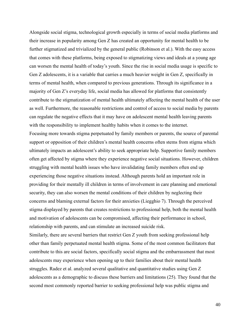Alongside social stigma, technological growth especially in terms of social media platforms and their increase in popularity among Gen Z has created an opportunity for mental health to be further stigmatized and trivialized by the general public (Robinson et al.). With the easy access that comes with these platforms, being exposed to stigmatizing views and ideals at a young age can worsen the mental health of today's youth. Since the rise in social media usage is specific to Gen Z adolescents, it is a variable that carries a much heavier weight in Gen Z, specifically in terms of mental health, when compared to previous generations. Through its significance in a majority of Gen Z's everyday life, social media has allowed for platforms that consistently contribute to the stigmatization of mental health ultimately affecting the mental health of the user as well. Furthermore, the reasonable restrictions and control of access to social media by parents can regulate the negative effects that it may have on adolescent mental health leaving parents with the responsibility to implement healthy habits when it comes to the internet. Focusing more towards stigma perpetuated by family members or parents, the source of parental support or opposition of their children's mental health concerns often stems from stigma which ultimately impacts an adolescent's ability to seek appropriate help. Supportive family members often get affected by stigma where they experience negative social situations. However, children struggling with mental health issues who have invalidating family members often end up experiencing those negative situations instead. Although parents hold an important role in providing for their mentally ill children in terms of involvement in care planning and emotional security, they can also worsen the mental conditions of their children by neglecting their concerns and blaming external factors for their anxieties (Liegghio 7). Through the perceived stigma displayed by parents that creates restrictions to professional help, both the mental health and motivation of adolescents can be compromised, affecting their performance in school, relationship with parents, and can stimulate an increased suicide risk.

Similarly, there are several barriers that restrict Gen Z youth from seeking professional help other than family perpetuated mental health stigma. Some of the most common facilitators that contribute to this are social factors, specifically social stigma and the embarrassment that most adolescents may experience when opening up to their families about their mental health struggles. Radez et al. analyzed several qualitative and quantitative studies using Gen Z adolescents as a demographic to discuss these barriers and limitations (25). They found that the second most commonly reported barrier to seeking professional help was public stigma and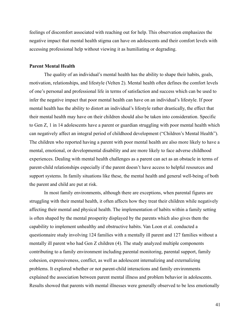feelings of discomfort associated with reaching out for help. This observation emphasizes the negative impact that mental health stigma can have on adolescents and their comfort levels with accessing professional help without viewing it as humiliating or degrading.

### **Parent Mental Health**

The quality of an individual's mental health has the ability to shape their habits, goals, motivation, relationships, and lifestyle (Velten 2). Mental health often defines the comfort levels of one's personal and professional life in terms of satisfaction and success which can be used to infer the negative impact that poor mental health can have on an individual's lifestyle. If poor mental health has the ability to distort an individual's lifestyle rather drastically, the effect that their mental health may have on their children should also be taken into consideration. Specific to Gen Z, 1 in 14 adolescents have a parent or guardian struggling with poor mental health which can negatively affect an integral period of childhood development ("Children's Mental Health"). The children who reported having a parent with poor mental health are also more likely to have a mental, emotional, or developmental disability and are more likely to face adverse childhood experiences. Dealing with mental health challenges as a parent can act as an obstacle in terms of parent-child relationships especially if the parent doesn't have access to helpful resources and support systems. In family situations like these, the mental health and general well-being of both the parent and child are put at risk.

In most family environments, although there are exceptions, when parental figures are struggling with their mental health, it often affects how they treat their children while negatively affecting their mental and physical health. The implementation of habits within a family setting is often shaped by the mental prosperity displayed by the parents which also gives them the capability to implement unhealthy and obstructive habits. Van Loon et al. conducted a questionnaire study involving 124 families with a mentally ill parent and 127 families without a mentally ill parent who had Gen Z children (4). The study analyzed multiple components contributing to a family environment including parental monitoring, parental support, family cohesion, expressiveness, conflict, as well as adolescent internalizing and externalizing problems. It explored whether or not parent-child interactions and family environments explained the association between parent mental illness and problem behavior in adolescents. Results showed that parents with mental illnesses were generally observed to be less emotionally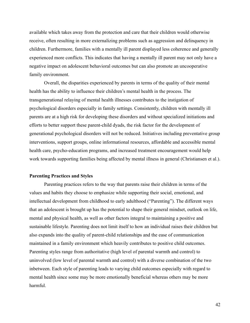available which takes away from the protection and care that their children would otherwise receive, often resulting in more externalizing problems such as aggression and delinquency in children. Furthermore, families with a mentally ill parent displayed less coherence and generally experienced more conflicts. This indicates that having a mentally ill parent may not only have a negative impact on adolescent behavioral outcomes but can also promote an uncooperative family environment.

Overall, the disparities experienced by parents in terms of the quality of their mental health has the ability to influence their children's mental health in the process. The transgenerational relaying of mental health illnesses contributes to the instigation of psychological disorders especially in family settings. Consistently, children with mentally ill parents are at a high risk for developing these disorders and without specialized initiations and efforts to better support these parent-child dyads, the risk factor for the development of generational psychological disorders will not be reduced. Initiatives including preventative group interventions, support groups, online informational resources, affordable and accessible mental health care, psycho-education programs, and increased treatment encouragement would help work towards supporting families being affected by mental illness in general (Christiansen et al.).

### **Parenting Practices and Styles**

Parenting practices refers to the way that parents raise their children in terms of the values and habits they choose to emphasize while supporting their social, emotional, and intellectual development from childhood to early adulthood ("Parenting"). The different ways that an adolescent is brought up has the potential to shape their general mindset, outlook on life, mental and physical health, as well as other factors integral to maintaining a positive and sustainable lifestyle. Parenting does not limit itself to how an individual raises their children but also expands into the quality of parent-child relationships and the ease of communication maintained in a family environment which heavily contributes to positive child outcomes. Parenting styles range from authoritative (high level of parental warmth and control) to uninvolved (low level of parental warmth and control) with a diverse combination of the two inbetween. Each style of parenting leads to varying child outcomes especially with regard to mental health since some may be more emotionally beneficial whereas others may be more harmful.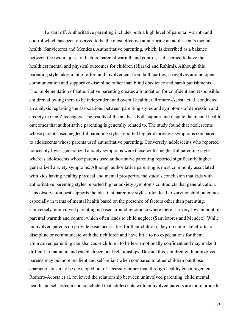To start off, Authoritative parenting includes both a high level of parental warmth and control which has been observed to be the most effective at nurturing an adolescent's mental health (Sanvictores and Mendez). Authoritative parenting, which is described as a balance between the two major care factors, parental warmth and control, is discerned to have the healthiest mental and physical outcomes for children (Niaraki and Rahimi). Although this parenting style takes a lot of effort and involvement from both parties, it revolves around open communication and supportive discipline rather than blind obedience and harsh punishments. The implementation of authoritative parenting creates a foundation for confident and responsible children allowing them to be independent and overall healthier. Romero-Acosta et al. conducted an analysis regarding the associations between parenting styles and symptoms of depression and anxiety in Gen Z teenagers. The results of the analysis both support and dispute the mental health outcomes that authoritative parenting is generally related to. The study found that adolescents whose parents used neglectful parenting styles reported higher depressive symptoms compared to adolescents whose parents used authoritative parenting. Conversely, adolescents who reported noticeably lower generalized anxiety symptoms were those with a neglectful parenting style whereas adolescents whose parents used authoritative parenting reported significantly higher generalized anxiety symptoms. Although authoritative parenting is most commonly associated with kids having healthy physical and mental prosperity, the study's conclusion that kids with authoritative parenting styles reported higher anxiety symptoms contradicts that generalization. This observation best supports the idea that parenting styles often lead to varying child outcomes especially in terms of mental health based on the presence of factors other than parenting. Conversely, uninvolved parenting is based around ignorance where there is a very low amount of parental warmth and control which often leads to child neglect (Sanvictores and Mendez). While uninvolved parents do provide basic necessities for their children, they do not make efforts to discipline or communicate with their children and have little to no expectations for them. Uninvolved parenting can also cause children to be less emotionally confident and may make it difficult to maintain and establish personal relationships. Despite this, children with uninvolved parents may be more resilient and self-reliant when compared to other children but those characteristics may be developed out of necessity rather than through healthy encouragement. Romero-Acosta et al. reviewed the relationship between uninvolved parenting, child mental health and self-esteem and concluded that adolescents with uninvolved parents are more prone to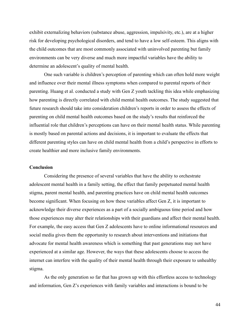exhibit externalizing behaviors (substance abuse, aggression, impulsivity, etc.), are at a higher risk for developing psychological disorders, and tend to have a low self-esteem. This aligns with the child outcomes that are most commonly associated with uninvolved parenting but family environments can be very diverse and much more impactful variables have the ability to determine an adolescent's quality of mental health.

One such variable is children's perception of parenting which can often hold more weight and influence over their mental illness symptoms when compared to parental reports of their parenting. Huang et al. conducted a study with Gen Z youth tackling this idea while emphasizing how parenting is directly correlated with child mental health outcomes. The study suggested that future research should take into consideration children's reports in order to assess the effects of parenting on child mental health outcomes based on the study's results that reinforced the influential role that children's perceptions can have on their mental health status. While parenting is mostly based on parental actions and decisions, it is important to evaluate the effects that different parenting styles can have on child mental health from a child's perspective in efforts to create healthier and more inclusive family environments.

#### **Conclusion**

Considering the presence of several variables that have the ability to orchestrate adolescent mental health in a family setting, the effect that family perpetuated mental health stigma, parent mental health, and parenting practices have on child mental health outcomes become significant. When focusing on how these variables affect Gen Z, it is important to acknowledge their diverse experiences as a part of a socially ambiguous time period and how those experiences may alter their relationships with their guardians and affect their mental health. For example, the easy access that Gen Z adolescents have to online informational resources and social media gives them the opportunity to research about interventions and initiations that advocate for mental health awareness which is something that past generations may not have experienced at a similar age. However, the ways that these adolescents choose to access the internet can interfere with the quality of their mental health through their exposure to unhealthy stigma.

As the only generation so far that has grown up with this effortless access to technology and information, Gen Z's experiences with family variables and interactions is bound to be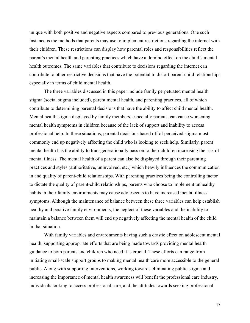unique with both positive and negative aspects compared to previous generations. One such instance is the methods that parents may use to implement restrictions regarding the internet with their children. These restrictions can display how parental roles and responsibilities reflect the parent's mental health and parenting practices which have a domino effect on the child's mental health outcomes. The same variables that contribute to decisions regarding the internet can contribute to other restrictive decisions that have the potential to distort parent-child relationships especially in terms of child mental health.

The three variables discussed in this paper include family perpetuated mental health stigma (social stigma included), parent mental health, and parenting practices, all of which contribute to determining parental decisions that have the ability to affect child mental health. Mental health stigma displayed by family members, especially parents, can cause worsening mental health symptoms in children because of the lack of support and inability to access professional help. In these situations, parental decisions based off of perceived stigma most commonly end up negatively affecting the child who is looking to seek help. Similarly, parent mental health has the ability to transgenerationally pass on to their children increasing the risk of mental illness. The mental health of a parent can also be displayed through their parenting practices and styles (authoritative, uninvolved, etc.) which heavily influences the communication in and quality of parent-child relationships. With parenting practices being the controlling factor to dictate the quality of parent-child relationships, parents who choose to implement unhealthy habits in their family environments may cause adolescents to have increased mental illness symptoms. Although the maintenance of balance between these three variables can help establish healthy and positive family environments, the neglect of these variables and the inability to maintain a balance between them will end up negatively affecting the mental health of the child in that situation.

With family variables and environments having such a drastic effect on adolescent mental health, supporting appropriate efforts that are being made towards providing mental health guidance to both parents and children who need it is crucial. These efforts can range from initiating small-scale support groups to making mental health care more accessible to the general public. Along with supporting interventions, working towards eliminating public stigma and increasing the importance of mental health awareness will benefit the professional care industry, individuals looking to access professional care, and the attitudes towards seeking professional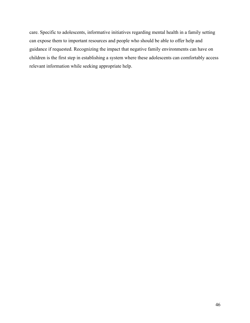care. Specific to adolescents, informative initiatives regarding mental health in a family setting can expose them to important resources and people who should be able to offer help and guidance if requested. Recognizing the impact that negative family environments can have on children is the first step in establishing a system where these adolescents can comfortably access relevant information while seeking appropriate help.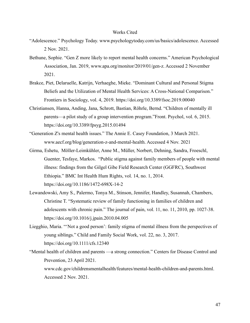#### Works Cited

- "Adolescence." Psychology Today. www.psychologytoday.com/us/basics/adolescence. Accessed 2 Nov. 2021.
- Bethune, Sophie. "Gen Z more likely to report mental health concerns." American Psychological Association, Jan. 2019, www.apa.org/monitor/2019/01/gen-z. Accessed 2 November 2021.
- Brakce, Piet, Delaruelle, Katrijn, Verhaeghe, Mieke. "Dominant Cultural and Personal Stigma Beliefs and the Utilization of Mental Health Services: A Cross-National Comparison." Frontiers in Sociology, vol. 4, 2019. https://doi.org/10.3389/fsoc.2019.00040
- Christiansen, Hanna, Anding, Jana, Schrott, Bastian, Röhrle, Bernd. "Children of mentally ill parents—a pilot study of a group intervention program."Front. Psychol, vol. 6, 2015. https://doi.org/10.3389/fpsyg.2015.01494
- "Generation Z's mental health issues." The Annie E. Casey Foundation, 3 March 2021. www.aecf.org/blog/generation-z-and-mental-health. Accessed 4 Nov. 2021
- Girma, Eshetu, Möller-Leimkühler, Anne M., Müller, Norbert, Dehning, Sandra, Froeschl, Guenter, Tesfaye, Markos. "Public stigma against family members of people with mental illness: findings from the Gilgel Gibe Field Research Center (GGFRC), Southwest Ethiopia." BMC Int Health Hum Rights, vol. 14, no. 1, 2014. https://doi.org/10.1186/1472-698X-14-2
- Lewandowski, Amy S., Palermo, Tonya M., Stinson, Jennifer, Handley, Susannah, Chambers, Christine T. "Systematic review of family functioning in families of children and adolescents with chronic pain." The journal of pain, vol. 11, no. 11, 2010, pp. 1027-38. https://doi.org/10.1016/j.jpain.2010.04.005
- Liegghio, Maria. "'Not a good person': family stigma of mental illness from the perspectives of young siblings." Child and Family Social Work, vol. 22, no. 3, 2017. https://doi.org/10.1111/cfs.12340
- "Mental health of children and parents —a strong connection." Centers for Disease Control and Prevention, 23 April 2021.

www.cdc.gov/childrensmentalhealth/features/mental-health-children-and-parents.html. Accessed 2 Nov. 2021.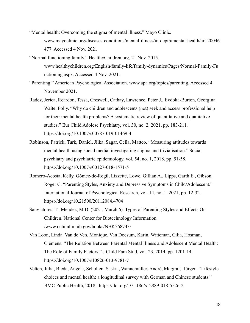- "Mental health: Overcoming the stigma of mental illness." Mayo Clinic. www.mayoclinic.org/diseases-conditions/mental-illness/in-depth/mental-health/art-20046 477. Accessed 4 Nov. 2021.
- "Normal functioning family." HealthyChildren.org, 21 Nov. 2015. www.healthychildren.org/English/family-life/family-dynamics/Pages/Normal-Family-Fu nctioning.aspx. Accessed 4 Nov. 2021.
- "Parenting." American Psychological Association. www.apa.org/topics/parenting. Accessed 4 November 2021.
- Radez, Jerica, Reardon, Tessa, Creswell, Cathay, Lawrence, Peter J., Evdoka-Burton, Georgina, Waite, Polly. "Why do children and adolescents (not) seek and access professional help for their mental health problems? A systematic review of quantitative and qualitative studies." Eur Child Adolesc Psychiatry, vol. 30, no. 2, 2021, pp. 183-211. https://doi.org/10.1007/s00787-019-01469-4
- Robinson, Patrick, Turk, Daniel, Jilka, Sagar, Cella, Matteo. "Measuring attitudes towards mental health using social media: investigating stigma and trivialisation." Social psychiatry and psychiatric epidemiology, vol. 54, no. 1, 2018, pp. 51-58. https://doi.org/10.1007/s00127-018-1571-5
- Romero-Acosta, Kelly, Gómez-de-Regil, Lizzette, Lowe, Gillian A., Lipps, Garth E., Gibson, Roger C. "Parenting Styles, Anxiety and Depressive Symptoms in Child/Adolescent." International Journal of Psychological Research, vol. 14, no. 1. 2021, pp. 12-32. https://doi.org/10.21500/20112084.4704
- Sanvictores, T., Mendez, M.D. (2021, March 6). Types of Parenting Styles and Effects On Children. National Center for Biotechnology Information. /www.ncbi.nlm.nih.gov/books/NBK568743/
- Van Loon, Linda, Van de Ven, Monique, Van Doesum, Karin, Witteman, Cilia, Hosman, Clemens. "The Relation Between Parental Mental Illness and Adolescent Mental Health: The Role of Family Factors." J Child Fam Stud, vol. 23, 2014, pp. 1201-14. https://doi.org/10.1007/s10826-013-9781-7
- Velten, Julia, Bieda, Angela, Scholten, Saskia, Wannemüller, André, Margraf, Jürgen. "Lifestyle choices and mental health: a longitudinal survey with German and Chinese students." BMC Public Health, 2018. https://doi.org/10.1186/s12889-018-5526-2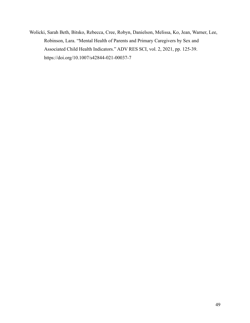Wolicki, Sarah Beth, Bitsko, Rebecca, Cree, Robyn, Danielson, Melissa, Ko, Jean, Warner, Lee, Robinson, Lara. "Mental Health of Parents and Primary Caregivers by Sex and Associated Child Health Indicators." ADV RES SCI, vol. 2, 2021, pp. 125-39. https://doi.org/10.1007/s42844-021-00037-7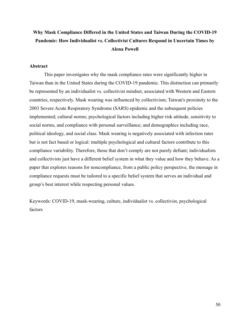# **Why Mask Compliance Differed in the United States and Taiwan During the COVID-19 Pandemic: How Individualist vs. Collectivist Cultures Respond in Uncertain Times by Alena Powell**

### **Abstract**

This paper investigates why the mask compliance rates were significantly higher in Taiwan than in the United States during the COVID-19 pandemic. This distinction can primarily be represented by an individualist vs. collectivist mindset, associated with Western and Eastern countries, respectively. Mask wearing was influenced by collectivism; Taiwan's proximity to the 2003 Severe Acute Respiratory Syndrome (SARS) epidemic and the subsequent policies implemented; cultural norms; psychological factors including higher risk attitude, sensitivity to social norms, and compliance with personal surveillance; and demographics including race, political ideology, and social class. Mask wearing is negatively associated with infection rates but is not fact based or logical: multiple psychological and cultural factors contribute to this compliance variability. Therefore, those that don't comply are not purely defiant; individualists and collectivists just have a different belief system in what they value and how they behave. As a paper that explores reasons for noncompliance, from a public policy perspective, the message in compliance requests must be tailored to a specific belief system that serves an individual and group's best interest while respecting personal values.

Keywords: COVID-19, mask-wearing, culture, individualist vs. collectivist, psychological factors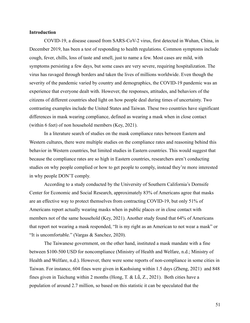### **Introduction**

COVID-19, a disease caused from SARS-CoV-2 virus, first detected in Wuhan, China, in December 2019, has been a test of responding to health regulations. Common symptoms include cough, fever, chills, loss of taste and smell, just to name a few. Most cases are mild, with symptoms persisting a few days, but some cases are very severe, requiring hospitalization. The virus has ravaged through borders and taken the lives of millions worldwide. Even though the severity of the pandemic varied by country and demographics, the COVID-19 pandemic was an experience that everyone dealt with. However, the responses, attitudes, and behaviors of the citizens of different countries shed light on how people deal during times of uncertainty. Two contrasting examples include the United States and Taiwan. These two countries have significant differences in mask wearing compliance, defined as wearing a mask when in close contact (within 6 feet) of non household members (Key, 2021).

In a literature search of studies on the mask compliance rates between Eastern and Western cultures, there were multiple studies on the compliance rates and reasoning behind this behavior in Western countries, but limited studies in Eastern countries. This would suggest that because the compliance rates are so high in Eastern countries, researchers aren't conducting studies on why people complied or how to get people to comply, instead they're more interested in why people DON'T comply.

According to a study conducted by the University of Southern California's Dornsife Center for Economic and Social Research, approximately 83% of Americans agree that masks are an effective way to protect themselves from contracting COVID-19, but only 51% of Americans report actually wearing masks when in public places or in close contact with members not of the same household (Key, 2021). Another study found that 64% of Americans that report not wearing a mask responded, "It is my right as an American to not wear a mask" or "It is uncomfortable." (Vargas & Sanchez, 2020).

The Taiwanese government, on the other hand, instituted a mask mandate with a fine between \$100-500 USD for noncompliance (Ministry of Health and Welfare, n.d.; Ministry of Health and Welfare, n.d.). However, there were some reports of non-compliance in some cities in Taiwan. For instance, 604 fines were given in Kaohsiung within 1.5 days (Zheng, 2021) and 848 fines given in Taichung within 2 months (Hong, T. & Lǚ, Z., 2021). Both cities have a population of around 2.7 million, so based on this statistic it can be speculated that the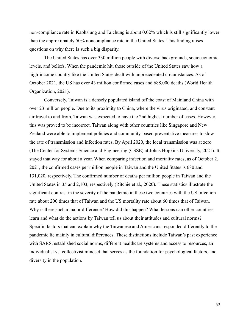non-compliance rate in Kaohsiung and Taichung is about 0.02% which is still significantly lower than the approximately 50% noncompliance rate in the United States. This finding raises questions on why there is such a big disparity.

The United States has over 330 million people with diverse backgrounds, socioeconomic levels, and beliefs. When the pandemic hit, those outside of the United States saw how a high-income country like the United States dealt with unprecedented circumstances. As of October 2021, the US has over 43 million confirmed cases and 688,000 deaths (World Health Organization, 2021).

Conversely, Taiwan is a densely populated island off the coast of Mainland China with over 23 million people. Due to its proximity to China, where the virus originated, and constant air travel to and from, Taiwan was expected to have the 2nd highest number of cases. However, this was proved to be incorrect. Taiwan along with other countries like Singapore and New Zealand were able to implement policies and community-based preventative measures to slow the rate of transmission and infection rates. By April 2020, the local transmission was at zero (The Center for Systems Science and Engineering (CSSE) at Johns Hopkins University, 2021). It stayed that way for about a year. When comparing infection and mortality rates, as of October 2, 2021, the confirmed cases per million people in Taiwan and the United States is 680 and 131,020, respectively. The confirmed number of deaths per million people in Taiwan and the United States in 35 and 2,103, respectively (Ritchie et al., 2020). These statistics illustrate the significant contrast in the severity of the pandemic in these two countries with the US infection rate about 200 times that of Taiwan and the US mortality rate about 60 times that of Taiwan. Why is there such a major difference? How did this happen? What lessons can other countries learn and what do the actions by Taiwan tell us about their attitudes and cultural norms? Specific factors that can explain why the Taiwanese and Americans responded differently to the pandemic lie mainly in cultural differences. These distinctions include Taiwan's past experience with SARS, established social norms, different healthcare systems and access to resources, an individualist vs. collectivist mindset that serves as the foundation for psychological factors, and diversity in the population.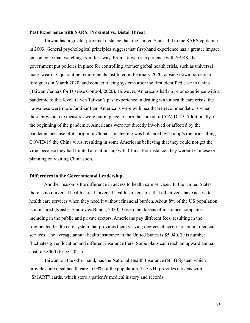### **Past Experience with SARS: Proximal vs. Distal Threat**

Taiwan had a greater proximal distance than the United States did to the SARS epidemic in 2003. General psychological principles suggest that first-hand experience has a greater impact on someone than watching from far away. From Taiwan's experience with SARS, the government put policies in place for controlling another global health crisis, such as universal mask-wearing, quarantine requirements instituted in February 2020, closing down borders to foreigners in March 2020, and contact tracing systems after the first identified case in China (Taiwan Centers for Disease Control, 2020). However, Americans had no prior experience with a pandemic to this level. Given Taiwan's past experience in dealing with a health care crisis, the Taiwanese were more familiar than Americans were with healthcare recommendations when these preventative measures were put in place to curb the spread of COVID-19. Additionally, in the beginning of the pandemic, Americans were not directly involved or affected by the pandemic because of its origin in China. This feeling was bolstered by Trump's rhetoric calling COVID-19 the China virus, resulting in some Americans believing that they could not get the virus because they had limited a relationship with China. For instance, they weren't Chinese or planning on visiting China soon.

### **Differences in the Governmental Leadership**

Another reason is the difference in access to health care services. In the United States, there is no universal health care. Universal health care ensures that all citizens have access to health care services when they need it without financial burden. About 8% of the US population is uninsured (Keisler-Starkey & Bunch, 2020). Given the dozens of insurance companies, including in the public and private sectors, Americans pay different fees, resulting in the fragmented health care system that provides them varying degrees of access to certain medical services. The average annual health insurance in the United States is \$5,940. This number fluctuates given location and different insurance tiers. Some plans can reach an upward annual cost of \$8000 (Price, 2021).

Taiwan, on the other hand, has the National Health Insurance (NHI) System which provides universal health care to 99% of the population. The NHI provides citizens with "SMART" cards, which store a patient's medical history and records.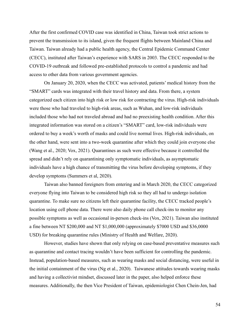After the first confirmed COVID case was identified in China, Taiwan took strict actions to prevent the transmission to its island, given the frequent flights between Mainland China and Taiwan. Taiwan already had a public health agency, the Central Epidemic Command Center (CECC), instituted after Taiwan's experience with SARS in 2003. The CECC responded to the COVID-19 outbreak and followed pre-established protocols to control a pandemic and had access to other data from various government agencies.

On January 20, 2020, when the CECC was activated, patients' medical history from the "SMART" cards was integrated with their travel history and data. From there, a system categorized each citizen into high risk or low risk for contracting the virus. High-risk individuals were those who had traveled to high-risk areas, such as Wuhan, and low-risk individuals included those who had not traveled abroad and had no preexisting health condition. After this integrated information was stored on a citizen's "SMART" card, low-risk individuals were ordered to buy a week's worth of masks and could live normal lives. High-risk individuals, on the other hand, were sent into a two-week quarantine after which they could join everyone else (Wang et al., 2020; Vox, 2021). Quarantines as such were effective because it controlled the spread and didn't rely on quarantining only symptomatic individuals, as asymptomatic individuals have a high chance of transmitting the virus before developing symptoms, if they develop symptoms (Summers et al, 2020).

Taiwan also banned foreigners from entering and in March 2020, the CECC categorized everyone flying into Taiwan to be considered high risk so they all had to undergo isolation quarantine. To make sure no citizens left their quarantine facility, the CECC tracked people's location using cell phone data. There were also daily phone call check-ins to monitor any possible symptoms as well as occasional in-person check-ins (Vox, 2021). Taiwan also instituted a fine between NT \$200,000 and NT \$1,000,000 (approximately \$7000 USD and \$36,0000 USD) for breaking quarantine rules (Ministry of Health and Welfare, 2020).

However, studies have shown that only relying on case-based preventative measures such as quarantine and contact tracing wouldn't have been sufficient for controlling the pandemic. Instead, population-based measures, such as wearing masks and social distancing, were useful in the initial containment of the virus (Ng et al., 2020). Taiwanese attitudes towards wearing masks and having a collectivist mindset, discussed later in the paper, also helped enforce these measures. Additionally, the then Vice President of Taiwan, epidemiologist Chen Chein-Jen, had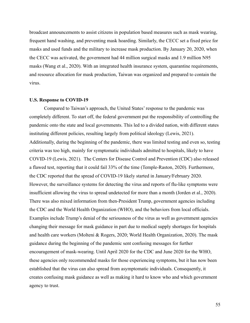broadcast announcements to assist citizens in population based measures such as mask wearing, frequent hand washing, and preventing mask hoarding. Similarly, the CECC set a fixed price for masks and used funds and the military to increase mask production. By January 20, 2020, when the CECC was activated, the government had 44 million surgical masks and 1.9 million N95 masks (Wang et al., 2020). With an integrated health insurance system, quarantine requirements, and resource allocation for mask production, Taiwan was organized and prepared to contain the virus.

#### **U.S. Response to COVID-19**

Compared to Taiwan's approach, the United States' response to the pandemic was completely different. To start off, the federal government put the responsibility of controlling the pandemic onto the state and local governments. This led to a divided nation, with different states instituting different policies, resulting largely from political ideology (Lewis, 2021). Additionally, during the beginning of the pandemic, there was limited testing and even so, testing criteria was too high, mainly for symptomatic individuals admitted to hospitals, likely to have COVID-19 (Lewis, 2021). The Centers for Disease Control and Prevention (CDC) also released a flawed test, reporting that it could fail 33% of the time (Temple-Raston, 2020). Furthermore, the CDC reported that the spread of COVID-19 likely started in January/February 2020. However, the surveillance systems for detecting the virus and reports of flu-like symptoms were insufficient allowing the virus to spread undetected for more than a month (Jorden et al., 2020). There was also mixed information from then-President Trump, government agencies including the CDC and the World Health Organization (WHO), and the behaviors from local officials. Examples include Trump's denial of the seriousness of the virus as well as government agencies changing their message for mask guidance in part due to medical supply shortages for hospitals and health care workers (Molteni & Rogers, 2020; World Health Organization, 2020). The mask guidance during the beginning of the pandemic sent confusing messages for further encouragement of mask-wearing. Until April 2020 for the CDC and June 2020 for the WHO, these agencies only recommended masks for those experiencing symptoms, but it has now been established that the virus can also spread from asymptomatic individuals. Consequently, it creates confusing mask guidance as well as making it hard to know who and which government agency to trust.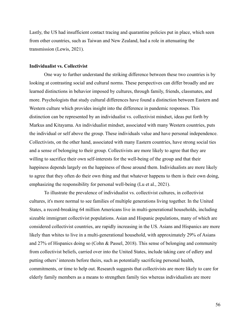Lastly, the US had insufficient contact tracing and quarantine policies put in place, which seen from other countries, such as Taiwan and New Zealand, had a role in attenuating the transmission (Lewis, 2021).

### **Individualist vs. Collectivist**

One way to further understand the striking difference between these two countries is by looking at contrasting social and cultural norms. These perspectives can differ broadly and are learned distinctions in behavior imposed by cultures, through family, friends, classmates, and more. Psychologists that study cultural differences have found a distinction between Eastern and Western culture which provides insight into the difference in pandemic responses. This distinction can be represented by an individualist vs. collectivist mindset, ideas put forth by Markus and Kitayama. An individualist mindset, associated with many Western countries, puts the individual or self above the group. These individuals value and have personal independence. Collectivists, on the other hand, associated with many Eastern countries, have strong social ties and a sense of belonging to their group. Collectivists are more likely to agree that they are willing to sacrifice their own self-interests for the well-being of the group and that their happiness depends largely on the happiness of those around them. Individualists are more likely to agree that they often do their own thing and that whatever happens to them is their own doing, emphasizing the responsibility for personal well-being (Lu et al., 2021).

To illustrate the prevalence of individualist vs. collectivist cultures, in collectivist cultures, it's more normal to see families of multiple generations living together. In the United States, a record-breaking 64 million Americans live in multi-generational households, including sizeable immigrant collectivist populations. Asian and Hispanic populations, many of which are considered collectivist countries, are rapidly increasing in the US. Asians and Hispanics are more likely than whites to live in a multi-generational household, with approximately 29% of Asians and 27% of Hispanics doing so (Cohn & Passel, 2018). This sense of belonging and community from collectivist beliefs, carried over into the United States, include taking care of edlery and putting others' interests before theirs, such as potentially sacrificing personal health, commitments, or time to help out. Research suggests that collectivists are more likely to care for elderly family members as a means to strengthen family ties whereas individualists are more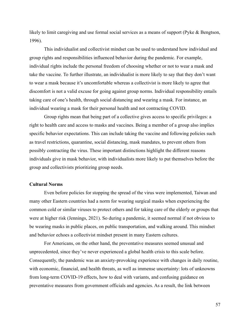likely to limit caregiving and use formal social services as a means of support (Pyke & Bengtson, 1996).

This individualist and collectivist mindset can be used to understand how individual and group rights and responsibilities influenced behavior during the pandemic. For example, individual rights include the personal freedom of choosing whether or not to wear a mask and take the vaccine. To further illustrate, an individualist is more likely to say that they don't want to wear a mask because it's uncomfortable whereas a collectivist is more likely to agree that discomfort is not a valid excuse for going against group norms. Individual responsibility entails taking care of one's health, through social distancing and wearing a mask. For instance, an individual wearing a mask for their personal health and not contracting COVID.

Group rights mean that being part of a collective gives access to specific privileges: a right to health care and access to masks and vaccines. Being a member of a group also implies specific behavior expectations. This can include taking the vaccine and following policies such as travel restrictions, quarantine, social distancing, mask mandates, to prevent others from possibly contracting the virus. These important distinctions highlight the different reasons individuals give in mask behavior, with individualists more likely to put themselves before the group and collectivists prioritizing group needs.

### **Cultural Norms**

Even before policies for stopping the spread of the virus were implemented, Taiwan and many other Eastern countries had a norm for wearing surgical masks when experiencing the common cold or similar viruses to protect others and for taking care of the elderly or groups that were at higher risk (Jennings, 2021). So during a pandemic, it seemed normal if not obvious to be wearing masks in public places, on public transportation, and walking around. This mindset and behavior echoes a collectivist mindset present in many Eastern cultures.

For Americans, on the other hand, the preventative measures seemed unusual and unprecedented, since they've never experienced a global health crisis to this scale before. Consequently, the pandemic was an anxiety-provoking experience with changes in daily routine, with economic, financial, and health threats, as well as immense uncertainty: lots of unknowns from long-term COVID-19 effects, how to deal with variants, and confusing guidance on preventative measures from government officials and agencies. As a result, the link between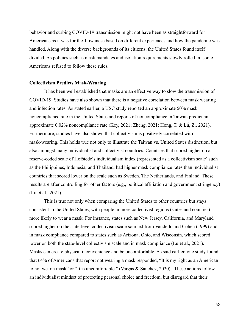behavior and curbing COVID-19 transmission might not have been as straightforward for Americans as it was for the Taiwanese based on different experiences and how the pandemic was handled. Along with the diverse backgrounds of its citizens, the United States found itself divided. As policies such as mask mandates and isolation requirements slowly rolled in, some Americans refused to follow these rules.

### **Collectivism Predicts Mask-Wearing**

It has been well established that masks are an effective way to slow the transmission of COVID-19. Studies have also shown that there is a negative correlation between mask wearing and infection rates. As stated earlier, a USC study reported an approximate 50% mask noncompliance rate in the United States and reports of noncompliance in Taiwan predict an approximate 0.02% noncompliance rate (Key, 2021; Zheng, 2021; Hong, T. & Lǚ, Z., 2021). Furthermore, studies have also shown that collectivism is positively correlated with mask-wearing. This holds true not only to illustrate the Taiwan vs. United States distinction, but also amongst many individualist and collectivist countries. Countries that scored higher on a reserve-coded scale of Hofstede's individualism index (represented as a collectivism scale) such as the Philippines, Indonesia, and Thailand, had higher mask compliance rates than individualist countries that scored lower on the scale such as Sweden, The Netherlands, and Finland. These results are after controlling for other factors (e.g., political affiliation and government stringency) (Lu et al., 2021).

This is true not only when comparing the United States to other countries but stays consistent in the United States, with people in more collectivist regions (states and counties) more likely to wear a mask. For instance, states such as New Jersey, California, and Maryland scored higher on the state-level collectivism scale sourced from Vandello and Cohen (1999) and in mask compliance compared to states such as Arizona, Ohio, and Wisconsin, which scored lower on both the state-level collectivism scale and in mask compliance (Lu et al., 2021). Masks can create physical inconvenience and be uncomfortable. As said earlier, one study found that 64% of Americans that report not wearing a mask responded, "It is my right as an American to not wear a mask" or "It is uncomfortable." (Vargas & Sanchez, 2020). These actions follow an individualist mindset of protecting personal choice and freedom, but disregard that their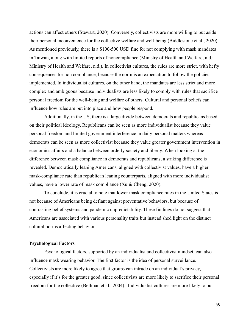actions can affect others (Stewart, 2020). Conversely, collectivists are more willing to put aside their personal inconvenience for the collective welfare and well-being (Biddlestone et al., 2020). As mentioned previously, there is a \$100-500 USD fine for not complying with mask mandates in Taiwan, along with limited reports of noncompliance (Ministry of Health and Welfare, n.d.; Ministry of Health and Welfare, n.d.). In collectivist cultures, the rules are more strict, with hefty consequences for non compliance, because the norm is an expectation to follow the policies implemented. In individualist cultures, on the other hand, the mandates are less strict and more complex and ambiguous because individualists are less likely to comply with rules that sacrifice personal freedom for the well-being and welfare of others. Cultural and personal beliefs can influence how rules are put into place and how people respond.

Additionally, in the US, there is a large divide between democrats and republicans based on their political ideology. Republicans can be seen as more individualist because they value personal freedom and limited government interference in daily personal matters whereas democrats can be seen as more collectivist because they value greater government intervention in economics affairs and a balance between orderly society and liberty. When looking at the difference between mask compliance in democrats and republicans, a striking difference is revealed. Democratically leaning Americans, aligned with collectivist values, have a higher mask-compliance rate than republican leaning counterparts, aligned with more individualist values, have a lower rate of mask compliance (Xu & Cheng, 2020).

To conclude, it is crucial to note that lower mask compliance rates in the United States is not because of Americans being defiant against preventative behaviors, but because of contrasting belief systems and pandemic unpredictability. These findings do not suggest that Americans are associated with various personality traits but instead shed light on the distinct cultural norms affecting behavior.

### **Psychological Factors**

Psychological factors, supported by an individualist and collectivist mindset, can also influence mask wearing behavior. The first factor is the idea of personal surveillance. Collectivists are more likely to agree that groups can intrude on an individual's privacy, especially if it's for the greater good, since collectivists are more likely to sacrifice their personal freedom for the collective (Bellman et al., 2004). Individualist cultures are more likely to put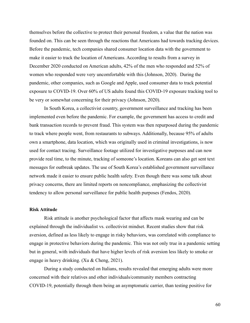themselves before the collective to protect their personal freedom, a value that the nation was founded on. This can be seen through the reactions that Americans had towards tracking devices. Before the pandemic, tech companies shared consumer location data with the government to make it easier to track the location of Americans. According to results from a survey in December 2020 conducted on American adults, 42% of the men who responded and 52% of women who responded were very uncomfortable with this (Johnson, 2020). During the pandemic, other companies, such as Google and Apple, used consumer data to track potential exposure to COVID-19. Over 60% of US adults found this COVID-19 exposure tracking tool to be very or somewhat concerning for their privacy (Johnson, 2020).

In South Korea, a collectivist country, government surveillance and tracking has been implemented even before the pandemic. For example, the government has access to credit and bank transaction records to prevent fraud. This system was then repurposed during the pandemic to track where people went, from restaurants to subways. Additionally, because 95% of adults own a smartphone, data location, which was originally used in criminal investigations, is now used for contact tracing. Surveillance footage utilized for investigative purposes and can now provide real time, to the minute, tracking of someone's location. Koreans can also get sent text messages for outbreak updates. The use of South Korea's established government surveillance network made it easier to ensure public health safety. Even though there was some talk about privacy concerns, there are limited reports on noncompliance, emphasizing the collectivist tendency to allow personal surveillance for public health purposes (Fendos, 2020).

### **Risk Attitude**

Risk attitude is another psychological factor that affects mask wearing and can be explained through the individualist vs. collectivist mindset. Recent studies show that risk aversion, defined as less likely to engage in risky behaviors, was correlated with compliance to engage in protective behaviors during the pandemic. This was not only true in a pandemic setting but in general, with individuals that have higher levels of risk aversion less likely to smoke or engage in heavy drinking. (Xu & Cheng, 2021).

During a study conducted on Italians, results revealed that emerging adults were more concerned with their relatives and other individuals/community members contracting COVID-19, potentially through them being an asymptomatic carrier, than testing positive for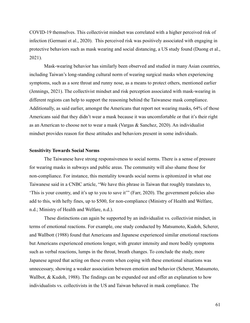COVID-19 themselves. This collectivist mindset was correlated with a higher perceived risk of infection (Germani et al., 2020). This perceived risk was positively associated with engaging in protective behaviors such as mask wearing and social distancing, a US study found (Duong et al., 2021).

Mask-wearing behavior has similarly been observed and studied in many Asian countries, including Taiwan's long-standing cultural norm of wearing surgical masks when experiencing symptoms, such as a sore throat and runny nose, as a means to protect others, mentioned earlier (Jennings, 2021). The collectivist mindset and risk perception associated with mask-wearing in different regions can help to support the reasoning behind the Taiwanese mask compliance. Additionally, as said earlier, amongst the Americans that report not wearing masks, 64% of those Americans said that they didn't wear a mask because it was uncomfortable or that it's their right as an American to choose not to wear a mask (Vargas & Sanchez, 2020). An individualist mindset provides reason for these attitudes and behaviors present in some individuals.

### **Sensitivity Towards Social Norms**

The Taiwanese have strong responsiveness to social norms. There is a sense of pressure for wearing masks in subways and public areas. The community will also shame those for non-compliance. For instance, this mentality towards social norms is epitomized in what one Taiwanese said in a CNBC article, "We have this phrase in Taiwan that roughly translates to, 'This is your country, and it's up to you to save it'" (Farr, 2020). The government policies also add to this, with hefty fines, up to \$500, for non-compliance (Ministry of Health and Welfare, n.d.; Ministry of Health and Welfare, n.d.).

These distinctions can again be supported by an individualist vs. collectivist mindset, in terms of emotional reactions. For example, one study conducted by Matsumoto, Kudoh, Scherer, and Wallbott (1988) found that Americans and Japanese experienced similar emotional reactions but Americans experienced emotions longer, with greater intensity and more bodily symptoms such as verbal reactions, lumps in the throat, breath changes. To conclude the study, more Japanese agreed that acting on these events when coping with these emotional situations was unnecessary, showing a weaker association between emotion and behavior (Scherer, Matsumoto, Wallbot, & Kudoh, 1988). The findings can be expanded out and offer an explanation to how individualists vs. collectivists in the US and Taiwan behaved in mask compliance. The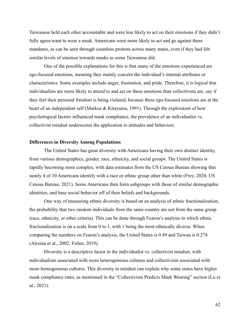Taiwanese held each other accountable and were less likely to act on their emotions if they didn't fully agree/want to wear a mask. Americans were more likely to act and go against these mandates, as can be seen through countless protests across many states, even if they had felt similar levels of emotion towards masks as some Taiwanese did.

One of the possible explanations for this is that many of the emotions experienced are ego-focused emotions, meaning they mainly concern the individual's internal attributes or characteristics. Some examples include anger, frustration, and pride. Therefore, it is logical that individualists are more likely to attend to and act on these emotions than collectivists are, say if they feel their personal freedom is being violated, because these ego-focused emotions are at the heart of an independent self (Markus & Kitayama, 1991). Through the exploration of how psychological factors influenced mask compliance, the prevalence of an individualist vs. collectivist mindset underscores the application to attitudes and behaviors.

### **Differences in Diversity Among Populations**

The United States has great diversity with Americans having their own distinct identity, from various demographics, gender, race, ethnicity, and social groups. The United States is rapidly becoming more complex, with data estimates from the US Census Bureau showing that nearly 4 of 10 Americans identify with a race or ethnic group other than white (Frey, 2020; US Census Bureau, 2021). Some Americans then form subgroups with those of similar demographic identities, and base social behavior off of their beliefs and backgrounds.

One way of measuring ethnic diversity is based on an analysis of ethnic fractionalization, the probability that two random individuals from the same country are not from the same group (race, ethnicity, or other criteria). This can be done through Fearon's analysis in which ethnic fractionalization is on a scale from 0 to 1, with 1 being the most ethnically diverse. When comparing the numbers on Fearon's analysis, the United States is 0.49 and Taiwan is 0.274 (Alesina et al., 2002; Fisher, 2019).

Diversity is a descriptive factor in the individualist vs. collectivist mindset, with individualism associated with more heterogeneous cultures and collectivism associated with more homogeneous cultures. This diversity in mindset can explain why some states have higher mask compliance rates, as mentioned in the "Collectivism Predicts Mask Wearing" section (Lu et al., 2021).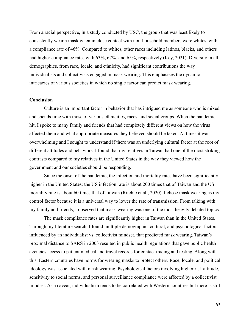From a racial perspective, in a study conducted by USC, the group that was least likely to consistently wear a mask when in close contact with non-household members were whites, with a compliance rate of 46%. Compared to whites, other races including latinos, blacks, and others had higher compliance rates with 63%, 67%, and 65%, respectively (Key, 2021). Diversity in all demographics, from race, locale, and ethnicity, had significant contributions the way individualists and collectivists engaged in mask wearing. This emphasizes the dynamic intricacies of various societies in which no single factor can predict mask wearing.

### **Conclusion**

Culture is an important factor in behavior that has intrigued me as someone who is mixed and spends time with those of various ethnicities, races, and social groups. When the pandemic hit, I spoke to many family and friends that had completely different views on how the virus affected them and what appropriate measures they believed should be taken. At times it was overwhelming and I sought to understand if there was an underlying cultural factor at the root of different attitudes and behaviors. I found that my relatives in Taiwan had one of the most striking contrasts compared to my relatives in the United States in the way they viewed how the government and our societies should be responding.

Since the onset of the pandemic, the infection and mortality rates have been significantly higher in the United States: the US infection rate is about 200 times that of Taiwan and the US mortality rate is about 60 times that of Taiwan (Ritchie et al., 2020). I chose mask wearing as my control factor because it is a universal way to lower the rate of transmission. From talking with my family and friends, I observed that mask-wearing was one of the most heavily debated topics.

The mask compliance rates are significantly higher in Taiwan than in the United States. Through my literature search, I found multiple demographic, cultural, and psychological factors, influenced by an individualist vs. collectivist mindset, that predicted mask wearing. Taiwan's proximal distance to SARS in 2003 resulted in public health regulations that gave public health agencies access to patient medical and travel records for contact tracing and testing. Along with this, Eastern countries have norms for wearing masks to protect others. Race, locale, and political ideology was associated with mask wearing. Psychological factors involving higher risk attitude, sensitivity to social norms, and personal surveillance compliance were affected by a collectivist mindset. As a caveat, individualism tends to be correlated with Western countries but there is still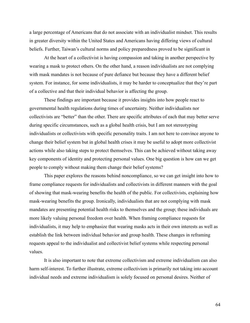a large percentage of Americans that do not associate with an individualist mindset. This results in greater diversity within the United States and Americans having differing views of cultural beliefs. Further, Taiwan's cultural norms and policy preparedness proved to be significant in

At the heart of a collectivist is having compassion and taking in another perspective by wearing a mask to protect others. On the other hand, a reason individualists are not complying with mask mandates is not because of pure defiance but because they have a different belief system. For instance, for some individualists, it may be harder to conceptualize that they're part of a collective and that their individual behavior is affecting the group.

These findings are important because it provides insights into how people react to governmental health regulations during times of uncertainty. Neither individualists nor collectivists are "better" than the other. There are specific attributes of each that may better serve during specific circumstances, such as a global health crisis, but I am not stereotyping individualists or collectivists with specific personality traits. I am not here to convince anyone to change their belief system but in global health crises it may be useful to adopt more collectivist actions while also taking steps to protect themselves. This can be achieved without taking away key components of identity and protecting personal values. One big question is how can we get people to comply without making them change their belief systems?

This paper explores the reasons behind noncompliance, so we can get insight into how to frame compliance requests for individualists and collectivists in different manners with the goal of showing that mask-wearing benefits the health of the public. For collectivists, explaining how mask-wearing benefits the group. Ironically, individualists that are not complying with mask mandates are presenting potential health risks to themselves and the group; these individuals are more likely valuing personal freedom over health. When framing compliance requests for individualists, it may help to emphasize that wearing masks acts in their own interests as well as establish the link between individual behavior and group health. These changes in reframing requests appeal to the individualist and collectivist belief systems while respecting personal values.

It is also important to note that extreme collectivism and extreme individualism can also harm self-interest. To further illustrate, extreme collectivism is primarily not taking into account individual needs and extreme individualism is solely focused on personal desires. Neither of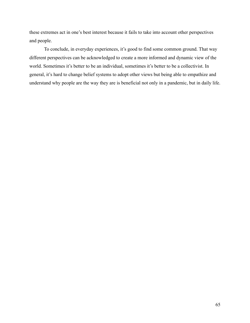these extremes act in one's best interest because it fails to take into account other perspectives and people.

To conclude, in everyday experiences, it's good to find some common ground. That way different perspectives can be acknowledged to create a more informed and dynamic view of the world. Sometimes it's better to be an individual, sometimes it's better to be a collectivist. In general, it's hard to change belief systems to adopt other views but being able to empathize and understand why people are the way they are is beneficial not only in a pandemic, but in daily life.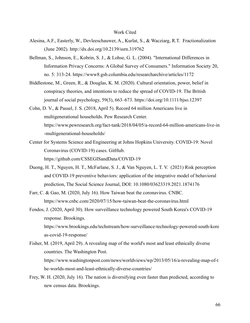#### Work Cited

- Alesina, A.F., Easterly, W., Devleeschauwer, A., Kurlat, S., & Wacziarg, R.T. Fractionalization (June 2002). http://dx.doi.org/10.2139/ssrn.319762
- Bellman, S., Johnson, E., Kobrin, S. J., & Lohse, G. L. (2004). "International Differences in Information Privacy Concerns: A Global Survey of Consumers." Information Society 20, no. 5: 313-24. https://www8.gsb.columbia.edu/researcharchive/articles/1172
- Biddlestone, M., Green, R., & Douglas, K. M. (2020). Cultural orientation, power, belief in conspiracy theories, and intentions to reduce the spread of COVID-19. The British journal of social psychology, 59(3), 663–673. https://doi.org/10.1111/bjso.12397
- Cohn, D. V., & Passel, J. S. (2018, April 5). Record 64 million Americans live in multigenerational households. Pew Research Center. https://www.pewresearch.org/fact-tank/2018/04/05/a-record-64-million-americans-live-in -multigenerational-households/
- Center for Systems Science and Engineering at Johns Hopkins University. COVID-19: Novel Coronavirus (COVID-19) cases. GitHub. https://github.com/CSSEGISandData/COVID-19
- Duong, H. T., Nguyen, H. T., McFarlane, S. J., & Van Nguyen, L. T. V. (2021) Risk perception and COVID-19 preventive behaviors: application of the integrative model of behavioral prediction, The Social Science Journal, DOI: 10.1080/03623319.2021.1874176
- Farr, C. & Gao, M. (2020, July 16). How Taiwan beat the coronavirus. CNBC. https://www.cnbc.com/2020/07/15/how-taiwan-beat-the-coronavirus.html
- Fendos, J. (2020, April 30). How surveillance technology powered South Korea's COVID-19 response. Brookings. https://www.brookings.edu/techstream/how-surveillance-technology-powered-south-kore as-covid-19-response/
- Fisher, M. (2019, April 29). A revealing map of the world's most and least ethnically diverse countries. The Washington Post. https://www.washingtonpost.com/news/worldviews/wp/2013/05/16/a-revealing-map-of-t he-worlds-most-and-least-ethnically-diverse-countries/
- Frey, W. H. (2020, July 16). The nation is diversifying even faster than predicted, according to new census data. Brookings.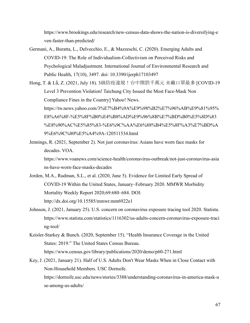https://www.brookings.edu/research/new-census-data-shows-the-nation-is-diversifying-e ven-faster-than-predicted/

- Germani, A., Buratta, L., Delvecchio, E., & Mazzeschi, C. (2020). Emerging Adults and COVID-19: The Role of Individualism-Collectivism on Perceived Risks and Psychological Maladjustment. International Journal of Environmental Research and Public Health, 17(10), 3497. doi: 10.3390/ijerph17103497
- Hong, T. & Lǚ, Z. (2021, July 18). 3級防疫違規!台中開罰千萬元 未戴口罩最多 [COVID-19 Level 3 Prevention Violation! Taichung City Issued the Most Face-Mask Non Compliance Fines in the Country] Yahoo! News. https://tw.news.yahoo.com/3%E7%B4%9A%E9%98%B2%E7%96%AB%E9%81%95% E8%A6%8F-%E5%8F%B0%E4%B8%AD%E9%96%8B%E7%BD%B0%E5%8D%83 %E8%90%AC%E5%85%83-%E6%9C%AA%E6%88%B4%E5%8F%A3%E7%BD%A 9%E6%9C%80%E5%A4%9A-120511534.html
- Jennings, R. (2021, September 2). Not just coronavirus: Asians have worn face masks for decades. VOA.

https://www.voanews.com/science-health/coronavirus-outbreak/not-just-coronavirus-asia ns-have-worn-face-masks-decades

- Jorden, M.A., Rudman, S.L., et al. (2020, June 5). Evidence for Limited Early Spread of COVID-19 Within the United States, January–February 2020. MMWR Morbidity Mortality Weekly Report 2020;69:680–684. DOI: http://dx.doi.org/10.15585/mmwr.mm6922e1
- Johnson, J. (2021, January 25). U.S. concern on coronavirus exposure tracing tool 2020. Statista. https://www.statista.com/statistics/1116302/us-adults-concern-coronavirus-exposure-traci ng-tool/
- Keisler-Starkey & Bunch. (2020, September 15). "Health Insurance Coverage in the United States: 2019." The United States Census Bureau. https://www.census.gov/library/publications/2020/demo/p60-271.html
- Key, J. (2021, January 21). Half of U.S. Adults Don't Wear Masks When in Close Contact with Non-Household Members. USC Dornsife. https://dornsife.usc.edu/news/stories/3388/understanding-coronavirus-in-america-mask-u se-among-us-adults/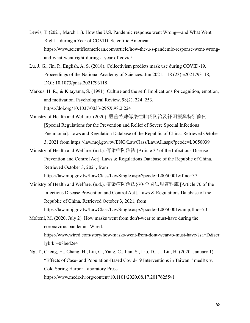- Lewis, T. (2021, March 11). How the U.S. Pandemic response went Wrong—and What Went Right—during a Year of COVID. Scientific American. https://www.scientificamerican.com/article/how-the-u-s-pandemic-response-went-wrongand-what-went-right-during-a-year-of-covid/
- Lu, J. G., Jin, P., English, A. S. (2018). Collectivism predicts mask use during COVID-19. Proceedings of the National Academy of Sciences. Jun 2021, 118 (23) e2021793118; DOI: 10.1073/pnas.2021793118
- Markus, H. R., & Kitayama, S. (1991). Culture and the self: Implications for cognition, emotion, and motivation. Psychological Review, 98(2), 224–253. https://doi.org/10.1037/0033-295X.98.2.224
- Ministry of Health and Welfare. (2020). 嚴重特殊傳染性肺炎防治及紓困振興特別條例 [Special Regulations for the Prevention and Relief of Severe Special Infectious Pneumonia]. Laws and Regulation Database of the Republic of China. Retrieved October 3, 2021 from https://law.moj.gov.tw/ENG/LawClass/LawAll.aspx?pcode=L0050039
- Ministry of Health and Welfare. (n.d.). 傳染病防治法 [Article 37 of the Infectious Disease Prevention and Control Act]. Laws & Regulations Database of the Republic of China. Retrieved October 3, 2021, from

https://law.moj.gov.tw/LawClass/LawSingle.aspx?pcode=L0050001&flno=37 Ministry of Health and Welfare. (n.d.). 傳染病防治法§70-全國法規資料庫 [Article 70 of the

Infectious Disease Prevention and Control Act]. Laws & Regulations Database of the Republic of China. Retrieved October 3, 2021, from

https://law.moj.gov.tw/LawClass/LawSingle.aspx?pcode=L0050001&flno=70

Molteni, M. (2020, July 2). How masks went from don't-wear to must-have during the coronavirus pandemic. Wired. https://www.wired.com/story/how-masks-went-from-dont-wear-to-must-have/?sa=D&scr lybrkr=08bed2e4

Ng, T., Cheng, H., Chang, H., Liu, C., Yang, C., Jian, S., Liu, D., … Lin, H. (2020, January 1). "Effects of Case- and Population-Based Covid-19 Interventions in Taiwan." medRxiv. Cold Spring Harbor Laboratory Press. https://www.medrxiv.org/content/10.1101/2020.08.17.20176255v1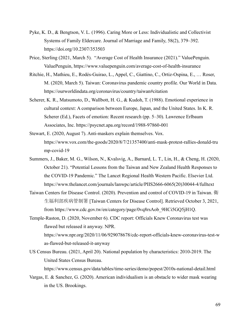- Pyke, K. D., & Bengtson, V. L. (1996). Caring More or Less: Individualistic and Collectivist Systems of Family Eldercare. Journal of Marriage and Family, 58(2), 379–392. https://doi.org/10.2307/353503
- Price, Sterling (2021, March 5). "Average Cost of Health Insurance (2021)." ValuePenguin. ValuePenguin, https://www.valuepenguin.com/average-cost-of-health-insurance
- Ritchie, H., Mathieu, E., Rodés-Guirao, L., Appel, C., Giattino, C., Ortiz-Ospina, E., … Roser, M. (2020, March 5). Taiwan: Coronavirus pandemic country profile. Our World in Data. https://ourworldindata.org/coronavirus/country/taiwan#citation
- Scherer, K. R., Matsumoto, D., Wallbott, H. G., & Kudoh, T. (1988). Emotional experience in cultural context: A comparison between Europe, Japan, and the United States. In K. R. Scherer (Ed.), Facets of emotion: Recent research (pp. 5–30). Lawrence Erlbaum Associates, Inc. https://psycnet.apa.org/record/1988-97860-001
- Stewart, E. (2020, August 7). Anti-maskers explain themselves. Vox. https://www.vox.com/the-goods/2020/8/7/21357400/anti-mask-protest-rallies-donald-tru mp-covid-19
- Summers, J., Baker, M. G., Wilson, N., Kvalsvig, A., Barnard, L. T., Lin, H., & Cheng, H. (2020, October 21). "Potential Lessons from the Taiwan and New Zealand Health Responses to the COVID-19 Pandemic." The Lancet Regional Health Western Pacific. Elsevier Ltd. https://www.thelancet.com/journals/lanwpc/article/PIIS2666-6065(20)30044-4/fulltext
- Taiwan Centers for Disease Control. (2020). Prevention and control of COVID-19 in Taiwan. 衛 生福利部疾病管制署 [Taiwan Centers for Disease Control]. Retrieved October 3, 2021, from https://www.cdc.gov.tw/en/category/page/0vq8rsAob\_9HCi5GQ5jH1Q.
- Temple-Raston, D. (2020, November 6). CDC report: Officials Knew Coronavirus test was flawed but released it anyway. NPR. https://www.npr.org/2020/11/06/929078678/cdc-report-officials-knew-coronavirus-test-w as-flawed-but-released-it-anyway
- US Census Bureau. (2021, April 20). National population by characteristics: 2010-2019. The United States Census Bureau.

https://www.census.gov/data/tables/time-series/demo/popest/2010s-national-detail.html

Vargas, E. & Sanchez, G. (2020). American individualism is an obstacle to wider mask wearing in the US. Brookings.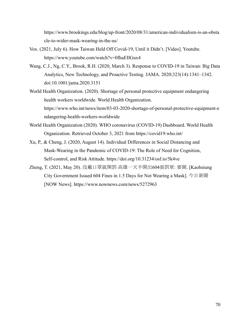https://www.brookings.edu/blog/up-front/2020/08/31/american-individualism-is-an-obsta cle-to-wider-mask-wearing-in-the-us/

- Vox. (2021, July 6). How Taiwan Held Off Covid-19, Until it Didn't. [Video]. Youtube. https://www.youtube.com/watch?v=0fhaEIlGux4
- Wang, C.J., Ng, C.Y., Brook, R.H. (2020, March 3). Response to COVID-19 in Taiwan: Big Data Analytics, New Technology, and Proactive Testing. JAMA. 2020;323(14):1341–1342. doi:10.1001/jama.2020.3151
- World Health Organization. (2020). Shortage of personal protective equipment endangering health workers worldwide. World Health Organization. https://www.who.int/news/item/03-03-2020-shortage-of-personal-protective-equipment-e ndangering-health-workers-worldwide
- World Health Organization (2020). WHO coronavirus (COVID-19) Dashboard. World Health Organization. Retrieved October 3, 2021 from https://covid19.who.int/
- Xu, P., & Cheng, J. (2020, August 14). Individual Differences in Social Distancing and Mask-Wearing in the Pandemic of COVID-19: The Role of Need for Cognition, Self-control, and Risk Attitude. https://doi.org/10.31234/osf.io/5k4ve
- Zheng, T. (2021, May 20). 沒戴口罩就開罰 高雄一天半開出604張罰單: 要聞. [Kaohsiung City Government Issued 604 Fines in 1.5 Days for Not Wearing a Mask]. 今日新聞 [NOW News]. https://www.nownews.com/news/5272963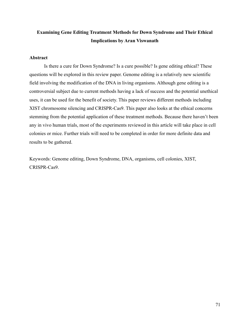## **Examining Gene Editing Treatment Methods for Down Syndrome and Their Ethical Implications by Aran Viswanath**

### **Abstract**

Is there a cure for Down Syndrome? Is a cure possible? Is gene editing ethical? These questions will be explored in this review paper. Genome editing is a relatively new scientific field involving the modification of the DNA in living organisms. Although gene editing is a controversial subject due to current methods having a lack of success and the potential unethical uses, it can be used for the benefit of society. This paper reviews different methods including XIST chromosome silencing and CRISPR-Cas9. This paper also looks at the ethical concerns stemming from the potential application of these treatment methods. Because there haven't been any in vivo human trials, most of the experiments reviewed in this article will take place in cell colonies or mice. Further trials will need to be completed in order for more definite data and results to be gathered.

Keywords: Genome editing, Down Syndrome, DNA, organisms, cell colonies, XIST, CRISPR-Cas9.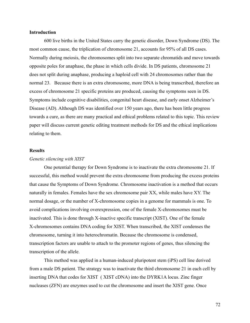### **Introduction**

600 live births in the United States carry the genetic disorder, Down Syndrome (DS). The most common cause, the triplication of chromosome 21, accounts for 95% of all DS cases. Normally during meiosis, the chromosomes split into two separate chromatids and move towards opposite poles for anaphase, the phase in which cells divide. In DS patients, chromosome 21 does not split during anaphase, producing a haploid cell with 24 chromosomes rather than the normal 23. Because there is an extra chromosome, more DNA is being transcribed, therefore an excess of chromosome 21 specific proteins are produced, causing the symptoms seen in DS. Symptoms include cognitive disabilities, congenital heart disease, and early onset Alzheimer's Disease (AD). Although DS was identified over 150 years ago, there has been little progress towards a cure, as there are many practical and ethical problems related to this topic. This review paper will discuss current genetic editing treatment methods for DS and the ethical implications relating to them.

### **Results**

#### *Genetic silencing with XIST*

One potential therapy for Down Syndrome is to inactivate the extra chromosome 21. If successful, this method would prevent the extra chromosome from producing the excess proteins that cause the Symptoms of Down Syndrome. Chromosome inactivation is a method that occurs naturally in females. Females have the sex chromosome pair XX, while males have XY. The normal dosage, or the number of X-chromosome copies in a genome for mammals is one. To avoid complications involving overexpression, one of the female X-chromosomes must be inactivated. This is done through X-inactive specific transcript (XIST). One of the female X-chromosomes contains DNA coding for XIST. When transcribed, the XIST condenses the chromosome, turning it into heterochromatin. Because the chromosome is condensed, transcription factors are unable to attach to the promoter regions of genes, thus silencing the transcription of the allele.

This method was applied in a human-induced pluripotent stem (iPS) cell line derived from a male DS patient. The strategy was to inactivate the third chromosome 21 in each cell by inserting DNA that codes for XIST ( XIST cDNA) into the DYRK1A locus. Zinc finger nucleases (ZFN) are enzymes used to cut the chromosome and insert the XIST gene. Once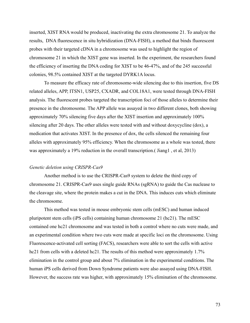inserted, XIST RNA would be produced, inactivating the extra chromosome 21. To analyze the results, DNA fluorescence in situ hybridization (DNA-FISH), a method that binds fluorescent probes with their targeted cDNA in a chromosome was used to highlight the region of chromosome 21 in which the XIST gene was inserted. In the experiment, the researchers found the efficiency of inserting the DNA coding for XIST to be 46-47%, and of the 245 successful colonies, 98.5% contained XIST at the targeted DYRK1A locus.

To measure the efficacy rate of chromosome-wide silencing due to this insertion, five DS related alleles, APP, ITSN1, USP25, CXADR, and COL18A1, were tested through DNA-FISH analysis. The fluorescent probes targeted the transcription foci of those alleles to determine their presence in the chromosome. The APP allele was assayed in two different clones, both showing approximately 70% silencing five days after the XIST insertion and approximately 100% silencing after 20 days. The other alleles were tested with and without doxycycline (dox), a medication that activates XIST. In the presence of dox, the cells silenced the remaining four alleles with approximately 95% efficiency. When the chromosome as a whole was tested, there was approximately a 19% reduction in the overall transcription.( Jiang1 , et al, 2013)

#### *Genetic deletion using CRISPR-Cas9*

Another method is to use the CRISPR-Cas9 system to delete the third copy of chromosome 21. CRISPR-Cas9 uses single guide RNAs (sgRNA) to guide the Cas nuclease to the cleavage site, where the protein makes a cut in the DNA. This induces cuts which eliminate the chromosome.

This method was tested in mouse embryonic stem cells (mESC) and human induced pluripotent stem cells (iPS cells) containing human chromosome 21 (hc21). The mESC contained one hc21 chromosome and was tested in both a control where no cuts were made, and an experimental condition where two cuts were made at specific loci on the chromosome. Using Fluorescence-activated cell sorting (FACS), researchers were able to sort the cells with active hc21 from cells with a deleted hc21. The results of this method were approximately 1.7% elimination in the control group and about 7% elimination in the experimental conditions. The human iPS cells derived from Down Syndrome patients were also assayed using DNA-FISH. However, the success rate was higher, with approximately 15% elimination of the chromosome.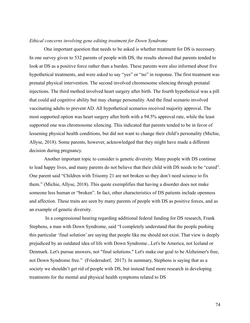#### *Ethical concerns involving gene editing treatment for Down Syndrome*

One important question that needs to be asked is whether treatment for DS is necessary. In one survey given to 532 parents of people with DS, the results showed that parents tended to look at DS as a positive force rather than a burden. These parents were also informed about five hypothetical treatments, and were asked to say "yes" or "no" in response. The first treatment was prenatal physical intervention. The second involved chromosome silencing through prenatal injections. The third method involved heart surgery after birth. The fourth hypothetical was a pill that could aid cognitive ability but may change personality. And the final scenario involved vaccinating adults to prevent AD. All hypothetical scenarios received majority approval. The most supported option was heart surgery after birth with a 94.5% approval rate, while the least supported one was chromosome silencing. This indicated that parents tended to be in favor of lessening physical health conditions, but did not want to change their child's personality (Michie, Allyse, 2018). Some parents, however, acknowledged that they might have made a different decision during pregnancy.

Another important topic to consider is genetic diversity. Many people with DS continue to lead happy lives, and many parents do not believe that their child with DS needs to be "cured". One parent said "Children with Trisomy 21 are not broken so they don't need science to fix them." (Michie, Allyse, 2018). This quote exemplifies that having a disorder does not make someone less human or "broken". In fact, other characteristics of DS patients include openness and affection. These traits are seen by many parents of people with DS as positive forces, and as an example of genetic diversity.

In a congressional hearing regarding additional federal funding for DS research, Frank Stephens, a man with Down Syndrome, said "I completely understand that the people pushing this particular 'final solution' are saying that people like me should not exist. That view is deeply prejudiced by an outdated idea of life with Down Syndrome...Let's be America, not Iceland or Denmark. Let's pursue answers, not "final solutions." Let's make our goal to be Alzheimer's free, not Down Syndrome free." (Friedersdorf, 2017). In summary, Stephens is saying that as a society we shouldn't get rid of people with DS, but instead fund more research in developing treatments for the mental and physical health symptoms related to DS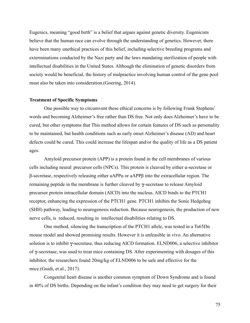Eugenics, meaning "good birth" is a belief that argues against genetic diversity. Eugenicists believe that the human race can evolve through the understanding of genetics. However, there have been many unethical practices of this belief, including selective breeding programs and exterminations conducted by the Nazi party and the laws mandating sterilization of people with intellectual disabilities in the United States. Although the elimination of genetic disorders from society would be beneficial, the history of malpractice involving human control of the gene pool must also be taken into consideration.(Goering, 2014).

#### **Treatment of Specific Symptoms**

One possible way to circumvent these ethical concerns is by following Frank Stephens' words and becoming Alzheimer's free rather than DS free. Not only does Alzheimer's have to be cured, but other symptoms that This method allows for certain features of DS such as personality to be maintained, but health conditions such as early onset Alzheimer's disease (AD) and heart defects could be cured. This could increase the lifespan and/or the quality of life as a DS patient ages.

Amyloid precursor protein (APP) is a protein found in the cell membranes of various cells including neural precursor cells (NPCs). This protein is cleaved by either ɑ-secretase or β-secretase, respectively releasing either aAPPɑ or aAPPβ into the extracellular region. The remaining peptide in the membrane is further cleaved by  $\gamma$ -secretase to release Amyloid precursor protein intracellular domain (AICD) into the nucleus. AICD binds to the PTCH1 receptor, enhancing the expression of the PTCH1 gene. PTCH1 inhibits the Sonic Hedgehog (SHH) pathway, leading to neurogenesis reduction. Because neurogenesis, the production of new nerve cells, is reduced, resulting in intellectual disabilities relating to DS.

One method, silencing the transcription of the PTCH1 allele, was tested in a Ts65Dn mouse model and showed promising results. However it is unfeasible in vivo. An alternative solution is to inhibit  $\gamma$ -secretase, thus reducing AICD formation. ELND006, a selective inhibitor of  $\gamma$ -secretase, was used to treat mice containing DS. After experimenting with dosages of this inhibitor, the researchers found 20mg/kg of ELND006 to be safe and effective for the mice.(Guidi, et al., 2017).

Congenital heart disease is another common symptom of Down Syndrome and is found in 40% of DS births. Depending on the infant's condition they may need to get surgery for their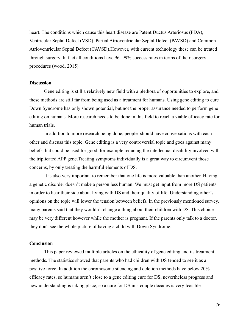heart. The conditions which cause this heart disease are Patent Ductus Arteriosus (PDA), Ventricular Septal Defect (VSD), Partial Atrioventricular Septal Defect (PAVSD) and Common Atrioventricular Septal Defect (CAVSD).However, with current technology these can be treated through surgery. In fact all conditions have 96 -99% success rates in terms of their surgery procedures (wood, 2015).

#### **Discussion**

Gene editing is still a relatively new field with a plethora of opportunities to explore, and these methods are still far from being used as a treatment for humans. Using gene editing to cure Down Syndrome has only shown potential, but not the proper assurance needed to perform gene editing on humans. More research needs to be done in this field to reach a viable efficacy rate for human trials.

In addition to more research being done, people should have conversations with each other and discuss this topic. Gene editing is a very controversial topic and goes against many beliefs, but could be used for good, for example reducing the intellectual disability involved with the triplicated APP gene.Treating symptoms individually is a great way to circumvent those concerns, by only treating the harmful elements of DS.

It is also very important to remember that one life is more valuable than another. Having a genetic disorder doesn't make a person less human. We must get input from more DS patients in order to hear their side about living with DS and their quality of life. Understanding other's opinions on the topic will lower the tension between beliefs. In the previously mentioned survey, many parents said that they wouldn't change a thing about their children with DS. This choice may be very different however while the mother is pregnant. If the parents only talk to a doctor, they don't see the whole picture of having a child with Down Syndrome.

# **Conclusion**

This paper reviewed multiple articles on the ethicality of gene editing and its treatment methods. The statistics showed that parents who had children with DS tended to see it as a positive force. In addition the chromosome silencing and deletion methods have below 20% efficacy rates, so humans aren't close to a gene editing cure for DS, nevertheless progress and new understanding is taking place, so a cure for DS in a couple decades is very feasible.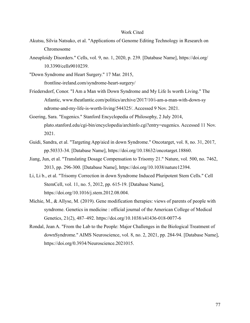#### Work Cited

- Akutsu, Silvia Natsuko, et al. "Applications of Genome Editing Technology in Research on Chromosome
- Aneuploidy Disorders." Cells, vol. 9, no. 1, 2020, p. 239. [Database Name], https://doi.org/ 10.3390/cells9010239.

"Down Syndrome and Heart Surgery." 17 Mar. 2015, frontline-ireland.com/syndrome-heart-surgery/

- Friedersdorf, Conor. "I Am a Man with Down Syndrome and My Life Is worth Living." The Atlantic, www.theatlantic.com/politics/archive/2017/10/i-am-a-man-with-down-sy ndrome-and-my-life-is-worth-living/544325/. Accessed 9 Nov. 2021.
- Goering, Sara. "Eugenics." Stanford Encyclopedia of Philosophy, 2 July 2014, plato.stanford.edu/cgi-bin/encyclopedia/archinfo.cgi?entry=eugenics. Accessed 11 Nov. 2021.
- Guidi, Sandra, et al. "Targeting App/aicd in down Syndrome." Oncotarget, vol. 8, no. 31, 2017, pp.50333-34. [Database Name], https://doi.org/10.18632/oncotarget.18860.
- Jiang, Jun, et al. "Translating Dosage Compensation to Trisomy 21." Nature, vol. 500, no. 7462, 2013, pp. 296-300. [Database Name], https://doi.org/10.1038/nature12394.
- Li, Li b., et al. "Trisomy Correction in down Syndrome Induced Pluripotent Stem Cells." Cell StemCell, vol. 11, no. 5, 2012, pp. 615-19. [Database Name], https://doi.org/10.1016/j.stem.2012.08.004.
- Michie, M., & Allyse, M. (2019). Gene modification therapies: views of parents of people with syndrome. Genetics in medicine : official journal of the American College of Medical Genetics, 21(2), 487–492. https://doi.org/10.1038/s41436-018-0077-6
- Rondal, Jean A. "From the Lab to the People: Major Challenges in the Biological Treatment of downSyndrome." AIMS Neuroscience, vol. 8, no. 2, 2021, pp. 284-94. [Database Name], https://doi.org/0.3934/Neuroscience.2021015.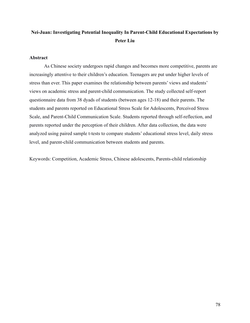# **Nei-Juan: Investigating Potential Inequality In Parent-Child Educational Expectations by Peter Liu**

# **Abstract**

As Chinese society undergoes rapid changes and becomes more competitive, parents are increasingly attentive to their children's education. Teenagers are put under higher levels of stress than ever. This paper examines the relationship between parents' views and students' views on academic stress and parent-child communication. The study collected self-report questionnaire data from 38 dyads of students (between ages 12-18) and their parents. The students and parents reported on Educational Stress Scale for Adolescents, Perceived Stress Scale, and Parent-Child Communication Scale. Students reported through self-reflection, and parents reported under the perception of their children. After data collection, the data were analyzed using paired sample t-tests to compare students' educational stress level, daily stress level, and parent-child communication between students and parents.

Keywords: Competition, Academic Stress, Chinese adolescents, Parents-child relationship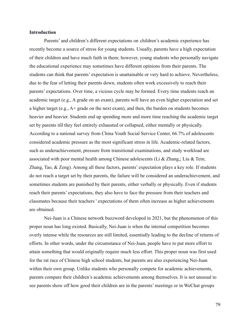#### **Introduction**

Parents' and children's different expectations on children's academic experience has recently become a source of stress for young students. Usually, parents have a high expectation of their children and have much faith in them; however, young students who personally navigate the educational experience may sometimes have different opinions from their parents. The students can think that parents' expectation is unattainable or very hard to achieve. Nevertheless, due to the fear of letting their parents down, students often work excessively to reach their parents' expectations. Over time, a vicious cycle may be formed. Every time students reach an academic target (e.g., A grade on an exam), parents will have an even higher expectation and set a higher target (e.g., A+ grade on the next exam), and then, the burden on students becomes heavier and heavier. Students end up spending more and more time reaching the academic target set by parents till they feel entirely exhausted or collapsed, either mentally or physically. According to a national survey from China Youth Social Service Center, 66.7% of adolescents considered academic pressure as the most significant stress in life. Academic-related factors, such as underachievement, pressure from transitional examinations, and study workload are associated with poor mental health among Chinese adolescents (Li & Zhang,; Liu & Tein; Zhang, Tao, & Zeng). Among all these factors, parents' expectation plays a key role. If students do not reach a target set by their parents, the failure will be considered an underachievement, and sometimes students are punished by their parents, either verbally or physically. Even if students reach their parents' expectations, they also have to face the pressure from their teachers and classmates because their teachers ' expectations of them often increase as higher achievements are obtained.

Nei-Juan is a Chinese network buzzword developed in 2021, but the phenomenon of this proper noun has long existed. Basically, Nei-Juan is when the internal competition becomes overly intense while the resources are still limited, essentially leading to the decline of returns of efforts. In other words, under the circumstance of Nei-Juan, people have to put more effort to attain something that would originally require much less effort. This proper noun was first used for the rat race of Chinese high school students, but parents are also experiencing Nei-Juan within their own group. Unlike students who personally compete for academic achievements, parents compare their children's academic achievements among themselves. It is not unusual to see parents show off how good their children are in the parents' meetings or in WeChat groups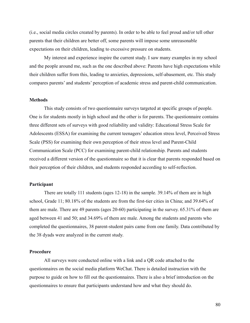(i.e., social media circles created by parents). In order to be able to feel proud and/or tell other parents that their children are better off, some parents will impose some unreasonable expectations on their children, leading to excessive pressure on students.

My interest and experience inspire the current study. I saw many examples in my school and the people around me, such as the one described above: Parents have high expectations while their children suffer from this, leading to anxieties, depressions, self-abasement, etc. This study compares parents' and students' perception of academic stress and parent-child communication.

# **Methods**

This study consists of two questionnaire surveys targeted at specific groups of people. One is for students mostly in high school and the other is for parents. The questionnaire contains three different sets of surveys with good reliability and validity: Educational Stress Scale for Adolescents (ESSA) for examining the current teenagers' education stress level, Perceived Stress Scale (PSS) for examining their own perception of their stress level and Parent-Child Communication Scale (PCC) for examining parent-child relationship. Parents and students received a different version of the questionnaire so that it is clear that parents responded based on their perception of their children, and students responded according to self-reflection.

### **Participant**

There are totally 111 students (ages 12-18) in the sample. 39.14% of them are in high school, Grade 11; 80.18% of the students are from the first-tier cities in China; and 39.64% of them are male. There are 49 parents (ages 20-60) participating in the survey. 65.31% of them are aged between 41 and 50; and 34.69% of them are male. Among the students and parents who completed the questionnaires, 38 parent-student pairs came from one family. Data contributed by the 38 dyads were analyzed in the current study.

# **Procedure**

All surveys were conducted online with a link and a QR code attached to the questionnaires on the social media platform WeChat. There is detailed instruction with the purpose to guide on how to fill out the questionnaires. There is also a brief introduction on the questionnaires to ensure that participants understand how and what they should do.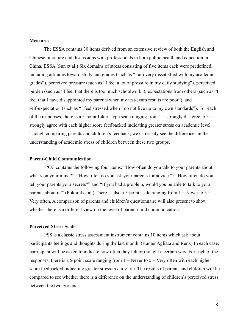#### **Measures**

The ESSA contains 30 items derived from an extensive review of both the English and Chinese literature and discussions with professionals in both public health and education in China. ESSA (Sun et al.) Six domains of stress consisting of five items each were predefined, including attitudes toward study and grades (such as "I am very dissatisfied with my academic grades"), perceived pressure (such as "I feel a lot of pressure in my daily studying"), perceived burden (such as "I feel that there is too much schoolwork"), expectations from others (such as "I feel that I have disappointed my parents when my test/exam results are poor"), and self-expectation (such as "I feel stressed when I do not live up to my own standards"). For each of the responses, there is a 5-point Likert-type scale ranging from  $1 =$  strongly disagree to  $5 =$ strongly agree with each higher score feedbacked indicating greater stress on academic level. Though comparing parents and children's feedback, we can easily see the differences in the understanding of academic stress of children between these two groups.

### **Parent-Child Communication**

PCC contains the following four items: "How often do you talk to your parents about what's on your mind?"; "How often do you ask your parents for advice?"; "How often do you tell your parents your secrets?" and "If you had a problem, would you be able to talk to your parents about it?" (Pokhrel et al.) There is also a 5-point scale ranging from  $1 =$  Never to  $5 =$ Very often. A comparison of parents and children's questionnaire will also present to show whether there is a different view on the level of parent-child communication.

# **Perceived Stress Scale**

PSS is a classic stress assessment instrument contains 10 items which ask about participants feelings and thoughts during the last month. (Kanter Agliata and Renk) In each case, participant will be asked to indicate how often they felt or thought a certain way. For each of the responses, there is a 5-point scale ranging from  $1 =$  Never to  $5 =$  Very often with each higher score feedbacked indicating greater stress in daily life. The results of parents and children will be compared to see whether there is a difference on the understanding of children's perceived stress between the two groups.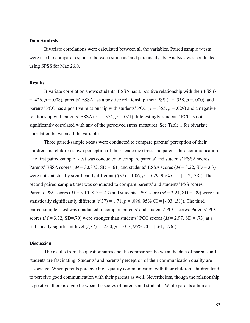#### **Data Analysis**

Bivariate correlations were calculated between all the variables. Paired sample t-tests were used to compare responses between students' and parents' dyads. Analysis was conducted using SPSS for Mac 26.0.

# **Results**

Bivariate correlation shows students' ESSA has a positive relationship with their PSS (*r*  $= .426$ ,  $p = .008$ ), parents' ESSA has a positive relationship their PSS ( $r = .558$ ,  $p = .000$ ), and parents' PCC has a positive relationship with students' PCC ( $r = .355$ ,  $p = .029$ ) and a negative relationship with parents' ESSA ( $r = -.374$ ,  $p = .021$ ). Interestingly, students' PCC is not significantly correlated with any of the perceived stress measures. See Table 1 for bivariate correlation between all the variables.

Three paired-sample t-tests were conducted to compare parents' perception of their children and children's own perception of their academic stress and parent-child communication. The first paired-sample t-test was conducted to compare parents' and students' ESSA scores. Parents' ESSA scores ( $M = 3.0872$ , SD = .61) and students' ESSA scores ( $M = 3.22$ , SD = .63) were not statistically significantly different  $(t(37) = 1.06, p = .029, 95\% \text{ CI} = [-12, .38]$ . The second paired-sample t-test was conducted to compare parents' and students' PSS scores. Parents' PSS scores ( $M = 3.10$ , SD = .43) and students' PSS score ( $M = 3.24$ , SD = .39) were not statistically significantly different  $(t(37) = 1.71, p = .096, 95\% \text{ CI} = [-.03, .31]$ . The third paired-sample t-test was conducted to compare parents' and students' PCC scores. Parents' PCC scores ( $M = 3.32$ , SD=.70) were stronger than students' PCC scores ( $M = 2.97$ , SD = .73) at a statistically significant level  $(t(37) = -2.60, p = .013, 95\% \text{ CI} = [-.61, -.76])$ 

# **Discussion**

The results from the questionnaires and the comparison between the data of parents and students are fascinating. Students' and parents' perception of their communication quality are associated. When parents perceive high-quality communication with their children, children tend to perceive good communication with their parents as well. Nevertheless, though the relationship is positive, there is a gap between the scores of parents and students. While parents attain an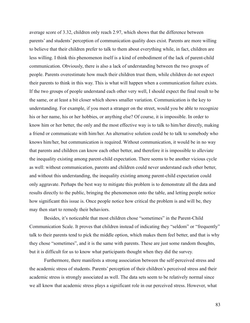average score of 3.32, children only reach 2.97, which shows that the difference between parents' and students' perception of communication quality does exist. Parents are more willing to believe that their children prefer to talk to them about everything while, in fact, children are less willing. I think this phenomenon itself is a kind of embodiment of the lack of parent-child communication. Obviously, there is also a lack of understanding between the two groups of people. Parents overestimate how much their children trust them, while children do not expect their parents to think in this way. This is what will happen when a communication failure exists. If the two groups of people understand each other very well, I should expect the final result to be the same, or at least a bit closer which shows smaller variation. Communication is the key to understanding. For example, if you meet a stranger on the street, would you be able to recognize his or her name, his or her hobbies, or anything else? Of course, it is impossible. In order to know him or her better, the only and the most effective way is to talk to him/her directly, making a friend or communicate with him/her. An alternative solution could be to talk to somebody who knows him/her, but communication is required. Without communication, it would be in no way that parents and children can know each other better, and therefore it is impossible to alleviate the inequality existing among parent-child expectation. There seems to be another vicious cycle as well: without communication, parents and children could never understand each other better, and without this understanding, the inequality existing among parent-child expectation could only aggravate. Perhaps the best way to mitigate this problem is to demonstrate all the data and results directly to the public, bringing the phenomenon onto the table, and letting people notice how significant this issue is. Once people notice how critical the problem is and will be, they may then start to remedy their behaviors.

Besides, it's noticeable that most children chose "sometimes" in the Parent-Child Communication Scale. It proves that children instead of indicating they "seldom" or "frequently" talk to their parents tend to pick the middle option, which makes them feel better, and that is why they chose "sometimes", and it is the same with parents. These are just some random thoughts, but it is difficult for us to know what participants thought when they did the survey.

Furthermore, there manifests a strong association between the self-perceived stress and the academic stress of students. Parents' perception of their children's perceived stress and their academic stress is strongly associated as well. The data sets seem to be relatively normal since we all know that academic stress plays a significant role in our perceived stress. However, what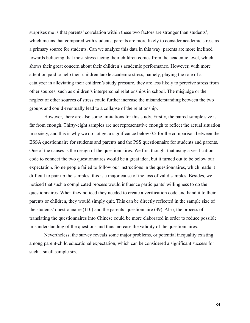surprises me is that parents' correlation within these two factors are stronger than students', which means that compared with students, parents are more likely to consider academic stress as a primary source for students. Can we analyze this data in this way: parents are more inclined towards believing that most stress facing their children comes from the academic level, which shows their great concern about their children's academic performance. However, with more attention paid to help their children tackle academic stress, namely, playing the role of a catalyzer in alleviating their children's study pressure, they are less likely to perceive stress from other sources, such as children's interpersonal relationships in school. The misjudge or the neglect of other sources of stress could further increase the misunderstanding between the two groups and could eventually lead to a collapse of the relationship.

However, there are also some limitations for this study. Firstly, the paired-sample size is far from enough. Thirty-eight samples are not representative enough to reflect the actual situation in society, and this is why we do not get a significance below 0.5 for the comparison between the ESSA questionnaire for students and parents and the PSS questionnaire for students and parents. One of the causes is the design of the questionnaires. We first thought that using a verification code to connect the two questionnaires would be a great idea, but it turned out to be below our expectation. Some people failed to follow our instructions in the questionnaires, which made it difficult to pair up the samples; this is a major cause of the loss of valid samples. Besides, we noticed that such a complicated process would influence participants' willingness to do the questionnaires. When they noticed they needed to create a verification code and hand it to their parents or children, they would simply quit. This can be directly reflected in the sample size of the students' questionnaire (110) and the parents' questionnaire (49). Also, the process of translating the questionnaires into Chinese could be more elaborated in order to reduce possible misunderstanding of the questions and thus increase the validity of the questionnaires.

Nevertheless, the survey reveals some major problems, or potential inequality existing among parent-child educational expectation, which can be considered a significant success for such a small sample size.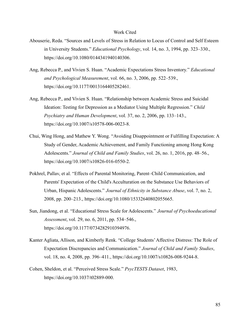#### Work Cited

- Abouserie, Reda. "Sources and Levels of Stress in Relation to Locus of Control and Self Esteem in University Students." *Educational Psychology*, vol. 14, no. 3, 1994, pp. 323–330., https://doi.org/10.1080/0144341940140306.
- Ang, Rebecca P., and Vivien S. Huan. "Academic Expectations Stress Inventory." *Educational and Psychological Measurement*, vol. 66, no. 3, 2006, pp. 522–539., https://doi.org/10.1177/0013164405282461.
- Ang, Rebecca P., and Vivien S. Huan. "Relationship between Academic Stress and Suicidal Ideation: Testing for Depression as a Mediator Using Multiple Regression." *Child Psychiatry and Human Development*, vol. 37, no. 2, 2006, pp. 133–143., https://doi.org/10.1007/s10578-006-0023-8.
- Chui, Wing Hong, and Mathew Y. Wong. "Avoiding Disappointment or Fulfilling Expectation: A Study of Gender, Academic Achievement, and Family Functioning among Hong Kong Adolescents." *Journal of Child and Family Studies*, vol. 26, no. 1, 2016, pp. 48–56., https://doi.org/10.1007/s10826-016-0550-2.
- Pokhrel, Pallav, et al. "Effects of Parental Monitoring, Parent–Child Communication, and Parents' Expectation of the Child's Acculturation on the Substance Use Behaviors of Urban, Hispanic Adolescents." *Journal of Ethnicity in Substance Abuse*, vol. 7, no. 2, 2008, pp. 200–213., https://doi.org/10.1080/15332640802055665.
- Sun, Jiandong, et al. "Educational Stress Scale for Adolescents." *Journal of Psychoeducational Assessment*, vol. 29, no. 6, 2011, pp. 534–546., https://doi.org/10.1177/0734282910394976.
- Kanter Agliata, Allison, and Kimberly Renk. "College Students'Affective Distress: The Role of Expectation Discrepancies and Communication." *Journal of Child and Family Studies*, vol. 18, no. 4, 2008, pp. 396–411., https://doi.org/10.1007/s10826-008-9244-8.
- Cohen, Sheldon, et al. "Perceived Stress Scale." *PsycTESTS Dataset*, 1983, https://doi.org/10.1037/t02889-000.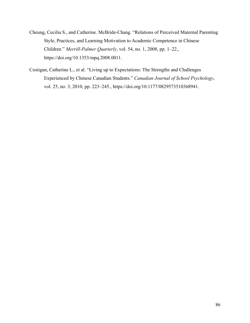- Cheung, Cecilia S., and Catherine. McBride-Chang. "Relations of Perceived Maternal Parenting Style, Practices, and Learning Motivation to Academic Competence in Chinese Children." *Merrill-Palmer Quarterly*, vol. 54, no. 1, 2008, pp. 1–22., https://doi.org/10.1353/mpq.2008.0011.
- Costigan, Catherine L., et al. "Living up to Expectations: The Strengths and Challenges Experienced by Chinese Canadian Students." *Canadian Journal of School Psychology*, vol. 25, no. 3, 2010, pp. 223–245., https://doi.org/10.1177/0829573510368941.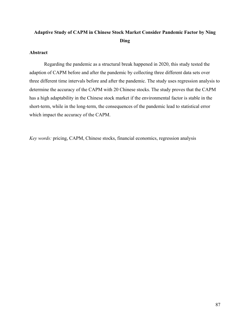# **Adaptive Study of CAPM in Chinese Stock Market Consider Pandemic Factor by Ning Ding**

# **Abstract**

Regarding the pandemic as a structural break happened in 2020, this study tested the adaption of CAPM before and after the pandemic by collecting three different data sets over three different time intervals before and after the pandemic. The study uses regression analysis to determine the accuracy of the CAPM with 20 Chinese stocks. The study proves that the CAPM has a high adaptability in the Chinese stock market if the environmental factor is stable in the short-term, while in the long-term, the consequences of the pandemic lead to statistical error which impact the accuracy of the CAPM.

*Key words:* pricing, CAPM, Chinese stocks, financial economics, regression analysis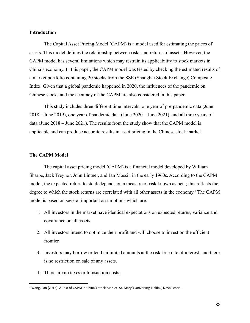# **Introduction**

The Capital Asset Pricing Model (CAPM) is a model used for estimating the prices of assets. This model defines the relationship between risks and returns of assets. However, the CAPM model has several limitations which may restrain its applicability to stock markets in China's economy. In this paper, the CAPM model was tested by checking the estimated results of a market portfolio containing 20 stocks from the SSE (Shanghai Stock Exchange) Composite Index. Given that a global pandemic happened in 2020, the influences of the pandemic on Chinese stocks and the accuracy of the CAPM are also considered in this paper.

This study includes three different time intervals: one year of pre-pandemic data (June 2018 – June 2019), one year of pandemic data (June 2020 – June 2021), and all three years of data (June 2018 – June 2021). The results from the study show that the CAPM model is applicable and can produce accurate results in asset pricing in the Chinese stock market.

#### **The CAPM Model**

The capital asset pricing model (CAPM) is a financial model developed by William Sharpe, Jack Treynor, John Lintner, and Jan Mossin in the early 1960s. According to the CAPM model, the expected return to stock depends on a measure of risk known as beta; this reflects the degree to which the stock returns are correlated with all other assets in the economy. <sup>1</sup> The CAPM model is based on several important assumptions which are:

- 1. All investors in the market have identical expectations on expected returns, variance and covariance on all assets.
- 2. All investors intend to optimize their profit and will choose to invest on the efficient frontier.
- 3. Investors may borrow or lend unlimited amounts at the risk-free rate of interest, and there is no restriction on sale of any assets.
- 4. There are no taxes or transaction costs.

 $1$  Wang, Fan (2013). A Test of CAPM in China's Stock Market. St. Mary's University, Halifax, Nova Scotia.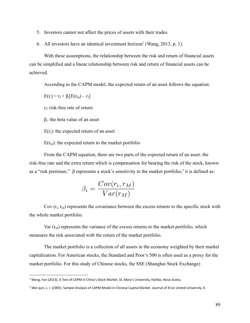- 5. Investors cannot not affect the prices of assets with their trades.
- 6. All investors have an identical investment horizon<sup>2</sup> (Wang, 2013, p. 1).

With these assumptions, the relationship between the risk and return of financial assets can be simplified and a linear relationship between risk and return of financial assets can be achieved.

According to the CAPM model, the expected return of an asset follows the equation:

 $E(r_i) = r_f + \beta_i[E(r_M) - r_f]$ 

 $r_f$ : risk-free rate of return

 $β<sub>i</sub>$ : the beta value of an asset

 $E(r_i)$ : the expected return of an asset

 $E(r_M)$ : the expected return to the market portfolio

From the CAPM equation, there are two parts of the expected return of an asset: the risk-free rate and the extra return which is compensation for bearing the risk of the stock, known as a "risk premium."  $\beta$  represents a stock's sensitivity to the market portfolio;<sup>3</sup> it is defined as:

$$
\beta_i = \frac{Cov(r_i, r_M)}{Var(r_M)}
$$

Cov  $(r_i, r_M)$  represents the covariance between the excess returns to the specific stock with the whole market portfolio.

Var  $(r_M)$  represents the variance of the excess returns to the market portfolio, which measures the risk associated with the return of the market portfolio.

The market portfolio is a collection of all assets in the economy weighted by their market capitalization. For American stocks, the Standard and Poor's 500 is often used as a proxy for the market portfolio. For this study of Chinese stocks, the SSE (Shanghai Stock Exchange)

<sup>&</sup>lt;sup>2</sup> Wang, Fan (2013). A Test of CAPM in China's Stock Market. St. Mary's University, Halifax, Nova Scotia.

<sup>&</sup>lt;sup>3</sup> Wei-qun, L. I. (2005). Sample Analysis of CAPM Model in Chinese Capital Market. Journal of Xi'an United University, 4.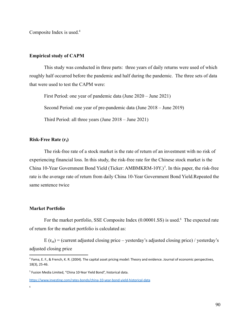Composite Index is used.<sup>4</sup>

#### **Empirical study of CAPM**

This study was conducted in three parts: three years of daily returns were used of which roughly half occurred before the pandemic and half during the pandemic. The three sets of data that were used to test the CAPM were:

First Period: one year of pandemic data (June 2020 – June 2021) Second Period: one year of pre-pandemic data (June 2018 – June 2019) Third Period: all three years (June 2018 – June 2021)

# **Risk-Free Rate (rf)**

The risk-free rate of a stock market is the rate of return of an investment with no risk of experiencing financial loss. In this study, the risk-free rate for the Chinese stock market is the China 10-Year Government Bond Yield (Ticker: AMBMKRM-10Y.)<sup>5</sup>. In this paper, the risk-free rate is the average rate of return from daily China 10-Year Government Bond Yield.Repeated the same sentence twice

# **Market Portfolio**

For the market portfolio, SSE Composite Index  $(0.00001$ .SS) is used.<sup>6</sup> The expected rate of return for the market portfolio is calculated as:

 $E(r_M) =$  (current adjusted closing price – yesterday's adjusted closing price) / yesterday's adjusted closing price

<sup>4</sup> Fama, E. F., & French, K. R. (2004). The capital asset pricing model: Theory and evidence. Journal of economic perspectives, 18(3), 25-46.

<sup>5</sup> Fusion Media Limited, "China 10-Year Yield Bond", historical data.

<https://www.investing.com/rates-bonds/china-10-year-bond-yield-historical-data>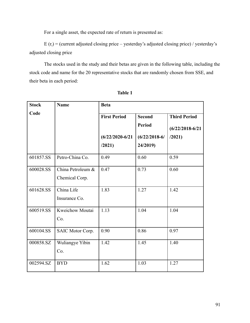For a single asset, the expected rate of return is presented as:

 $E(r_i) =$  (current adjusted closing price – yesterday's adjusted closing price) / yesterday's adjusted closing price

The stocks used in the study and their betas are given in the following table, including the stock code and name for the 20 representative stocks that are randomly chosen from SSE, and their beta in each period:

| <b>Stock</b> | <b>Name</b>       | <b>Beta</b>                          |                 |                     |  |  |  |
|--------------|-------------------|--------------------------------------|-----------------|---------------------|--|--|--|
| Code         |                   | <b>First Period</b><br><b>Second</b> |                 | <b>Third Period</b> |  |  |  |
|              |                   |                                      | <b>Period</b>   | $(6/22/2018-6/21)$  |  |  |  |
|              |                   | $(6/22/2020-6/21)$                   | $(6/22/2018-6/$ | /2021)              |  |  |  |
|              |                   | /2021)                               | 24/2019)        |                     |  |  |  |
| 601857.SS    | Petro-China Co.   | 0.49                                 | 0.60            | 0.59                |  |  |  |
| 600028.SS    | China Petroleum & | 0.47                                 | 0.73            | 0.60                |  |  |  |
|              | Chemical Corp.    |                                      |                 |                     |  |  |  |
| 601628.SS    | China Life        | 1.83                                 | 1.27            | 1.42                |  |  |  |
|              | Insurance Co.     |                                      |                 |                     |  |  |  |
| 600519.SS    | Kweichow Moutai   | 1.13                                 | 1.04            | 1.04                |  |  |  |
|              | Co.               |                                      |                 |                     |  |  |  |
| 600104.SS    | SAIC Motor Corp.  | 0.90                                 | 0.86            | 0.97                |  |  |  |
| 000858.SZ    | Wuliangye Yibin   | 1.42                                 | 1.45            | 1.40                |  |  |  |
|              | Co.               |                                      |                 |                     |  |  |  |
| 002594.SZ    | <b>BYD</b>        | 1.62                                 | 1.03            | 1.27                |  |  |  |

**Table 1**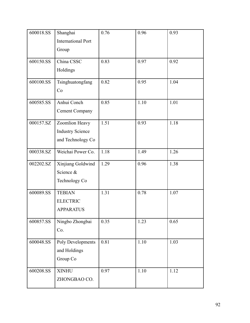| 600018.SS | Shanghai                  | 0.76 | 0.96 | 0.93 |
|-----------|---------------------------|------|------|------|
|           | <b>International Port</b> |      |      |      |
|           | Group                     |      |      |      |
|           |                           |      |      |      |
| 600150.SS | China CSSC                | 0.83 | 0.97 | 0.92 |
|           | Holdings                  |      |      |      |
| 600100.SS | Tsinghuatongfang          | 0.82 | 0.95 | 1.04 |
|           | Co                        |      |      |      |
| 600585.SS | Anhui Conch               | 0.85 | 1.10 | 1.01 |
|           | <b>Cement Company</b>     |      |      |      |
| 000157.SZ | Zoomlion Heavy            | 1.51 | 0.93 | 1.18 |
|           | <b>Industry Science</b>   |      |      |      |
|           | and Technology Co         |      |      |      |
| 000338.SZ | Weichai Power Co.         | 1.18 | 1.49 | 1.26 |
| 002202.SZ | Xinjiang Goldwind         | 1.29 | 0.96 | 1.38 |
|           | Science &                 |      |      |      |
|           | Technology Co             |      |      |      |
| 600089.SS | <b>TEBIAN</b>             | 1.31 | 0.78 | 1.07 |
|           | <b>ELECTRIC</b>           |      |      |      |
|           | <b>APPARATUS</b>          |      |      |      |
| 600857.SS | Ningbo Zhongbai           | 0.35 | 1.23 | 0.65 |
|           | Co.                       |      |      |      |
| 600048.SS | Poly Developments         | 0.81 | 1.10 | 1.03 |
|           | and Holdings              |      |      |      |
|           | Group Co                  |      |      |      |
| 600208.SS | <b>XINHU</b>              | 0.97 | 1.10 | 1.12 |
|           | ZHONGBAO CO.              |      |      |      |
|           |                           |      |      |      |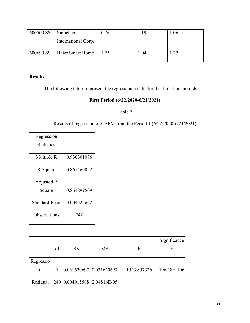| 600500.SS | Sinochem            | 0.76 | .19  | 0.06 |
|-----------|---------------------|------|------|------|
|           | International Corp. |      |      |      |
| 600690.SS | Haier Smart Home    | 1.25 | 1.04 | .22  |

# **Results**

The following tables represent the regression results for the three time periods:

# **First Period (6/22/2020-6/21/2021)**

# Table 2

Results of regression of CAPM from the Period 1 (6/22/2020-6/21/2021)

| Regression            |              |                             |                         |              |              |
|-----------------------|--------------|-----------------------------|-------------------------|--------------|--------------|
| <b>Statistics</b>     |              |                             |                         |              |              |
| Multiple R            |              | 0.930301076                 |                         |              |              |
| R Square              |              | 0.865460092                 |                         |              |              |
| Adjusted R            |              |                             |                         |              |              |
| Square                |              | 0.864899509                 |                         |              |              |
| <b>Standard Error</b> |              | 0.004525662                 |                         |              |              |
| Observations          |              | 242                         |                         |              |              |
|                       |              |                             |                         |              |              |
|                       |              |                             |                         |              | Significance |
|                       | df           | <b>SS</b>                   | <b>MS</b>               | $\mathbf{F}$ | $\mathbf{F}$ |
| Regressio             |              |                             |                         |              |              |
| $\mathbf n$           | $\mathbf{1}$ |                             | 0.031620697 0.031620697 | 1543.857326  | 1.6018E-106  |
| Residual              |              | 240 0.004915588 2.04816E-05 |                         |              |              |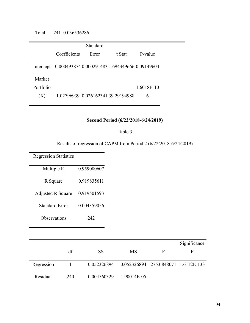Total 241 0.036536286

|           |                                                | Standard |        |           |  |
|-----------|------------------------------------------------|----------|--------|-----------|--|
|           | Coefficients                                   | Error    | t Stat | P-value   |  |
| Intercept | 0.000493874 0.000291483 1.694349666 0.09149604 |          |        |           |  |
| Market    |                                                |          |        |           |  |
| Portfolio |                                                |          |        | 16018E-10 |  |
| (X)       | 1.02796939 0.026162341 39.29194988             |          |        | 6         |  |

# **Second Period (6/22/2018-6/24/2019)**

#### Table 3

Results of regression of CAPM from Period 2 (6/22/2018-6/24/2019)

Regression Statistics Multiple R 0.959080607 R Square 0.919835611 Adjusted R Square 0.919501593 Standard Error 0.004359056 Observations 242 df SS MS F **Significance** F Regression 1 0.052326894 0.052326894 2753.848071 1.6112E-133 Residual 240 0.004560329 1.90014E-05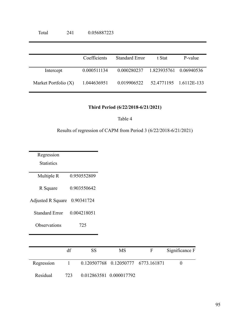|                      | Coefficients | <b>Standard Error</b>              | t Stat | P-value                |
|----------------------|--------------|------------------------------------|--------|------------------------|
| Intercept            | 0.000511134  | 0.000280237 1.823935761 0.06940536 |        |                        |
| Market Portfolio (X) | 1.044636951  | 0.019906522                        |        | 52.4771195 1.6112E-133 |

# **Third Period (6/22/2018-6/21/2021)**

Table 4

Results of regression of CAPM from Period 3 (6/22/2018-6/21/2021)

| Regression               |              |             |                         |             |                |
|--------------------------|--------------|-------------|-------------------------|-------------|----------------|
| <b>Statistics</b>        |              |             |                         |             |                |
| Multiple R               |              | 0.950552809 |                         |             |                |
| R Square                 |              | 0.903550642 |                         |             |                |
| <b>Adjusted R Square</b> |              | 0.90341724  |                         |             |                |
| <b>Standard Error</b>    |              | 0.004218051 |                         |             |                |
| Observations             |              | 725         |                         |             |                |
|                          |              |             |                         |             |                |
|                          | df           | <b>SS</b>   | <b>MS</b>               | F           | Significance F |
| Regression               | $\mathbf{1}$ | 0.120507768 | 0.12050777              | 6773.161871 | $\overline{0}$ |
| Residual                 | 723          |             | 0.012863581 0.000017792 |             |                |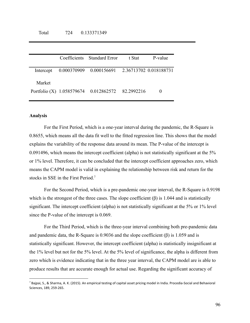|        | Coefficients Standard Error                              | t Stat | P-value |
|--------|----------------------------------------------------------|--------|---------|
|        | Intercept 0.000370909 0.000156691 2.36713702 0.018188731 |        |         |
| Market |                                                          |        |         |
|        | Portfolio (X) 1.058579674 0.012862572 82.2992216         |        |         |

#### **Analysis**

For the First Period, which is a one-year interval during the pandemic, the R-Square is 0.8655, which means all the data fit well to the fitted regression line. This shows that the model explains the variability of the response data around its mean. The P-value of the intercept is 0.091496, which means the intercept coefficient (alpha) is not statistically significant at the 5% or 1% level. Therefore, it can be concluded that the intercept coefficient approaches zero, which means the CAPM model is valid in explaining the relationship between risk and return for the stocks in SSE in the First Period.<sup>7</sup>

For the Second Period, which is a pre-pandemic one-year interval, the R-Square is 0.9198 which is the strongest of the three cases. The slope coefficient  $(\beta)$  is 1.044 and is statistically significant. The intercept coefficient (alpha) is not statistically significant at the 5% or 1% level since the P-value of the intercept is 0.069.

For the Third Period, which is the three-year interval combining both pre-pandemic data and pandemic data, the R-Square is 0.9036 and the slope coefficient  $(\beta)$  is 1.059 and is statistically significant. However, the intercept coefficient (alpha) is statistically insignificant at the 1% level but not for the 5% level. At the 5% level of significance, the alpha is different from zero which is evidence indicating that in the three year interval, the CAPM model are is able to produce results that are accurate enough for actual use. Regarding the significant accuracy of

 $^7$  Bajpai, S., & Sharma, A. K. (2015). An empirical testing of capital asset pricing model in India. Procedia-Social and Behavioral Sciences, 189, 259-265.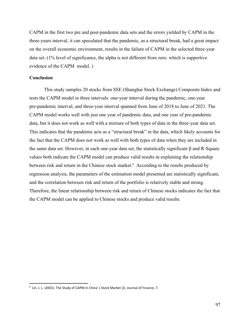CAPM in the first two pre and post-pandemic data sets and the errors yielded by CAPM in the three-years interval, it can speculated that the pandemic, as a structural break, had a great impact on the overall economic environment, results in the failure of CAPM in the selected three-year data set. (1% level of significance, the alpha is not different from zero. which is supportive evidence of the CAPM model. )

# **Conclusion**

This study samples 20 stocks from SSE (Shanghai Stock Exchange) Composite Index and tests the CAPM model in three intervals: one-year interval during the pandemic, one-year pre-pandemic interval, and three-year interval spanned from June of 2018 to June of 2021. The CAPM model works well with just one year of pandemic data, and one year of pre-pandemic data, but it does not work as well with a mixture of both types of data in the three-year data set. This indicates that the pandemic acts as a "structural break" in the data, which likely accounts for the fact that the CAPM does not work as well with both types of data when they are included in the same data set. However, in each one-year data set, the statistically significant β and R-Square values both indicate the CAPM model can produce valid results in explaining the relationship between risk and return in the Chinese stock market.<sup>8</sup> According to the results produced by regression analysis, the parameters of the estimation model presented are statistically significant, and the correlation between risk and return of the portfolio is relatively stable and strong. Therefore, the linear relationship between risk and return of Chinese stocks indicates the fact that the CAPM model can be applied to Chinese stocks and produce valid results.

<sup>8</sup> Lin, J. L. (2001). The Study of CAPM in China′ s Stock Market [J]. Journal of Finance, 7.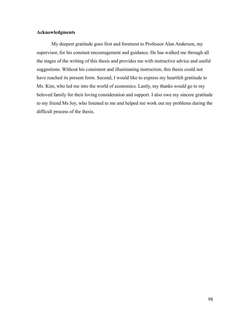# **Acknowledgments**

My deepest gratitude goes first and foremost to Professor Alan Anderson, my supervisor, for his constant encouragement and guidance. He has walked me through all the stages of the writing of this thesis and provides me with instructive advice and useful suggestions. Without his consistent and illuminating instruction, this thesis could not have reached its present form. Second, I would like to express my heartfelt gratitude to Ms. Kim, who led me into the world of economics. Lastly, my thanks would go to my beloved family for their loving consideration and support. I also owe my sincere gratitude to my friend Ms Joy, who listened to me and helped me work out my problems during the difficult process of the thesis.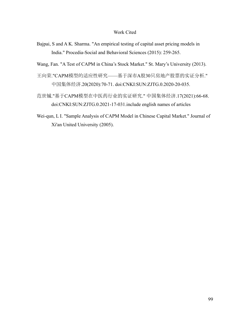# Work Cited

Bajpai, S and A K. Sharma. "An empirical testing of capital asset pricing models in India." Procedia-Social and Behavioral Sciences (2015): 259-265.

Wang, Fan. "A Test of CAPM in China's Stock Market." St. Mary's University (2013).

- 王向荣."CAPM模型的适应性研究——基于深市A股30只房地产股票的实证分析." 中国集体经济.20(2020):70-71. doi:CNKI:SUN:ZJTG.0.2020-20-035.
- 范世铖."基于CAPM模型在中医药行业的实证研究." 中国集体经济.17(2021):66-68. doi:CNKI:SUN:ZJTG.0.2021-17-031.include english names of articles
- Wei-qun, L I. "Sample Analysis of CAPM Model in Chinese Capital Market." Journal of Xi'an United University (2005).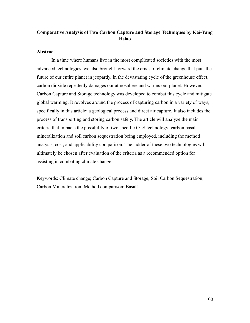# **Comparative Analysis of Two Carbon Capture and Storage Techniques by Kai-Yang Hsiao**

# **Abstract**

In a time where humans live in the most complicated societies with the most advanced technologies, we also brought forward the crisis of climate change that puts the future of our entire planet in jeopardy. In the devastating cycle of the greenhouse effect, carbon dioxide repeatedly damages our atmosphere and warms our planet. However, Carbon Capture and Storage technology was developed to combat this cycle and mitigate global warming. It revolves around the process of capturing carbon in a variety of ways, specifically in this article: a geological process and direct air capture. It also includes the process of transporting and storing carbon safely. The article will analyze the main criteria that impacts the possibility of two specific CCS technology: carbon basalt mineralization and soil carbon sequestration being employed, including the method analysis, cost, and applicability comparison. The ladder of these two technologies will ultimately be chosen after evaluation of the criteria as a recommended option for assisting in combating climate change.

Keywords: Climate change; Carbon Capture and Storage; Soil Carbon Sequestration; Carbon Mineralization; Method comparison; Basalt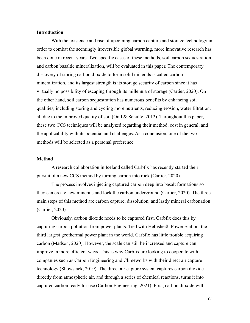### **Introduction**

With the existence and rise of upcoming carbon capture and storage technology in order to combat the seemingly irreversible global warming, more innovative research has been done in recent years. Two specific cases of these methods, soil carbon sequestration and carbon basaltic mineralization, will be evaluated in this paper. The contemporary discovery of storing carbon dioxide to form solid minerals is called carbon mineralization, and its largest strength is its storage security of carbon since it has virtually no possibility of escaping through its millennia of storage (Cartier, 2020). On the other hand, soil carbon sequestration has numerous benefits by enhancing soil qualities, including storing and cycling more nutrients, reducing erosion, water filtration, all due to the improved quality of soil (Ontl  $&$  Schulte, 2012). Throughout this paper, these two CCS techniques will be analyzed regarding their method, cost in general, and the applicability with its potential and challenges. As a conclusion, one of the two methods will be selected as a personal preference.

#### **Method**

A research collaboration in Iceland called Carbfix has recently started their pursuit of a new CCS method by turning carbon into rock (Cartier, 2020).

The process involves injecting captured carbon deep into basalt formations so they can create new minerals and lock the carbon underground (Cartier, 2020). The three main steps of this method are carbon capture, dissolution, and lastly mineral carbonation (Cartier, 2020).

Obviously, carbon dioxide needs to be captured first. Carbfix does this by capturing carbon pollution from power plants. Tied with Hellisheiði Power Station, the third largest geothermal power plant in the world, Carbfix has little trouble acquiring carbon (Madson, 2020). However, the scale can still be increased and capture can improve in more efficient ways. This is why Carbfix are looking to cooperate with companies such as Carbon Engineering and Climeworks with their direct air capture technology (Showstack, 2019). The direct air capture system captures carbon dioxide directly from atmospheric air, and through a series of chemical reactions, turns it into captured carbon ready for use (Carbon Engineering, 2021). First, carbon dioxide will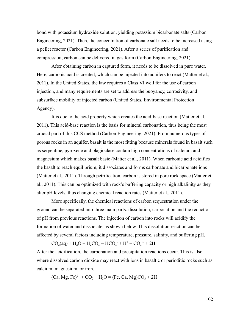bond with potassium hydroxide solution, yielding potassium bicarbonate salts (Carbon Engineering, 2021). Then, the concentration of carbonate salt needs to be increased using a pellet reactor (Carbon Engineering, 2021). After a series of purification and compression, carbon can be delivered in gas form (Carbon Engineering, 2021).

After obtaining carbon in captured form, it needs to be dissolved in pure water. Here, carbonic acid is created, which can be injected into aquifers to react (Matter et al., 2011). In the United States, the law requires a Class VI well for the use of carbon injection, and many requirements are set to address the buoyancy, corrosivity, and subsurface mobility of injected carbon (United States, Environmental Protection Agency).

It is due to the acid property which creates the acid-base reaction (Matter et al., 2011). This acid-base reaction is the basis for mineral carbonation, thus being the most crucial part of this CCS method (Carbon Engineering, 2021). From numerous types of porous rocks in an aquifer, basalt is the most fitting because minerals found in basalt such as serpentine, pyroxene and plagioclase contain high concentrations of calcium and magnesium which makes basalt basic (Matter et al., 2011). When carbonic acid acidifies the basalt to reach equilibrium, it dissociates and forms carbonate and bicarbonate ions (Matter et al., 2011). Through petrification, carbon is stored in pore rock space (Matter et al., 2011). This can be optimized with rock's buffering capacity or high alkalinity as they alter pH levels, thus changing chemical reaction rates (Matter et al., 2011).

More specifically, the chemical reactions of carbon sequestration under the ground can be separated into three main parts: dissolution, carbonation and the reduction of pH from previous reactions. The injection of carbon into rocks will acidify the formation of water and dissociate, as shown below. This dissolution reaction can be affected by several factors including temperature, pressure, salinity, and buffering pH.

 $CO_2(aq) + H_2O = H_2CO_3 = HCO_3 + H^+ = CO_3^{2-} + 2H^+$ 

After the acidification, the carbonation and precipitation reactions occur. This is also where dissolved carbon dioxide may react with ions in basaltic or perioditic rocks such as calcium, magnesium, or iron.

 $(Ca, Mg, Fe)^{2+} + CO_2 + H_2O = (Fe, Ca, Mg)CO_3 + 2H^+$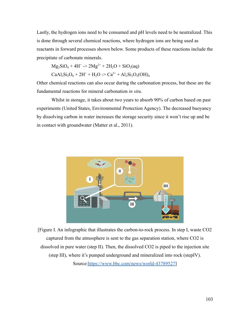Lastly, the hydrogen ions need to be consumed and pH levels need to be neutralized. This is done through several chemical reactions, where hydrogen ions are being used as reactants in forward processes shown below. Some products of these reactions include the precipitate of carbonate minerals.

 $Mg_2SiO_4 + 4H^+ \rightarrow 2Mg^{2+} + 2H_2O + SiO_2(aq)$ 

$$
CaAl_2Si_2O_8 + 2H^+ + H_2O \ge Ca^{2+} + Al_2Si_2O_5(OH)_4
$$

Other chemical reactions can also occur during the carbonation process, but these are the fundamental reactions for mineral carbonation *in situ*.

Whilst in storage, it takes about two years to absorb 90% of carbon based on past experiments (United States, Environmental Protection Agency). The decreased buoyancy by dissolving carbon in water increases the storage security since it won't rise up and be in contact with groundwater (Matter et al., 2011).



[Figure I. An infographic that illustrates the carbon-to-rock process. In step I, waste CO2 captured from the atmosphere is sent to the gas separation station, where CO2 is dissolved in pure water (step II). Then, the dissolved CO2 is piped to the injection site (step III), where it's pumped underground and mineralized into rock (stepIV). Source[:https://www.bbc.com/news/world-43789527](https://www.bbc.com/news/world-43789527)]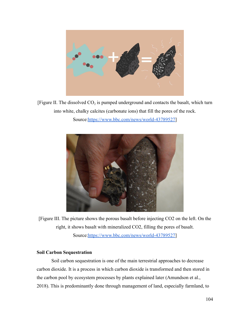

[Figure II. The dissolved  $CO<sub>2</sub>$  is pumped underground and contacts the basalt, which turn into white, chalky calcites (carbonate ions) that fill the pores of the rock.

Source[:https://www.bbc.com/news/world-43789527](https://www.bbc.com/news/world-43789527)]



[Figure III. The picture shows the porous basalt before injecting CO2 on the left. On the right, it shows basalt with mineralized CO2, filling the pores of basalt. Source[:https://www.bbc.com/news/world-43789527](https://www.bbc.com/news/world-43789527)]

# **Soil Carbon Sequestration**

Soil carbon sequestration is one of the main terrestrial approaches to decrease carbon dioxide. It is a process in which carbon dioxide is transformed and then stored in the carbon pool by ecosystem processes by plants explained later (Amundson et al., 2018). This is predominantly done through management of land, especially farmland, to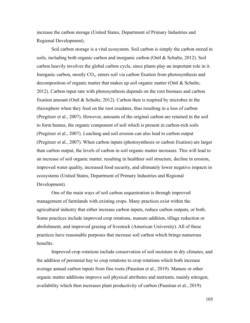increase the carbon storage (United States, Department of Primary Industries and Regional Development).

Soil carbon storage is a vital ecosystem. Soil carbon is simply the carbon stored in soils, including both organic carbon and inorganic carbon (Ontl & Schulte, 2012). Soil carbon heavily involves the global carbon cycle, since plants play an important role in it. Inorganic carbon, mostly  $CO<sub>2</sub>$ , enters soil via carbon fixation from photosynthesis and decomposition of organic matter that makes up soil organic matter (Ontl & Schulte, 2012). Carbon input rate with photosynthesis depends on the root biomass and carbon fixation amount (Ontl & Schulte, 2012). Carbon then is respired by microbes in the rhizosphere when they feed on the root exudates, thus resulting in a loss of carbon (Pregitzer et al., 2007). However, amounts of the original carbon are retained in the soil to form humus, the organic component of soil which is present in carbon-rich soils (Pregitzer et al., 2007). Leaching and soil erosion can also lead to carbon output (Pregitzer et al., 2007). When carbon inputs (photosynthesis or carbon fixation) are larger than carbon output, the levels of carbon in soil organic matter increases. This will lead to an increase of soil organic matter, resulting in healthier soil structure, decline in erosion, improved water quality, increased food security, and ultimately lower negative impacts in ecosystems (United States, Department of Primary Industries and Regional Development).

One of the main ways of soil carbon sequestration is through improved management of farmlands with existing crops. Many practices exist within the agricultural industry that either increase carbon inputs, reduce carbon outputs, or both. Some practices include improved crop rotations, manure addition, tillage reduction or abolishment, and improved grazing of livestock (American University). All of these practices have reasonable purposes that increase soil carbon which brings numerous benefits.

Improved crop rotations include conservation of soil moisture in dry climates, and the addition of perennial hay to crop rotations to crop rotations which both increase average annual carbon inputs from fine roots (Paustian et al., 2019). Manure or other organic matter additions improve soil physical attributes and nutrients, mainly nitrogen, availability which then increases plant productivity of carbon (Paustian et al., 2019).

105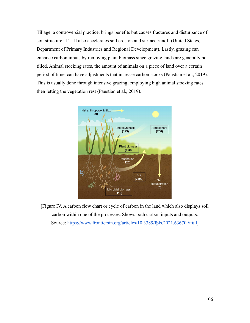Tillage, a controversial practice, brings benefits but causes fractures and disturbance of soil structure [14]. It also accelerates soil erosion and surface runoff (United States, Department of Primary Industries and Regional Development). Lastly, grazing can enhance carbon inputs by removing plant biomass since grazing lands are generally not tilled. Animal stocking rates, the amount of animals on a piece of land over a certain period of time, can have adjustments that increase carbon stocks (Paustian et al., 2019). This is usually done through intensive grazing, employing high animal stocking rates then letting the vegetation rest (Paustian et al., 2019).



[Figure IV. A carbon flow chart or cycle of carbon in the land which also displays soil carbon within one of the processes. Shows both carbon inputs and outputs. Source: [https://www.frontiersin.org/articles/10.3389/fpls.2021.636709/full\]](https://www.frontiersin.org/articles/10.3389/fpls.2021.636709/full)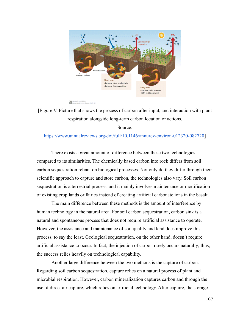

[Figure V. Picture that shows the process of carbon after input, and interaction with plant respiration alongside long-term carbon location or actions.

### Source:

### <https://www.annualreviews.org/doi/full/10.1146/annurev-environ-012320-082720>]

There exists a great amount of difference between these two technologies compared to its similarities. The chemically based carbon into rock differs from soil carbon sequestration reliant on biological processes. Not only do they differ through their scientific approach to capture and store carbon, the technologies also vary. Soil carbon sequestration is a terrestrial process, and it mainly involves maintenance or modification of existing crop lands or fairies instead of creating artificial carbonate ions in the basalt.

The main difference between these methods is the amount of interference by human technology in the natural area. For soil carbon sequestration, carbon sink is a natural and spontaneous process that does not require artificial assistance to operate. However, the assistance and maintenance of soil quality and land does improve this process, to say the least. Geological sequestration, on the other hand, doesn't require artificial assistance to occur. In fact, the injection of carbon rarely occurs naturally; thus, the success relies heavily on technological capability.

Another large difference between the two methods is the capture of carbon. Regarding soil carbon sequestration, capture relies on a natural process of plant and microbial respiration. However, carbon mineralization captures carbon and through the use of direct air capture, which relies on artificial technology. After capture, the storage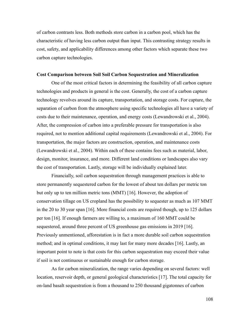of carbon contrasts less. Both methods store carbon in a carbon pool, which has the characteristic of having less carbon output than input. This contrasting strategy results in cost, safety, and applicability differences among other factors which separate these two carbon capture technologies.

#### **Cost Comparison between Soil Soil Carbon Sequestration and Mineralization**

One of the most critical factors in determining the feasibility of all carbon capture technologies and products in general is the cost. Generally, the cost of a carbon capture technology revolves around its capture, transportation, and storage costs. For capture, the separation of carbon from the atmosphere using specific technologies all have a variety of costs due to their maintenance, operation, and energy costs (Lewandrowski et al., 2004). After, the compression of carbon into a preferable pressure for transportation is also required, not to mention additional capital requirements (Lewandrowski et al., 2004). For transportation, the major factors are construction, operation, and maintenance costs (Lewandrowski et al., 2004). Within each of these contains fees such as material, labor, design, monitor, insurance, and more. Different land conditions or landscapes also vary the cost of transportation. Lastly, storage will be individually explained later.

Financially, soil carbon sequestration through management practices is able to store permanently sequestered carbon for the lowest of about ten dollars per metric ton but only up to ten million metric tons (MMT) [16]. However, the adoption of conservation tillage on US cropland has the possibility to sequester as much as 107 MMT in the 20 to 30 year span [16]. More financial costs are required though, up to 125 dollars per ton [16]. If enough farmers are willing to, a maximum of 160 MMT could be sequestered, around three percent of US greenhouse gas emissions in 2019 [16]. Previously unmentioned, afforestation is in fact a more durable soil carbon sequestration method; and in optimal conditions, it may last for many more decades [16]. Lastly, an important point to note is that costs for this carbon sequestration may exceed their value if soil is not continuous or sustainable enough for carbon storage.

As for carbon mineralization, the range varies depending on several factors: well location, reservoir depth, or general geological characteristics [17]. The total capacity for on-land basalt sequestration is from a thousand to 250 thousand gigatonnes of carbon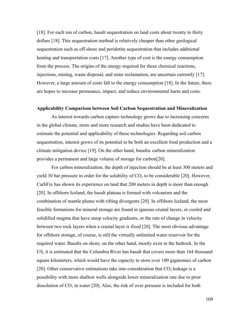[18]. For each ton of carbon, basalt sequestration on land costs about twenty to thirty dollars [18]. This sequestration method is relatively cheaper than other geological sequestration such as off-shore and peridotite sequestration that includes additional heating and transportation costs [17]. Another type of cost is the energy consumption from the process. The origins of the energy required for these chemical reactions, injections, mining, waste disposal, and mine reclamation, are uncertain currently [17]. However, a large amount of costs fall to the energy consumption [18]. In the future, there are hopes to increase permeance, impact, and reduce environmental harm and costs.

## **Applicability Comparison between Soil Carbon Sequestration and Mineralization**

As interest towards carbon capture technology grows due to increasing concerns in the global climate, more and more research and studies have been dedicated to estimate the potential and applicability of these technologies. Regarding soil carbon sequestration, interest grows of its potential to be both an excellent food production and a climate mitigation device [19]. On the other hand, basaltic carbon mineralization provides a permanent and large volume of storage for carbon[20].

For carbon mineralization, the depth of injection should be at least 300 meters and yield 30 bar pressure in order for the solubility of  $CO<sub>2</sub>$  to be considerable [20]. However, CarbFix has shown its experience on land that 200 meters in depth is more than enough [20]. In offshore Iceland, the basalt plateau is formed with volcanism and the combination of mantle plume with rifting divergents [20]. In offshore Iceland, the most feasible formations for mineral storage are found in igneous crustal layers, or cooled and solidified magma that have steep velocity gradients, or the rate of change in velocity between two rock layers when a crustal layer is fixed [20]. The most obvious advantage for offshore storage, of course, is still the virtually unlimited water reservoir for the required water. Basalts on shore, on the other hand, mostly exist in the bedrock. In the US, it is estimated that the Columbia River has basalt that covers more than 164 thousand square kilometers, which would have the capacity to store over 100 gigatonnes of carbon [20]. Other conservative estimations take into consideration that  $CO<sub>2</sub>$  leakage is a possibility with more shallow wells alongside lower mineralization rate due to prior dissolution of  $CO<sub>2</sub>$  in water [20]. Also, the risk of over pressure is included for both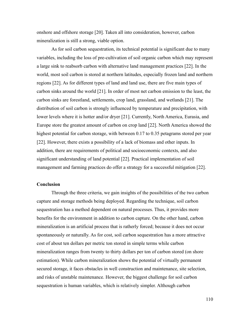onshore and offshore storage [20]. Taken all into consideration, however, carbon mineralization is still a strong, viable option.

As for soil carbon sequestration, its technical potential is significant due to many variables, including the loss of pre-cultivation of soil organic carbon which may represent a large sink to reabsorb carbon with alternative land management practices [22]. In the world, most soil carbon is stored at northern latitudes, especially frozen land and northern regions [22]. As for different types of land and land use, there are five main types of carbon sinks around the world [21]. In order of most net carbon emission to the least, the carbon sinks are forestland, settlements, crop land, grassland, and wetlands [21]. The distribution of soil carbon is strongly influenced by temperature and precipitation, with lower levels where it is hotter and/or dryer [21]. Currently, North America, Eurasia, and Europe store the greatest amount of carbon on crop land [22]. North America showed the highest potential for carbon storage, with between 0.17 to 0.35 petagrams stored per year [22]. However, there exists a possibility of a lack of biomass and other inputs. In addition, there are requirements of political and socioeconomic contexts, and also significant understanding of land potential [22]. Practical implementation of soil management and farming practices do offer a strategy for a successful mitigation [22].

## **Conclusion**

Through the three criteria, we gain insights of the possibilities of the two carbon capture and storage methods being deployed. Regarding the technique, soil carbon sequestration has a method dependent on natural processes. Thus, it provides more benefits for the environment in addition to carbon capture. On the other hand, carbon mineralization is an artificial process that is ratherly forced; because it does not occur spontaneously or naturally. As for cost, soil carbon sequestration has a more attractive cost of about ten dollars per metric ton stored in simple terms while carbon mineralization ranges from twenty to thirty dollars per ton of carbon stored (on shore estimation). While carbon mineralization shows the potential of virtually permanent secured storage, it faces obstacles in well construction and maintenance, site selection, and risks of unstable maintenance. However, the biggest challenge for soil carbon sequestration is human variables, which is relatively simpler. Although carbon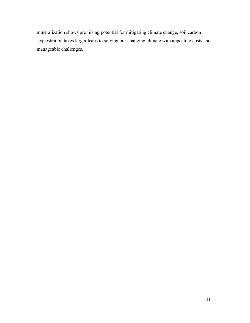mineralization shows promising potential for mitigating climate change, soil carbon sequestration takes larger leaps to solving our changing climate with appealing costs and manageable challenges.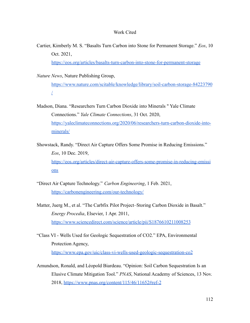## Work Cited

Cartier, Kimberly M. S. "Basalts Turn Carbon into Stone for Permanent Storage." *Eos*, 10 Oct. 2021,

<https://eos.org/articles/basalts-turn-carbon-into-stone-for-permanent-storage>

*Nature News*, Nature Publishing Group,

[https://www.nature.com/scitable/knowledge/library/soil-carbon-storage-84223790](https://www.nature.com/scitable/knowledge/library/soil-carbon-storage-84223790/) [/](https://www.nature.com/scitable/knowledge/library/soil-carbon-storage-84223790/)

- Madson, Diana. "Researchers Turn Carbon Dioxide into Minerals " Yale Climate Connections." *Yale Climate Connections*, 31 Oct. 2020, [https://yaleclimateconnections.org/2020/06/researchers-turn-carbon-dioxide-into](https://yaleclimateconnections.org/2020/06/researchers-turn-carbon-dioxide-into-minerals/)[minerals/](https://yaleclimateconnections.org/2020/06/researchers-turn-carbon-dioxide-into-minerals/)
- Showstack, Randy. "Direct Air Capture Offers Some Promise in Reducing Emissions." *Eos*, 10 Dec. 2019, [https://eos.org/articles/direct-air-capture-offers-some-promise-in-reducing-emissi](https://eos.org/articles/direct-air-capture-offers-some-promise-in-reducing-emissions) [ons](https://eos.org/articles/direct-air-capture-offers-some-promise-in-reducing-emissions)
- "Direct Air Capture Technology." *Carbon Engineering*, 1 Feb. 2021, <https://carbonengineering.com/our-technology/>
- Matter, Juerg M., et al. "The Carbfix Pilot Project–Storing Carbon Dioxide in Basalt." *Energy Procedia*, Elsevier, 1 Apr. 2011, <https://www.sciencedirect.com/science/article/pii/S1876610211008253>
- "Class VI Wells Used for Geologic Sequestration of CO2." EPA, Environmental Protection Agency, <https://www.epa.gov/uic/class-vi-wells-used-geologic-sequestration-co2>
- Amundson, Ronald, and Léopold Biardeau. "Opinion: Soil Carbon Sequestration Is an Elusive Climate Mitigation Tool." *PNAS*, National Academy of Sciences, 13 Nov. 2018, <https://www.pnas.org/content/115/46/11652#ref-2>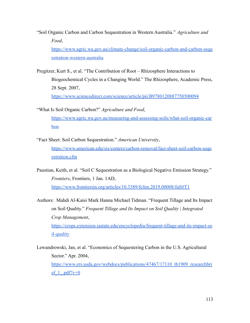"Soil Organic Carbon and Carbon Sequestration in Western Australia." *Agriculture and Food*, [https://www.agric.wa.gov.au/climate-change/soil-organic-carbon-and-carbon-sequ](https://www.agric.wa.gov.au/climate-change/soil-organic-carbon-and-carbon-sequestration-western-australia) [estration-western-australia](https://www.agric.wa.gov.au/climate-change/soil-organic-carbon-and-carbon-sequestration-western-australia)

Pregitzer, Kurt S., et al. "The Contribution of Root – Rhizosphere Interactions to Biogeochemical Cycles in a Changing World." The Rhizosphere, Academic Press, 28 Sept. 2007, <https://www.sciencedirect.com/science/article/pii/B9780120887750500094>

- "What Is Soil Organic Carbon?" *Agriculture and Food*, [https://www.agric.wa.gov.au/measuring-and-assessing-soils/what-soil-organic-car](https://www.agric.wa.gov.au/measuring-and-assessing-soils/what-soil-organic-carbon) [bon](https://www.agric.wa.gov.au/measuring-and-assessing-soils/what-soil-organic-carbon)
- "Fact Sheet: Soil Carbon Sequestration." *American University*, [https://www.american.edu/sis/centers/carbon-removal/fact-sheet-soil-carbon-sequ](https://www.american.edu/sis/centers/carbon-removal/fact-sheet-soil-carbon-sequestration.cfm) [estration.cfm](https://www.american.edu/sis/centers/carbon-removal/fact-sheet-soil-carbon-sequestration.cfm)
- Paustian, Keith, et al. "Soil C Sequestration as a Biological Negative Emission Strategy." *Frontiers*, Frontiers, 1 Jan. 1AD, <https://www.frontiersin.org/articles/10.3389/fclim.2019.00008/full#T1>

Authors: Mahdi Al-Kaisi Mark Hanna Michael Tidman. "Frequent Tillage and Its Impact on Soil Quality." *Frequent Tillage and Its Impact on Soil Quality | Integrated Crop Management*, [https://crops.extension.iastate.edu/encyclopedia/frequent-tillage-and-its-impact-so](https://crops.extension.iastate.edu/encyclopedia/frequent-tillage-and-its-impact-soil-quality) [il-quality](https://crops.extension.iastate.edu/encyclopedia/frequent-tillage-and-its-impact-soil-quality)

Lewandrowski, Jan, et al. "Economics of Sequestering Carbon in the U.S. Agricultural Sector." Apr. 2004, [https://www.ers.usda.gov/webdocs/publications/47467/17110\\_tb1909\\_researchbri](https://www.ers.usda.gov/webdocs/publications/47467/17110_tb1909_researchbrief_1_.pdf?v=0) ef  $1$  .pdf?v=0